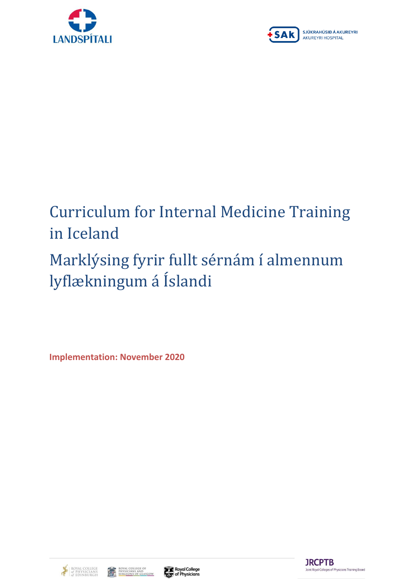



# Curriculum for Internal Medicine Training in Iceland Marklýsing fyrir fullt sérnám í almennum

lyflækningum á Íslandi

**Implementation: November 2020**





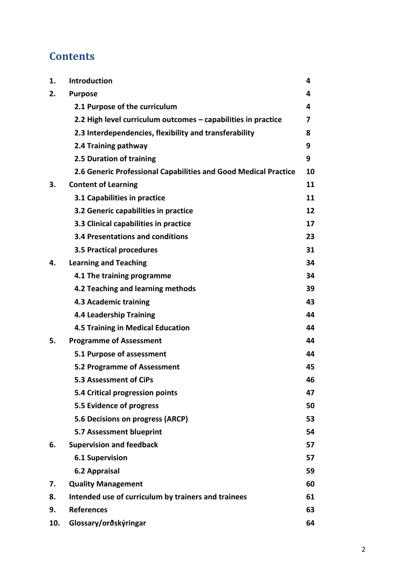# **Contents**

| 1.  | Introduction                                                    | 4  |
|-----|-----------------------------------------------------------------|----|
| 2.  | <b>Purpose</b>                                                  | 4  |
|     | 2.1 Purpose of the curriculum                                   | 4  |
|     | 2.2 High level curriculum outcomes - capabilities in practice   | 7  |
|     | 2.3 Interdependencies, flexibility and transferability          | 8  |
|     | 2.4 Training pathway                                            | 9  |
|     | 2.5 Duration of training                                        | 9  |
|     | 2.6 Generic Professional Capabilities and Good Medical Practice | 10 |
| 3.  | <b>Content of Learning</b>                                      | 11 |
|     | 3.1 Capabilities in practice                                    | 11 |
|     | 3.2 Generic capabilities in practice                            | 12 |
|     | 3.3 Clinical capabilities in practice                           | 17 |
|     | <b>3.4 Presentations and conditions</b>                         | 23 |
|     | <b>3.5 Practical procedures</b>                                 | 31 |
| 4.  | <b>Learning and Teaching</b>                                    | 34 |
|     | 4.1 The training programme                                      | 34 |
|     | 4.2 Teaching and learning methods                               | 39 |
|     | 4.3 Academic training                                           | 43 |
|     | <b>4.4 Leadership Training</b>                                  | 44 |
|     | 4.5 Training in Medical Education                               | 44 |
| 5.  | <b>Programme of Assessment</b>                                  | 44 |
|     | 5.1 Purpose of assessment                                       | 44 |
|     | 5.2 Programme of Assessment                                     | 45 |
|     | 5.3 Assessment of CiPs                                          | 46 |
|     | 5.4 Critical progression points                                 | 47 |
|     | 5.5 Evidence of progress                                        | 50 |
|     | 5.6 Decisions on progress (ARCP)                                | 53 |
|     | 5.7 Assessment blueprint                                        | 54 |
| 6.  | <b>Supervision and feedback</b>                                 | 57 |
|     | <b>6.1 Supervision</b>                                          | 57 |
|     | <b>6.2 Appraisal</b>                                            | 59 |
| 7.  | <b>Quality Management</b>                                       | 60 |
| 8.  | Intended use of curriculum by trainers and trainees             | 61 |
| 9.  | <b>References</b>                                               | 63 |
| 10. | Glossary/orðskýringar                                           | 64 |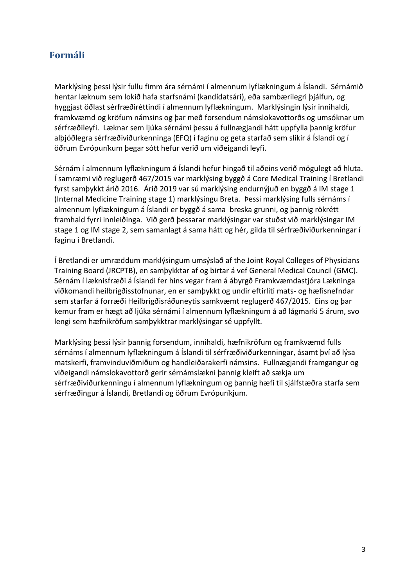### **Formáli**

Marklýsing þessi lýsir fullu fimm ára sérnámi í almennum lyflækningum á Íslandi. Sérnámið hentar læknum sem lokið hafa starfsnámi (kandídatsári), eða sambærilegri þjálfun, og hyggjast öðlast sérfræðiréttindi í almennum lyflækningum. Marklýsingin lýsir innihaldi, framkvæmd og kröfum námsins og þar með forsendum námslokavottorðs og umsóknar um sérfræðileyfi. Læknar sem ljúka sérnámi þessu á fullnægjandi hátt uppfylla þannig kröfur alþjóðlegra sérfræðiviðurkenninga (EFQ) í faginu og geta starfað sem slíkir á Íslandi og í öðrum Evrópuríkum þegar sótt hefur verið um viðeigandi leyfi.

Sérnám í almennum lyflækningum á Íslandi hefur hingað til aðeins verið mögulegt að hluta. Í samræmi við reglugerð 467/2015 var marklýsing byggð á Core Medical Training í Bretlandi fyrst samþykkt árið 2016. Árið 2019 var sú marklýsing endurnýjuð en byggð á IM stage 1 (Internal Medicine Training stage 1) marklýsingu Breta. Þessi marklýsing fulls sérnáms í almennum lyflækningum á Íslandi er byggð á sama breska grunni, og þannig rökrétt framhald fyrri innleiðinga. Við gerð þessarar marklýsingar var stuðst við marklýsingar IM stage 1 og IM stage 2, sem samanlagt á sama hátt og hér, gilda til sérfræðiviðurkenningar í faginu í Bretlandi.

Í Bretlandi er umræddum marklýsingum umsýslað af the Joint Royal Colleges of Physicians Training Board (JRCPTB), en samþykktar af og birtar á vef General Medical Council (GMC). Sérnám í læknisfræði á Íslandi fer hins vegar fram á ábyrgð Framkvæmdastjóra Lækninga viðkomandi heilbrigðisstofnunar, en er samþykkt og undir eftirliti mats- og hæfisnefndar sem starfar á forræði Heilbrigðisráðuneytis samkvæmt reglugerð 467/2015. Eins og þar kemur fram er hægt að ljúka sérnámi í almennum lyflækningum á að lágmarki 5 árum, svo lengi sem hæfnikröfum samþykktrar marklýsingar sé uppfyllt.

Marklýsing þessi lýsir þannig forsendum, innihaldi, hæfnikröfum og framkvæmd fulls sérnáms í almennum lyflækningum á Íslandi til sérfræðiviðurkenningar, ásamt því að lýsa matskerfi, framvinduviðmiðum og handleiðarakerfi námsins. Fullnægjandi framgangur og viðeigandi námslokavottorð gerir sérnámslækni þannig kleift að sækja um sérfræðiviðurkenningu í almennum lyflækningum og þannig hæfi til sjálfstæðra starfa sem sérfræðingur á Íslandi, Bretlandi og öðrum Evrópuríkjum.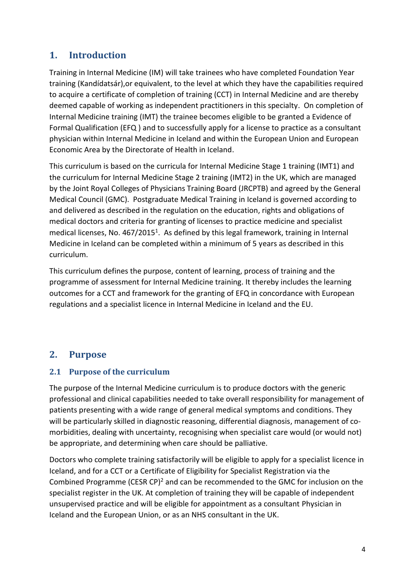### **1. Introduction**

Training in Internal Medicine (IM) will take trainees who have completed Foundation Year training (Kandídatsár),or equivalent, to the level at which they have the capabilities required to acquire a certificate of completion of training (CCT) in Internal Medicine and are thereby deemed capable of working as independent practitioners in this specialty. On completion of Internal Medicine training (IMT) the trainee becomes eligible to be granted a Evidence of Formal Qualification (EFQ ) and to successfully apply for a license to practice as a consultant physician within Internal Medicine in Iceland and within the European Union and European Economic Area by the Directorate of Health in Iceland.

This curriculum is based on the curricula for Internal Medicine Stage 1 training (IMT1) and the curriculum for Internal Medicine Stage 2 training (IMT2) in the UK, which are managed by the Joint Royal Colleges of Physicians Training Board (JRCPTB) and agreed by the General Medical Council (GMC). Postgraduate Medical Training in Iceland is governed according to and delivered as described in the regulation on the education, rights and obligations of medical doctors and criteria for granting of licenses to practice medicine and specialist medical licenses, No. 467/2015<sup>1</sup>. As defined by this legal framework, training in Internal Medicine in Iceland can be completed within a minimum of 5 years as described in this curriculum.

This curriculum defines the purpose, content of learning, process of training and the programme of assessment for Internal Medicine training. It thereby includes the learning outcomes for a CCT and framework for the granting of EFQ in concordance with European regulations and a specialist licence in Internal Medicine in Iceland and the EU.

### **2. Purpose**

### **2.1 Purpose of the curriculum**

The purpose of the Internal Medicine curriculum is to produce doctors with the generic professional and clinical capabilities needed to take overall responsibility for management of patients presenting with a wide range of general medical symptoms and conditions. They will be particularly skilled in diagnostic reasoning, differential diagnosis, management of comorbidities, dealing with uncertainty, recognising when specialist care would (or would not) be appropriate, and determining when care should be palliative.

Doctors who complete training satisfactorily will be eligible to apply for a specialist licence in Iceland, and for a CCT or a Certificate of Eligibility for Specialist Registration via the Combined Programme (CESR CP)<sup>2</sup> and can be recommended to the GMC for inclusion on the specialist register in the UK. At completion of training they will be capable of independent unsupervised practice and will be eligible for appointment as a consultant Physician in Iceland and the European Union, or as an NHS consultant in the UK.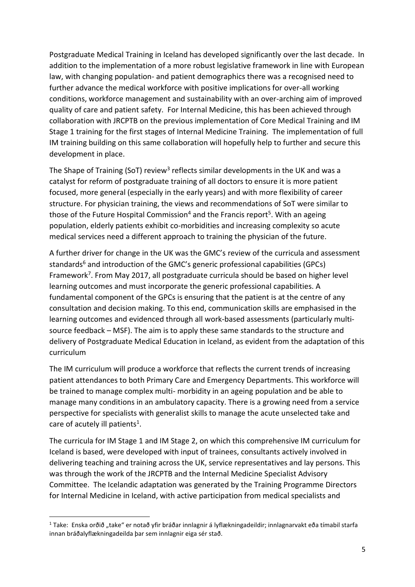Postgraduate Medical Training in Iceland has developed significantly over the last decade. In addition to the implementation of a more robust legislative framework in line with European law, with changing population- and patient demographics there was a recognised need to further advance the medical workforce with positive implications for over-all working conditions, workforce management and sustainability with an over-arching aim of improved quality of care and patient safety. For Internal Medicine, this has been achieved through collaboration with JRCPTB on the previous implementation of Core Medical Training and IM Stage 1 training for the first stages of Internal Medicine Training. The implementation of full IM training building on this same collaboration will hopefully help to further and secure this development in place.

The Shape of Training (SoT) review<sup>3</sup> reflects similar developments in the UK and was a catalyst for reform of postgraduate training of all doctors to ensure it is more patient focused, more general (especially in the early years) and with more flexibility of career structure. For physician training, the views and recommendations of SoT were similar to those of the Future Hospital Commission<sup>4</sup> and the Francis report<sup>5</sup>. With an ageing population, elderly patients exhibit co-morbidities and increasing complexity so acute medical services need a different approach to training the physician of the future.

A further driver for change in the UK was the GMC's review of the curricula and assessment standards<sup>6</sup> and introduction of the GMC's generic professional capabilities (GPCs) Framework<sup>7</sup>. From May 2017, all postgraduate curricula should be based on higher level learning outcomes and must incorporate the generic professional capabilities. A fundamental component of the GPCs is ensuring that the patient is at the centre of any consultation and decision making. To this end, communication skills are emphasised in the learning outcomes and evidenced through all work-based assessments (particularly multisource feedback – MSF). The aim is to apply these same standards to the structure and delivery of Postgraduate Medical Education in Iceland, as evident from the adaptation of this curriculum

The IM curriculum will produce a workforce that reflects the current trends of increasing patient attendances to both Primary Care and Emergency Departments. This workforce will be trained to manage complex multi- morbidity in an ageing population and be able to manage many conditions in an ambulatory capacity. There is a growing need from a service perspective for specialists with generalist skills to manage the acute unselected take and care of acutely ill patients<sup>1</sup>.

The curricula for IM Stage 1 and IM Stage 2, on which this comprehensive IM curriculum for Iceland is based, were developed with input of trainees, consultants actively involved in delivering teaching and training across the UK, service representatives and lay persons. This was through the work of the JRCPTB and the Internal Medicine Specialist Advisory Committee. The Icelandic adaptation was generated by the Training Programme Directors for Internal Medicine in Iceland, with active participation from medical specialists and

 $1$ Take: Enska orðið "take" er notað yfir bráðar innlagnir á lyflækningadeildir; innlagnarvakt eða tímabil starfa innan bráðalyflækningadeilda þar sem innlagnir eiga sér stað.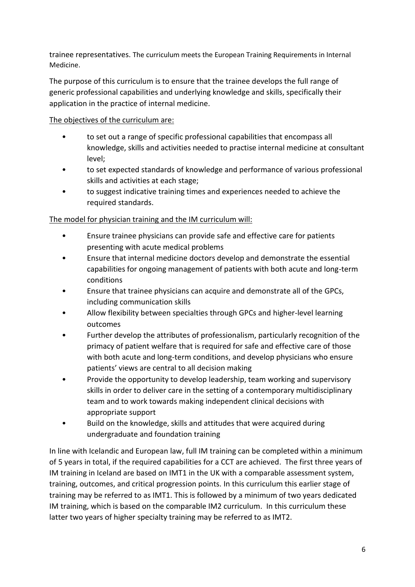trainee representatives. The curriculum meets the European Training Requirements in Internal Medicine.

The purpose of this curriculum is to ensure that the trainee develops the full range of generic professional capabilities and underlying knowledge and skills, specifically their application in the practice of internal medicine.

### The objectives of the curriculum are:

- to set out a range of specific professional capabilities that encompass all knowledge, skills and activities needed to practise internal medicine at consultant level;
- to set expected standards of knowledge and performance of various professional skills and activities at each stage;
- to suggest indicative training times and experiences needed to achieve the required standards.

### The model for physician training and the IM curriculum will:

- Ensure trainee physicians can provide safe and effective care for patients presenting with acute medical problems
- Ensure that internal medicine doctors develop and demonstrate the essential capabilities for ongoing management of patients with both acute and long-term conditions
- Ensure that trainee physicians can acquire and demonstrate all of the GPCs, including communication skills
- Allow flexibility between specialties through GPCs and higher-level learning outcomes
- Further develop the attributes of professionalism, particularly recognition of the primacy of patient welfare that is required for safe and effective care of those with both acute and long-term conditions, and develop physicians who ensure patients' views are central to all decision making
- Provide the opportunity to develop leadership, team working and supervisory skills in order to deliver care in the setting of a contemporary multidisciplinary team and to work towards making independent clinical decisions with appropriate support
- Build on the knowledge, skills and attitudes that were acquired during undergraduate and foundation training

In line with Icelandic and European law, full IM training can be completed within a minimum of 5 years in total, if the required capabilities for a CCT are achieved. The first three years of IM training in Iceland are based on IMT1 in the UK with a comparable assessment system, training, outcomes, and critical progression points. In this curriculum this earlier stage of training may be referred to as IMT1. This is followed by a minimum of two years dedicated IM training, which is based on the comparable IM2 curriculum. In this curriculum these latter two years of higher specialty training may be referred to as IMT2.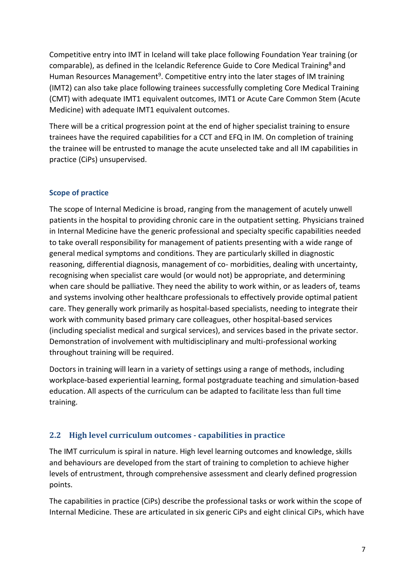Competitive entry into IMT in Iceland will take place following Foundation Year training (or comparable), as defined in the Icelandic Reference Guide to Core Medical Training<sup>8</sup> and Human Resources Management<sup>9</sup>. Competitive entry into the later stages of IM training (IMT2) can also take place following trainees successfully completing Core Medical Training (CMT) with adequate IMT1 equivalent outcomes, IMT1 or Acute Care Common Stem (Acute Medicine) with adequate IMT1 equivalent outcomes.

There will be a critical progression point at the end of higher specialist training to ensure trainees have the required capabilities for a CCT and EFQ in IM. On completion of training the trainee will be entrusted to manage the acute unselected take and all IM capabilities in practice (CiPs) unsupervised.

### **Scope of practice**

The scope of Internal Medicine is broad, ranging from the management of acutely unwell patients in the hospital to providing chronic care in the outpatient setting. Physicians trained in Internal Medicine have the generic professional and specialty specific capabilities needed to take overall responsibility for management of patients presenting with a wide range of general medical symptoms and conditions. They are particularly skilled in diagnostic reasoning, differential diagnosis, management of co- morbidities, dealing with uncertainty, recognising when specialist care would (or would not) be appropriate, and determining when care should be palliative. They need the ability to work within, or as leaders of, teams and systems involving other healthcare professionals to effectively provide optimal patient care. They generally work primarily as hospital-based specialists, needing to integrate their work with community based primary care colleagues, other hospital-based services (including specialist medical and surgical services), and services based in the private sector. Demonstration of involvement with multidisciplinary and multi-professional working throughout training will be required.

Doctors in training will learn in a variety of settings using a range of methods, including workplace-based experiential learning, formal postgraduate teaching and simulation-based education. All aspects of the curriculum can be adapted to facilitate less than full time training.

### **2.2 High level curriculum outcomes - capabilities in practice**

The IMT curriculum is spiral in nature. High level learning outcomes and knowledge, skills and behaviours are developed from the start of training to completion to achieve higher levels of entrustment, through comprehensive assessment and clearly defined progression points.

The capabilities in practice (CiPs) describe the professional tasks or work within the scope of Internal Medicine. These are articulated in six generic CiPs and eight clinical CiPs, which have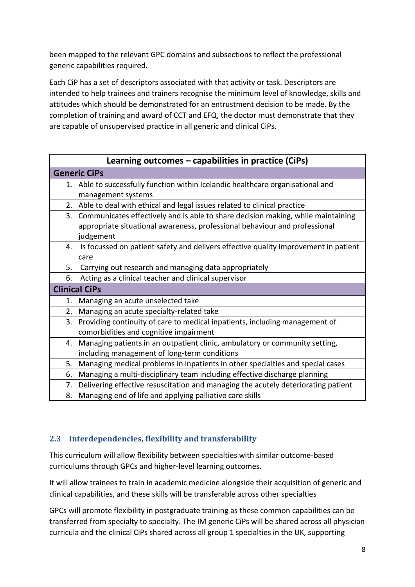been mapped to the relevant GPC domains and subsections to reflect the professional generic capabilities required.

Each CiP has a set of descriptors associated with that activity or task. Descriptors are intended to help trainees and trainers recognise the minimum level of knowledge, skills and attitudes which should be demonstrated for an entrustment decision to be made. By the completion of training and award of CCT and EFQ, the doctor must demonstrate that they are capable of unsupervised practice in all generic and clinical CiPs.

|    | Learning outcomes - capabilities in practice (CiPs)                                                                                                                         |  |  |
|----|-----------------------------------------------------------------------------------------------------------------------------------------------------------------------------|--|--|
|    | <b>Generic CiPs</b>                                                                                                                                                         |  |  |
|    | 1. Able to successfully function within Icelandic healthcare organisational and<br>management systems                                                                       |  |  |
| 2. | Able to deal with ethical and legal issues related to clinical practice                                                                                                     |  |  |
| 3. | Communicates effectively and is able to share decision making, while maintaining<br>appropriate situational awareness, professional behaviour and professional<br>judgement |  |  |
| 4. | Is focussed on patient safety and delivers effective quality improvement in patient<br>care                                                                                 |  |  |
| 5. | Carrying out research and managing data appropriately                                                                                                                       |  |  |
| 6. | Acting as a clinical teacher and clinical supervisor                                                                                                                        |  |  |
|    | <b>Clinical CiPs</b>                                                                                                                                                        |  |  |
| 1. | Managing an acute unselected take                                                                                                                                           |  |  |
| 2. | Managing an acute specialty-related take                                                                                                                                    |  |  |
| 3. | Providing continuity of care to medical inpatients, including management of<br>comorbidities and cognitive impairment                                                       |  |  |
|    | 4. Managing patients in an outpatient clinic, ambulatory or community setting,<br>including management of long-term conditions                                              |  |  |
| 5. | Managing medical problems in inpatients in other specialties and special cases                                                                                              |  |  |
| 6. | Managing a multi-disciplinary team including effective discharge planning                                                                                                   |  |  |
| 7. | Delivering effective resuscitation and managing the acutely deteriorating patient                                                                                           |  |  |
| 8. | Managing end of life and applying palliative care skills                                                                                                                    |  |  |

### **2.3 Interdependencies, flexibility and transferability**

This curriculum will allow flexibility between specialties with similar outcome-based curriculums through GPCs and higher-level learning outcomes.

It will allow trainees to train in academic medicine alongside their acquisition of generic and clinical capabilities, and these skills will be transferable across other specialties

GPCs will promote flexibility in postgraduate training as these common capabilities can be transferred from specialty to specialty. The IM generic CiPs will be shared across all physician curricula and the clinical CiPs shared across all group 1 specialties in the UK, supporting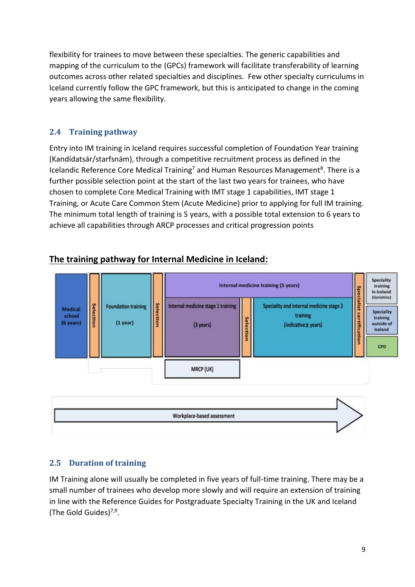flexibility for trainees to move between these specialties. The generic capabilities and mapping of the curriculum to the (GPCs) framework will facilitate transferability of learning outcomes across other related specialties and disciplines. Few other specialty curriculums in Iceland currently follow the GPC framework, but this is anticipated to change in the coming years allowing the same flexibility.

### **2.4 Training pathway**

Entry into IM training in Iceland requires successful completion of Foundation Year training (Kandídatsár/starfsnám), through a competitive recruitment process as defined in the Icelandic Reference Core Medical Training<sup>7</sup> and Human Resources Management<sup>8</sup>. There is a further possible selection point at the start of the last two years for trainees, who have chosen to complete Core Medical Training with IMT stage 1 capabilities, IMT stage 1 Training, or Acute Care Common Stem (Acute Medicine) prior to applying for full IM training. The minimum total length of training is 5 years, with a possible total extension to 6 years to achieve all capabilities through ARCP processes and critical progression points



### **The training pathway for Internal Medicine in Iceland:**

### **2.5 Duration of training**

IM Training alone will usually be completed in five years of full-time training. There may be a small number of trainees who develop more slowly and will require an extension of training in line with the Reference Guides for Postgraduate Specialty Training in the UK and Iceland (The Gold Guides) 7,9 .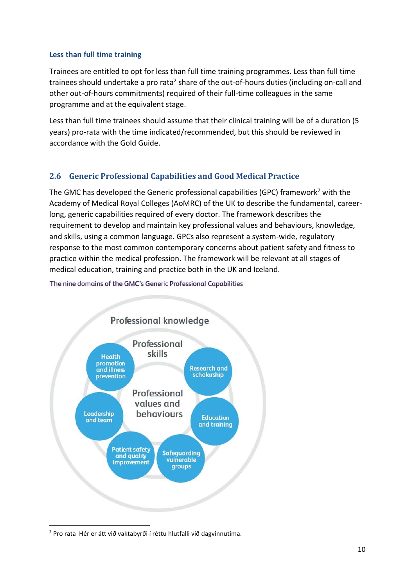#### **Less than full time training**

Trainees are entitled to opt for less than full time training programmes. Less than full time trainees should undertake a pro rata<sup>2</sup> share of the out-of-hours duties (including on-call and other out-of-hours commitments) required of their full-time colleagues in the same programme and at the equivalent stage.

Less than full time trainees should assume that their clinical training will be of a duration (5 years) pro-rata with the time indicated/recommended, but this should be reviewed in accordance with the Gold Guide.

### **2.6 Generic Professional Capabilities and Good Medical Practice**

The GMC has developed the Generic professional capabilities (GPC) framework<sup>7</sup> with the Academy of Medical Royal Colleges (AoMRC) of the UK to describe the fundamental, careerlong, generic capabilities required of every doctor. The framework describes the requirement to develop and maintain key professional values and behaviours, knowledge, and skills, using a common language. GPCs also represent a system-wide, regulatory response to the most common contemporary concerns about patient safety and fitness to practice within the medical profession. The framework will be relevant at all stages of medical education, training and practice both in the UK and Iceland.

The nine domains of the GMC's Generic Professional Capabilities



<sup>2</sup> Pro rata Hér er átt við vaktabyrði í réttu hlutfalli við dagvinnutíma.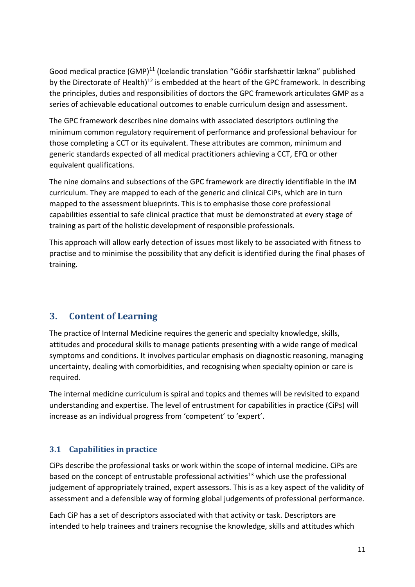Good medical practice (GMP)<sup>11</sup> (Icelandic translation "Góðir starfshættir lækna" published by the Directorate of Health)<sup>12</sup> is embedded at the heart of the GPC framework. In describing the principles, duties and responsibilities of doctors the GPC framework articulates GMP as a series of achievable educational outcomes to enable curriculum design and assessment.

The GPC framework describes nine domains with associated descriptors outlining the minimum common regulatory requirement of performance and professional behaviour for those completing a CCT or its equivalent. These attributes are common, minimum and generic standards expected of all medical practitioners achieving a CCT, EFQ or other equivalent qualifications.

The nine domains and subsections of the GPC framework are directly identifiable in the IM curriculum. They are mapped to each of the generic and clinical CiPs, which are in turn mapped to the assessment blueprints. This is to emphasise those core professional capabilities essential to safe clinical practice that must be demonstrated at every stage of training as part of the holistic development of responsible professionals.

This approach will allow early detection of issues most likely to be associated with fitness to practise and to minimise the possibility that any deficit is identified during the final phases of training.

### **3. Content of Learning**

The practice of Internal Medicine requires the generic and specialty knowledge, skills, attitudes and procedural skills to manage patients presenting with a wide range of medical symptoms and conditions. It involves particular emphasis on diagnostic reasoning, managing uncertainty, dealing with comorbidities, and recognising when specialty opinion or care is required.

The internal medicine curriculum is spiral and topics and themes will be revisited to expand understanding and expertise. The level of entrustment for capabilities in practice (CiPs) will increase as an individual progress from 'competent' to 'expert'.

### **3.1 Capabilities in practice**

CiPs describe the professional tasks or work within the scope of internal medicine. CiPs are based on the concept of entrustable professional activities<sup>13</sup> which use the professional judgement of appropriately trained, expert assessors. This is as a key aspect of the validity of assessment and a defensible way of forming global judgements of professional performance.

Each CiP has a set of descriptors associated with that activity or task. Descriptors are intended to help trainees and trainers recognise the knowledge, skills and attitudes which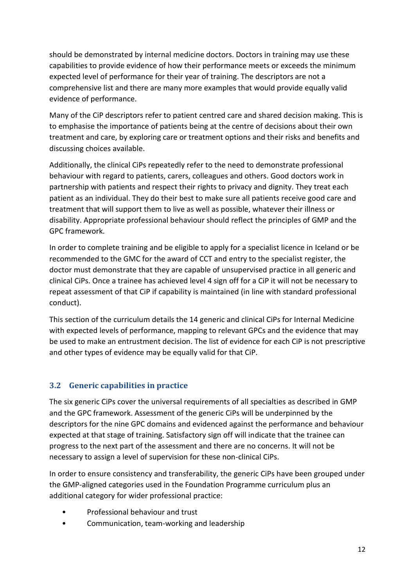should be demonstrated by internal medicine doctors. Doctors in training may use these capabilities to provide evidence of how their performance meets or exceeds the minimum expected level of performance for their year of training. The descriptors are not a comprehensive list and there are many more examples that would provide equally valid evidence of performance.

Many of the CiP descriptors refer to patient centred care and shared decision making. This is to emphasise the importance of patients being at the centre of decisions about their own treatment and care, by exploring care or treatment options and their risks and benefits and discussing choices available.

Additionally, the clinical CiPs repeatedly refer to the need to demonstrate professional behaviour with regard to patients, carers, colleagues and others. Good doctors work in partnership with patients and respect their rights to privacy and dignity. They treat each patient as an individual. They do their best to make sure all patients receive good care and treatment that will support them to live as well as possible, whatever their illness or disability. Appropriate professional behaviour should reflect the principles of GMP and the GPC framework.

In order to complete training and be eligible to apply for a specialist licence in Iceland or be recommended to the GMC for the award of CCT and entry to the specialist register, the doctor must demonstrate that they are capable of unsupervised practice in all generic and clinical CiPs. Once a trainee has achieved level 4 sign off for a CiP it will not be necessary to repeat assessment of that CiP if capability is maintained (in line with standard professional conduct).

This section of the curriculum details the 14 generic and clinical CiPs for Internal Medicine with expected levels of performance, mapping to relevant GPCs and the evidence that may be used to make an entrustment decision. The list of evidence for each CiP is not prescriptive and other types of evidence may be equally valid for that CiP.

### **3.2 Generic capabilities in practice**

The six generic CiPs cover the universal requirements of all specialties as described in GMP and the GPC framework. Assessment of the generic CiPs will be underpinned by the descriptors for the nine GPC domains and evidenced against the performance and behaviour expected at that stage of training. Satisfactory sign off will indicate that the trainee can progress to the next part of the assessment and there are no concerns. It will not be necessary to assign a level of supervision for these non-clinical CiPs.

In order to ensure consistency and transferability, the generic CiPs have been grouped under the GMP-aligned categories used in the Foundation Programme curriculum plus an additional category for wider professional practice:

- Professional behaviour and trust
- Communication, team-working and leadership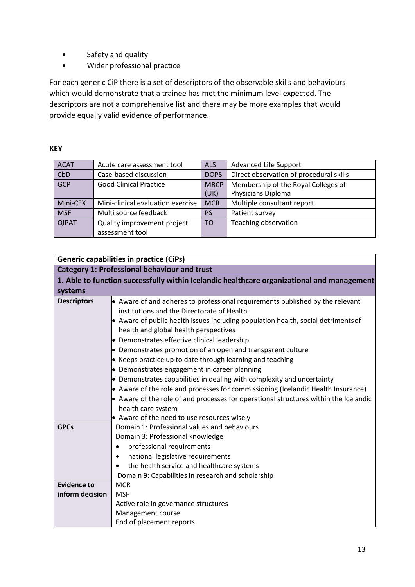- Safety and quality
- Wider professional practice

For each generic CiP there is a set of descriptors of the observable skills and behaviours which would demonstrate that a trainee has met the minimum level expected. The descriptors are not a comprehensive list and there may be more examples that would provide equally valid evidence of performance.

### **KEY**

| <b>ACAT</b>  | Acute care assessment tool                     | <b>ALS</b>          | <b>Advanced Life Support</b>                              |
|--------------|------------------------------------------------|---------------------|-----------------------------------------------------------|
| CbD          | Case-based discussion                          | <b>DOPS</b>         | Direct observation of procedural skills                   |
| <b>GCP</b>   | <b>Good Clinical Practice</b>                  | <b>MRCP</b><br>(UK) | Membership of the Royal Colleges of<br>Physicians Diploma |
| Mini-CEX     | Mini-clinical evaluation exercise              | <b>MCR</b>          | Multiple consultant report                                |
| <b>MSF</b>   | Multi source feedback                          | <b>PS</b>           | Patient survey                                            |
| <b>QIPAT</b> | Quality improvement project<br>assessment tool | T <sub>O</sub>      | Teaching observation                                      |

|                                                                                            | <b>Generic capabilities in practice (CiPs)</b>                                                                                                                                                                                                                                                                                                                                                                                                                                                                                                                                                                                                                               |  |
|--------------------------------------------------------------------------------------------|------------------------------------------------------------------------------------------------------------------------------------------------------------------------------------------------------------------------------------------------------------------------------------------------------------------------------------------------------------------------------------------------------------------------------------------------------------------------------------------------------------------------------------------------------------------------------------------------------------------------------------------------------------------------------|--|
| <b>Category 1: Professional behaviour and trust</b>                                        |                                                                                                                                                                                                                                                                                                                                                                                                                                                                                                                                                                                                                                                                              |  |
| 1. Able to function successfully within Icelandic healthcare organizational and management |                                                                                                                                                                                                                                                                                                                                                                                                                                                                                                                                                                                                                                                                              |  |
| systems                                                                                    |                                                                                                                                                                                                                                                                                                                                                                                                                                                                                                                                                                                                                                                                              |  |
| <b>Descriptors</b>                                                                         | • Aware of and adheres to professional requirements published by the relevant<br>institutions and the Directorate of Health.<br>$\bullet$ Aware of public health issues including population health, social detriments of<br>health and global health perspectives<br>• Demonstrates effective clinical leadership<br>$\bullet$ Demonstrates promotion of an open and transparent culture<br>• Keeps practice up to date through learning and teaching<br>• Demonstrates engagement in career planning<br>$\bullet$ Demonstrates capabilities in dealing with complexity and uncertainty<br>• Aware of the role and processes for commissioning (Icelandic Health Insurance) |  |
|                                                                                            | • Aware of the role of and processes for operational structures within the Icelandic<br>health care system<br>• Aware of the need to use resources wisely                                                                                                                                                                                                                                                                                                                                                                                                                                                                                                                    |  |
| <b>GPCs</b>                                                                                | Domain 1: Professional values and behaviours<br>Domain 3: Professional knowledge<br>professional requirements<br>national legislative requirements<br>$\bullet$<br>the health service and healthcare systems<br>Domain 9: Capabilities in research and scholarship                                                                                                                                                                                                                                                                                                                                                                                                           |  |
| <b>Evidence to</b>                                                                         | <b>MCR</b>                                                                                                                                                                                                                                                                                                                                                                                                                                                                                                                                                                                                                                                                   |  |
| inform decision                                                                            | <b>MSF</b>                                                                                                                                                                                                                                                                                                                                                                                                                                                                                                                                                                                                                                                                   |  |
|                                                                                            | Active role in governance structures                                                                                                                                                                                                                                                                                                                                                                                                                                                                                                                                                                                                                                         |  |
|                                                                                            | Management course<br>End of placement reports                                                                                                                                                                                                                                                                                                                                                                                                                                                                                                                                                                                                                                |  |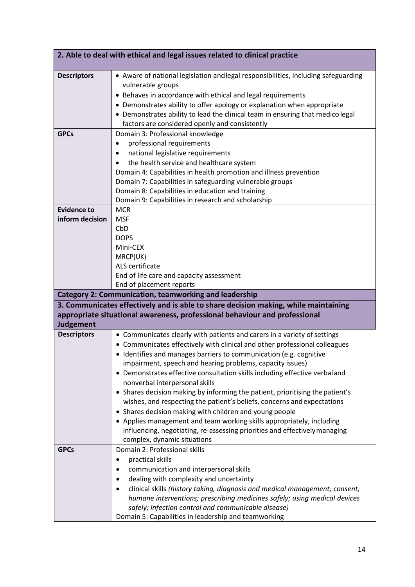| 2. Able to deal with ethical and legal issues related to clinical practice |                                                                                                             |  |
|----------------------------------------------------------------------------|-------------------------------------------------------------------------------------------------------------|--|
| <b>Descriptors</b>                                                         | • Aware of national legislation and legal responsibilities, including safeguarding                          |  |
|                                                                            | vulnerable groups                                                                                           |  |
|                                                                            | • Behaves in accordance with ethical and legal requirements                                                 |  |
|                                                                            | • Demonstrates ability to offer apology or explanation when appropriate                                     |  |
|                                                                            | • Demonstrates ability to lead the clinical team in ensuring that medico legal                              |  |
|                                                                            | factors are considered openly and consistently                                                              |  |
| <b>GPCs</b>                                                                | Domain 3: Professional knowledge                                                                            |  |
|                                                                            | professional requirements<br>$\bullet$                                                                      |  |
|                                                                            | national legislative requirements                                                                           |  |
|                                                                            | the health service and healthcare system                                                                    |  |
|                                                                            | Domain 4: Capabilities in health promotion and illness prevention                                           |  |
|                                                                            | Domain 7: Capabilities in safeguarding vulnerable groups                                                    |  |
|                                                                            | Domain 8: Capabilities in education and training                                                            |  |
| <b>Evidence to</b>                                                         | Domain 9: Capabilities in research and scholarship<br><b>MCR</b>                                            |  |
| inform decision                                                            | <b>MSF</b>                                                                                                  |  |
|                                                                            | CbD                                                                                                         |  |
|                                                                            | <b>DOPS</b>                                                                                                 |  |
|                                                                            | Mini-CEX                                                                                                    |  |
|                                                                            | MRCP(UK)                                                                                                    |  |
|                                                                            | ALS certificate                                                                                             |  |
|                                                                            | End of life care and capacity assessment                                                                    |  |
|                                                                            | End of placement reports                                                                                    |  |
|                                                                            |                                                                                                             |  |
|                                                                            | <b>Category 2: Communication, teamworking and leadership</b>                                                |  |
|                                                                            | 3. Communicates effectively and is able to share decision making, while maintaining                         |  |
|                                                                            | appropriate situational awareness, professional behaviour and professional                                  |  |
| <b>Judgement</b>                                                           |                                                                                                             |  |
| <b>Descriptors</b>                                                         | • Communicates clearly with patients and carers in a variety of settings                                    |  |
|                                                                            | • Communicates effectively with clinical and other professional colleagues                                  |  |
|                                                                            | • Identifies and manages barriers to communication (e.g. cognitive                                          |  |
|                                                                            | impairment, speech and hearing problems, capacity issues)                                                   |  |
|                                                                            | • Demonstrates effective consultation skills including effective verbaland                                  |  |
|                                                                            | nonverbal interpersonal skills                                                                              |  |
|                                                                            | • Shares decision making by informing the patient, prioritising the patient's                               |  |
|                                                                            | wishes, and respecting the patient's beliefs, concerns and expectations                                     |  |
|                                                                            | • Shares decision making with children and young people                                                     |  |
|                                                                            | • Applies management and team working skills appropriately, including                                       |  |
|                                                                            | influencing, negotiating, re-assessing priorities and effectively managing<br>complex, dynamic situations   |  |
| <b>GPCs</b>                                                                | Domain 2: Professional skills                                                                               |  |
|                                                                            | practical skills                                                                                            |  |
|                                                                            | communication and interpersonal skills                                                                      |  |
|                                                                            | dealing with complexity and uncertainty                                                                     |  |
|                                                                            | clinical skills (history taking, diagnosis and medical management; consent;                                 |  |
|                                                                            | humane interventions; prescribing medicines safely; using medical devices                                   |  |
|                                                                            | safely; infection control and communicable disease)<br>Domain 5: Capabilities in leadership and teamworking |  |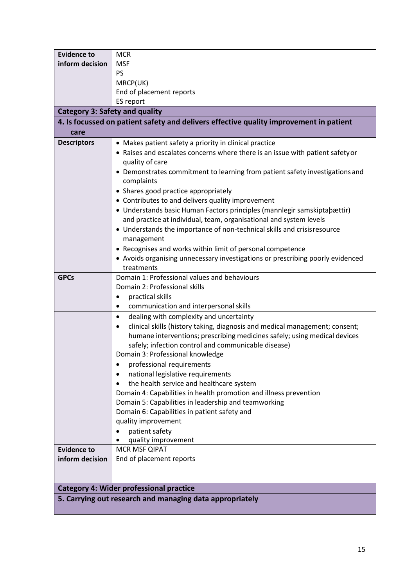| <b>Evidence to</b>                                       | <b>MCR</b>                                                                                                    |  |
|----------------------------------------------------------|---------------------------------------------------------------------------------------------------------------|--|
| inform decision                                          | <b>MSF</b>                                                                                                    |  |
|                                                          | PS                                                                                                            |  |
|                                                          | MRCP(UK)                                                                                                      |  |
|                                                          | End of placement reports                                                                                      |  |
|                                                          | ES report                                                                                                     |  |
| <b>Category 3: Safety and quality</b>                    |                                                                                                               |  |
|                                                          | 4. Is focussed on patient safety and delivers effective quality improvement in patient                        |  |
| care                                                     |                                                                                                               |  |
| <b>Descriptors</b>                                       | • Makes patient safety a priority in clinical practice                                                        |  |
|                                                          | • Raises and escalates concerns where there is an issue with patient safety or                                |  |
|                                                          | quality of care                                                                                               |  |
|                                                          | • Demonstrates commitment to learning from patient safety investigations and                                  |  |
|                                                          | complaints                                                                                                    |  |
|                                                          | • Shares good practice appropriately                                                                          |  |
|                                                          | • Contributes to and delivers quality improvement                                                             |  |
|                                                          | • Understands basic Human Factors principles (mannlegir samskiptabættir)                                      |  |
|                                                          | and practice at individual, team, organisational and system levels                                            |  |
|                                                          | • Understands the importance of non-technical skills and crisis resource                                      |  |
|                                                          | management                                                                                                    |  |
|                                                          | • Recognises and works within limit of personal competence                                                    |  |
|                                                          | • Avoids organising unnecessary investigations or prescribing poorly evidenced                                |  |
|                                                          | treatments                                                                                                    |  |
| <b>GPCs</b>                                              | Domain 1: Professional values and behaviours                                                                  |  |
|                                                          | Domain 2: Professional skills                                                                                 |  |
|                                                          | practical skills                                                                                              |  |
|                                                          | communication and interpersonal skills                                                                        |  |
|                                                          | dealing with complexity and uncertainty<br>$\bullet$                                                          |  |
|                                                          | clinical skills (history taking, diagnosis and medical management; consent;<br>$\bullet$                      |  |
|                                                          | humane interventions; prescribing medicines safely; using medical devices                                     |  |
|                                                          | safely; infection control and communicable disease)                                                           |  |
|                                                          | Domain 3: Professional knowledge                                                                              |  |
|                                                          | professional requirements                                                                                     |  |
|                                                          | national legislative requirements                                                                             |  |
|                                                          | the health service and healthcare system<br>Domain 4: Capabilities in health promotion and illness prevention |  |
|                                                          | Domain 5: Capabilities in leadership and teamworking                                                          |  |
|                                                          | Domain 6: Capabilities in patient safety and                                                                  |  |
|                                                          | quality improvement                                                                                           |  |
|                                                          | patient safety<br>$\bullet$                                                                                   |  |
|                                                          | quality improvement                                                                                           |  |
| <b>Evidence to</b>                                       | <b>MCR MSF QIPAT</b>                                                                                          |  |
| inform decision                                          | End of placement reports                                                                                      |  |
|                                                          |                                                                                                               |  |
|                                                          |                                                                                                               |  |
| <b>Category 4: Wider professional practice</b>           |                                                                                                               |  |
| 5. Carrying out research and managing data appropriately |                                                                                                               |  |
|                                                          |                                                                                                               |  |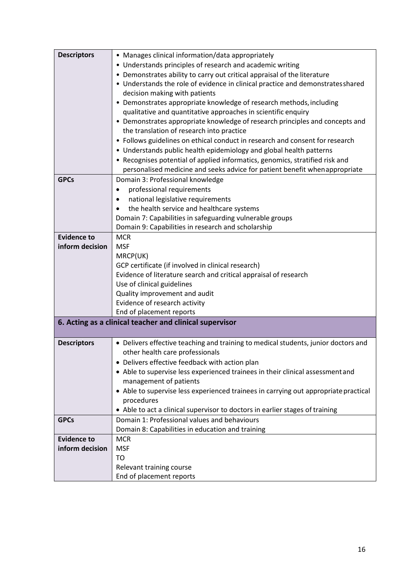| <b>Descriptors</b> | • Manages clinical information/data appropriately                                   |
|--------------------|-------------------------------------------------------------------------------------|
|                    | • Understands principles of research and academic writing                           |
|                    | • Demonstrates ability to carry out critical appraisal of the literature            |
|                    | • Understands the role of evidence in clinical practice and demonstratesshared      |
|                    | decision making with patients                                                       |
|                    | • Demonstrates appropriate knowledge of research methods, including                 |
|                    | qualitative and quantitative approaches in scientific enquiry                       |
|                    | • Demonstrates appropriate knowledge of research principles and concepts and        |
|                    | the translation of research into practice                                           |
|                    | • Follows guidelines on ethical conduct in research and consent for research        |
|                    | • Understands public health epidemiology and global health patterns                 |
|                    | • Recognises potential of applied informatics, genomics, stratified risk and        |
|                    | personalised medicine and seeks advice for patient benefit whenappropriate          |
| <b>GPCs</b>        | Domain 3: Professional knowledge                                                    |
|                    | professional requirements<br>$\bullet$                                              |
|                    | national legislative requirements                                                   |
|                    | the health service and healthcare systems                                           |
|                    | Domain 7: Capabilities in safeguarding vulnerable groups                            |
|                    | Domain 9: Capabilities in research and scholarship                                  |
| <b>Evidence to</b> | <b>MCR</b>                                                                          |
| inform decision    | <b>MSF</b>                                                                          |
|                    | MRCP(UK)                                                                            |
|                    | GCP certificate (if involved in clinical research)                                  |
|                    | Evidence of literature search and critical appraisal of research                    |
|                    | Use of clinical guidelines                                                          |
|                    | Quality improvement and audit                                                       |
|                    | Evidence of research activity                                                       |
|                    | End of placement reports                                                            |
|                    | 6. Acting as a clinical teacher and clinical supervisor                             |
|                    |                                                                                     |
| <b>Descriptors</b> | • Delivers effective teaching and training to medical students, junior doctors and  |
|                    | other health care professionals                                                     |
|                    | Delivers effective feedback with action plan                                        |
|                    | • Able to supervise less experienced trainees in their clinical assessment and      |
|                    | management of patients                                                              |
|                    | • Able to supervise less experienced trainees in carrying out appropriate practical |
|                    | procedures                                                                          |
|                    | • Able to act a clinical supervisor to doctors in earlier stages of training        |
| <b>GPCs</b>        | Domain 1: Professional values and behaviours                                        |
|                    | Domain 8: Capabilities in education and training                                    |
| <b>Evidence to</b> | <b>MCR</b>                                                                          |
| inform decision    | <b>MSF</b>                                                                          |
|                    | <b>TO</b>                                                                           |
|                    | Relevant training course                                                            |
|                    | End of placement reports                                                            |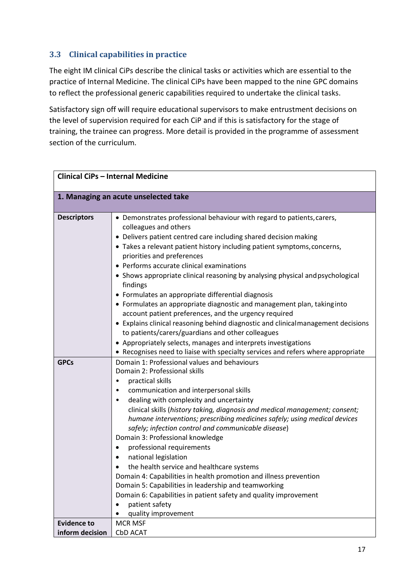### **3.3 Clinical capabilities in practice**

The eight IM clinical CiPs describe the clinical tasks or activities which are essential to the practice of Internal Medicine. The clinical CiPs have been mapped to the nine GPC domains to reflect the professional generic capabilities required to undertake the clinical tasks.

Satisfactory sign off will require educational supervisors to make entrustment decisions on the level of supervision required for each CiP and if this is satisfactory for the stage of training, the trainee can progress. More detail is provided in the programme of assessment section of the curriculum.

| 1. Managing an acute unselected take                                                                                                                                                                                                                                                                                                                                                                                                                                                                                                                                                                                                                                                                                                                                                                                                                                                                                                     |
|------------------------------------------------------------------------------------------------------------------------------------------------------------------------------------------------------------------------------------------------------------------------------------------------------------------------------------------------------------------------------------------------------------------------------------------------------------------------------------------------------------------------------------------------------------------------------------------------------------------------------------------------------------------------------------------------------------------------------------------------------------------------------------------------------------------------------------------------------------------------------------------------------------------------------------------|
|                                                                                                                                                                                                                                                                                                                                                                                                                                                                                                                                                                                                                                                                                                                                                                                                                                                                                                                                          |
| <b>Descriptors</b><br>• Demonstrates professional behaviour with regard to patients, carers,<br>colleagues and others<br>• Delivers patient centred care including shared decision making<br>• Takes a relevant patient history including patient symptoms, concerns,<br>priorities and preferences<br>• Performs accurate clinical examinations<br>• Shows appropriate clinical reasoning by analysing physical and psychological<br>findings<br>• Formulates an appropriate differential diagnosis<br>• Formulates an appropriate diagnostic and management plan, taking into<br>account patient preferences, and the urgency required<br>• Explains clinical reasoning behind diagnostic and clinical management decisions<br>to patients/carers/guardians and other colleagues<br>• Appropriately selects, manages and interprets investigations<br>• Recognises need to liaise with specialty services and refers where appropriate |
| Domain 1: Professional values and behaviours<br><b>GPCs</b><br>Domain 2: Professional skills<br>practical skills<br>$\bullet$<br>communication and interpersonal skills<br>$\bullet$<br>dealing with complexity and uncertainty<br>$\bullet$<br>clinical skills (history taking, diagnosis and medical management; consent;<br>humane interventions; prescribing medicines safely; using medical devices<br>safely; infection control and communicable disease)<br>Domain 3: Professional knowledge<br>professional requirements<br>$\bullet$<br>national legislation<br>$\bullet$<br>the health service and healthcare systems<br>$\bullet$<br>Domain 4: Capabilities in health promotion and illness prevention<br>Domain 5: Capabilities in leadership and teamworking<br>Domain 6: Capabilities in patient safety and quality improvement<br>patient safety<br>quality improvement                                                   |
| <b>Evidence to</b><br><b>MCR MSF</b><br>inform decision<br>CbD ACAT                                                                                                                                                                                                                                                                                                                                                                                                                                                                                                                                                                                                                                                                                                                                                                                                                                                                      |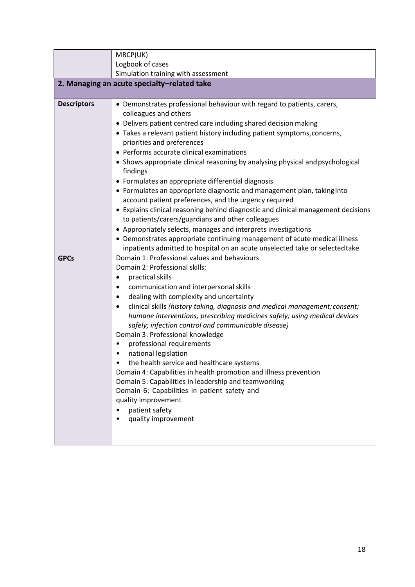|                    | MRCP(UK)                                                                                                                                                                                                                                                                                                                                                                                                                                                                                                                                                                                                                                                                                                                                                                                                                                                                                   |
|--------------------|--------------------------------------------------------------------------------------------------------------------------------------------------------------------------------------------------------------------------------------------------------------------------------------------------------------------------------------------------------------------------------------------------------------------------------------------------------------------------------------------------------------------------------------------------------------------------------------------------------------------------------------------------------------------------------------------------------------------------------------------------------------------------------------------------------------------------------------------------------------------------------------------|
|                    | Logbook of cases                                                                                                                                                                                                                                                                                                                                                                                                                                                                                                                                                                                                                                                                                                                                                                                                                                                                           |
|                    | Simulation training with assessment                                                                                                                                                                                                                                                                                                                                                                                                                                                                                                                                                                                                                                                                                                                                                                                                                                                        |
|                    | 2. Managing an acute specialty-related take                                                                                                                                                                                                                                                                                                                                                                                                                                                                                                                                                                                                                                                                                                                                                                                                                                                |
|                    |                                                                                                                                                                                                                                                                                                                                                                                                                                                                                                                                                                                                                                                                                                                                                                                                                                                                                            |
| <b>Descriptors</b> | • Demonstrates professional behaviour with regard to patients, carers,<br>colleagues and others<br>• Delivers patient centred care including shared decision making<br>• Takes a relevant patient history including patient symptoms, concerns,<br>priorities and preferences<br>• Performs accurate clinical examinations<br>• Shows appropriate clinical reasoning by analysing physical and psychological<br>findings<br>• Formulates an appropriate differential diagnosis<br>• Formulates an appropriate diagnostic and management plan, taking into<br>account patient preferences, and the urgency required<br>• Explains clinical reasoning behind diagnostic and clinical management decisions<br>to patients/carers/guardians and other colleagues<br>• Appropriately selects, manages and interprets investigations                                                             |
|                    | • Demonstrates appropriate continuing management of acute medical illness                                                                                                                                                                                                                                                                                                                                                                                                                                                                                                                                                                                                                                                                                                                                                                                                                  |
|                    |                                                                                                                                                                                                                                                                                                                                                                                                                                                                                                                                                                                                                                                                                                                                                                                                                                                                                            |
| <b>GPCs</b>        | inpatients admitted to hospital on an acute unselected take or selected take<br>Domain 1: Professional values and behaviours<br>Domain 2: Professional skills:<br>practical skills<br>$\bullet$<br>communication and interpersonal skills<br>dealing with complexity and uncertainty<br>clinical skills (history taking, diagnosis and medical management; consent;<br>humane interventions; prescribing medicines safely; using medical devices<br>safely; infection control and communicable disease)<br>Domain 3: Professional knowledge<br>professional requirements<br>national legislation<br>the health service and healthcare systems<br>Domain 4: Capabilities in health promotion and illness prevention<br>Domain 5: Capabilities in leadership and teamworking<br>Domain 6: Capabilities in patient safety and<br>quality improvement<br>patient safety<br>quality improvement |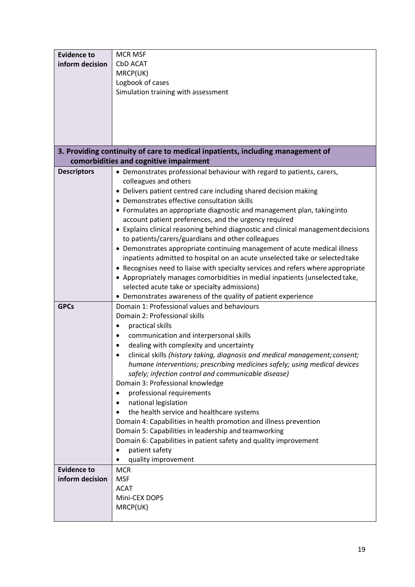| inform decision<br>CbD ACAT<br>MRCP(UK)<br>Logbook of cases<br>Simulation training with assessment<br>3. Providing continuity of care to medical inpatients, including management of<br>comorbidities and cognitive impairment<br>• Demonstrates professional behaviour with regard to patients, carers,<br><b>Descriptors</b><br>colleagues and others<br>• Delivers patient centred care including shared decision making<br>• Demonstrates effective consultation skills<br>• Formulates an appropriate diagnostic and management plan, taking into<br>account patient preferences, and the urgency required<br>• Explains clinical reasoning behind diagnostic and clinical management decisions<br>to patients/carers/guardians and other colleagues<br>• Demonstrates appropriate continuing management of acute medical illness<br>inpatients admitted to hospital on an acute unselected take or selected take<br>• Recognises need to liaise with specialty services and refers where appropriate<br>• Appropriately manages comorbidities in medial inpatients (unselected take,<br>selected acute take or specialty admissions)<br>• Demonstrates awareness of the quality of patient experience<br>Domain 1: Professional values and behaviours<br><b>GPCs</b><br>Domain 2: Professional skills<br>practical skills<br>communication and interpersonal skills<br>dealing with complexity and uncertainty<br>clinical skills (history taking, diagnosis and medical management; consent;<br>humane interventions; prescribing medicines safely; using medical devices<br>safely; infection control and communicable disease)<br>Domain 3: Professional knowledge<br>professional requirements<br>٠<br>national legislation<br>$\bullet$<br>the health service and healthcare systems<br>Domain 4: Capabilities in health promotion and illness prevention<br>Domain 5: Capabilities in leadership and teamworking<br>Domain 6: Capabilities in patient safety and quality improvement<br>patient safety<br>quality improvement<br><b>Evidence to</b><br><b>MCR</b><br>inform decision<br><b>MSF</b><br><b>ACAT</b><br>Mini-CEX DOPS<br>MRCP(UK) | <b>Evidence to</b> | <b>MCR MSF</b> |
|------------------------------------------------------------------------------------------------------------------------------------------------------------------------------------------------------------------------------------------------------------------------------------------------------------------------------------------------------------------------------------------------------------------------------------------------------------------------------------------------------------------------------------------------------------------------------------------------------------------------------------------------------------------------------------------------------------------------------------------------------------------------------------------------------------------------------------------------------------------------------------------------------------------------------------------------------------------------------------------------------------------------------------------------------------------------------------------------------------------------------------------------------------------------------------------------------------------------------------------------------------------------------------------------------------------------------------------------------------------------------------------------------------------------------------------------------------------------------------------------------------------------------------------------------------------------------------------------------------------------------------------------------------------------------------------------------------------------------------------------------------------------------------------------------------------------------------------------------------------------------------------------------------------------------------------------------------------------------------------------------------------------------------------------------------------------------------------------------------------------------------------------------------|--------------------|----------------|
|                                                                                                                                                                                                                                                                                                                                                                                                                                                                                                                                                                                                                                                                                                                                                                                                                                                                                                                                                                                                                                                                                                                                                                                                                                                                                                                                                                                                                                                                                                                                                                                                                                                                                                                                                                                                                                                                                                                                                                                                                                                                                                                                                            |                    |                |
|                                                                                                                                                                                                                                                                                                                                                                                                                                                                                                                                                                                                                                                                                                                                                                                                                                                                                                                                                                                                                                                                                                                                                                                                                                                                                                                                                                                                                                                                                                                                                                                                                                                                                                                                                                                                                                                                                                                                                                                                                                                                                                                                                            |                    |                |
|                                                                                                                                                                                                                                                                                                                                                                                                                                                                                                                                                                                                                                                                                                                                                                                                                                                                                                                                                                                                                                                                                                                                                                                                                                                                                                                                                                                                                                                                                                                                                                                                                                                                                                                                                                                                                                                                                                                                                                                                                                                                                                                                                            |                    |                |
|                                                                                                                                                                                                                                                                                                                                                                                                                                                                                                                                                                                                                                                                                                                                                                                                                                                                                                                                                                                                                                                                                                                                                                                                                                                                                                                                                                                                                                                                                                                                                                                                                                                                                                                                                                                                                                                                                                                                                                                                                                                                                                                                                            |                    |                |
|                                                                                                                                                                                                                                                                                                                                                                                                                                                                                                                                                                                                                                                                                                                                                                                                                                                                                                                                                                                                                                                                                                                                                                                                                                                                                                                                                                                                                                                                                                                                                                                                                                                                                                                                                                                                                                                                                                                                                                                                                                                                                                                                                            |                    |                |
|                                                                                                                                                                                                                                                                                                                                                                                                                                                                                                                                                                                                                                                                                                                                                                                                                                                                                                                                                                                                                                                                                                                                                                                                                                                                                                                                                                                                                                                                                                                                                                                                                                                                                                                                                                                                                                                                                                                                                                                                                                                                                                                                                            |                    |                |
|                                                                                                                                                                                                                                                                                                                                                                                                                                                                                                                                                                                                                                                                                                                                                                                                                                                                                                                                                                                                                                                                                                                                                                                                                                                                                                                                                                                                                                                                                                                                                                                                                                                                                                                                                                                                                                                                                                                                                                                                                                                                                                                                                            |                    |                |
|                                                                                                                                                                                                                                                                                                                                                                                                                                                                                                                                                                                                                                                                                                                                                                                                                                                                                                                                                                                                                                                                                                                                                                                                                                                                                                                                                                                                                                                                                                                                                                                                                                                                                                                                                                                                                                                                                                                                                                                                                                                                                                                                                            |                    |                |
|                                                                                                                                                                                                                                                                                                                                                                                                                                                                                                                                                                                                                                                                                                                                                                                                                                                                                                                                                                                                                                                                                                                                                                                                                                                                                                                                                                                                                                                                                                                                                                                                                                                                                                                                                                                                                                                                                                                                                                                                                                                                                                                                                            |                    |                |
|                                                                                                                                                                                                                                                                                                                                                                                                                                                                                                                                                                                                                                                                                                                                                                                                                                                                                                                                                                                                                                                                                                                                                                                                                                                                                                                                                                                                                                                                                                                                                                                                                                                                                                                                                                                                                                                                                                                                                                                                                                                                                                                                                            |                    |                |
|                                                                                                                                                                                                                                                                                                                                                                                                                                                                                                                                                                                                                                                                                                                                                                                                                                                                                                                                                                                                                                                                                                                                                                                                                                                                                                                                                                                                                                                                                                                                                                                                                                                                                                                                                                                                                                                                                                                                                                                                                                                                                                                                                            |                    |                |
|                                                                                                                                                                                                                                                                                                                                                                                                                                                                                                                                                                                                                                                                                                                                                                                                                                                                                                                                                                                                                                                                                                                                                                                                                                                                                                                                                                                                                                                                                                                                                                                                                                                                                                                                                                                                                                                                                                                                                                                                                                                                                                                                                            |                    |                |
|                                                                                                                                                                                                                                                                                                                                                                                                                                                                                                                                                                                                                                                                                                                                                                                                                                                                                                                                                                                                                                                                                                                                                                                                                                                                                                                                                                                                                                                                                                                                                                                                                                                                                                                                                                                                                                                                                                                                                                                                                                                                                                                                                            |                    |                |
|                                                                                                                                                                                                                                                                                                                                                                                                                                                                                                                                                                                                                                                                                                                                                                                                                                                                                                                                                                                                                                                                                                                                                                                                                                                                                                                                                                                                                                                                                                                                                                                                                                                                                                                                                                                                                                                                                                                                                                                                                                                                                                                                                            |                    |                |
|                                                                                                                                                                                                                                                                                                                                                                                                                                                                                                                                                                                                                                                                                                                                                                                                                                                                                                                                                                                                                                                                                                                                                                                                                                                                                                                                                                                                                                                                                                                                                                                                                                                                                                                                                                                                                                                                                                                                                                                                                                                                                                                                                            |                    |                |
|                                                                                                                                                                                                                                                                                                                                                                                                                                                                                                                                                                                                                                                                                                                                                                                                                                                                                                                                                                                                                                                                                                                                                                                                                                                                                                                                                                                                                                                                                                                                                                                                                                                                                                                                                                                                                                                                                                                                                                                                                                                                                                                                                            |                    |                |
|                                                                                                                                                                                                                                                                                                                                                                                                                                                                                                                                                                                                                                                                                                                                                                                                                                                                                                                                                                                                                                                                                                                                                                                                                                                                                                                                                                                                                                                                                                                                                                                                                                                                                                                                                                                                                                                                                                                                                                                                                                                                                                                                                            |                    |                |
|                                                                                                                                                                                                                                                                                                                                                                                                                                                                                                                                                                                                                                                                                                                                                                                                                                                                                                                                                                                                                                                                                                                                                                                                                                                                                                                                                                                                                                                                                                                                                                                                                                                                                                                                                                                                                                                                                                                                                                                                                                                                                                                                                            |                    |                |
|                                                                                                                                                                                                                                                                                                                                                                                                                                                                                                                                                                                                                                                                                                                                                                                                                                                                                                                                                                                                                                                                                                                                                                                                                                                                                                                                                                                                                                                                                                                                                                                                                                                                                                                                                                                                                                                                                                                                                                                                                                                                                                                                                            |                    |                |
|                                                                                                                                                                                                                                                                                                                                                                                                                                                                                                                                                                                                                                                                                                                                                                                                                                                                                                                                                                                                                                                                                                                                                                                                                                                                                                                                                                                                                                                                                                                                                                                                                                                                                                                                                                                                                                                                                                                                                                                                                                                                                                                                                            |                    |                |
|                                                                                                                                                                                                                                                                                                                                                                                                                                                                                                                                                                                                                                                                                                                                                                                                                                                                                                                                                                                                                                                                                                                                                                                                                                                                                                                                                                                                                                                                                                                                                                                                                                                                                                                                                                                                                                                                                                                                                                                                                                                                                                                                                            |                    |                |
|                                                                                                                                                                                                                                                                                                                                                                                                                                                                                                                                                                                                                                                                                                                                                                                                                                                                                                                                                                                                                                                                                                                                                                                                                                                                                                                                                                                                                                                                                                                                                                                                                                                                                                                                                                                                                                                                                                                                                                                                                                                                                                                                                            |                    |                |
|                                                                                                                                                                                                                                                                                                                                                                                                                                                                                                                                                                                                                                                                                                                                                                                                                                                                                                                                                                                                                                                                                                                                                                                                                                                                                                                                                                                                                                                                                                                                                                                                                                                                                                                                                                                                                                                                                                                                                                                                                                                                                                                                                            |                    |                |
|                                                                                                                                                                                                                                                                                                                                                                                                                                                                                                                                                                                                                                                                                                                                                                                                                                                                                                                                                                                                                                                                                                                                                                                                                                                                                                                                                                                                                                                                                                                                                                                                                                                                                                                                                                                                                                                                                                                                                                                                                                                                                                                                                            |                    |                |
|                                                                                                                                                                                                                                                                                                                                                                                                                                                                                                                                                                                                                                                                                                                                                                                                                                                                                                                                                                                                                                                                                                                                                                                                                                                                                                                                                                                                                                                                                                                                                                                                                                                                                                                                                                                                                                                                                                                                                                                                                                                                                                                                                            |                    |                |
|                                                                                                                                                                                                                                                                                                                                                                                                                                                                                                                                                                                                                                                                                                                                                                                                                                                                                                                                                                                                                                                                                                                                                                                                                                                                                                                                                                                                                                                                                                                                                                                                                                                                                                                                                                                                                                                                                                                                                                                                                                                                                                                                                            |                    |                |
|                                                                                                                                                                                                                                                                                                                                                                                                                                                                                                                                                                                                                                                                                                                                                                                                                                                                                                                                                                                                                                                                                                                                                                                                                                                                                                                                                                                                                                                                                                                                                                                                                                                                                                                                                                                                                                                                                                                                                                                                                                                                                                                                                            |                    |                |
|                                                                                                                                                                                                                                                                                                                                                                                                                                                                                                                                                                                                                                                                                                                                                                                                                                                                                                                                                                                                                                                                                                                                                                                                                                                                                                                                                                                                                                                                                                                                                                                                                                                                                                                                                                                                                                                                                                                                                                                                                                                                                                                                                            |                    |                |
|                                                                                                                                                                                                                                                                                                                                                                                                                                                                                                                                                                                                                                                                                                                                                                                                                                                                                                                                                                                                                                                                                                                                                                                                                                                                                                                                                                                                                                                                                                                                                                                                                                                                                                                                                                                                                                                                                                                                                                                                                                                                                                                                                            |                    |                |
|                                                                                                                                                                                                                                                                                                                                                                                                                                                                                                                                                                                                                                                                                                                                                                                                                                                                                                                                                                                                                                                                                                                                                                                                                                                                                                                                                                                                                                                                                                                                                                                                                                                                                                                                                                                                                                                                                                                                                                                                                                                                                                                                                            |                    |                |
|                                                                                                                                                                                                                                                                                                                                                                                                                                                                                                                                                                                                                                                                                                                                                                                                                                                                                                                                                                                                                                                                                                                                                                                                                                                                                                                                                                                                                                                                                                                                                                                                                                                                                                                                                                                                                                                                                                                                                                                                                                                                                                                                                            |                    |                |
|                                                                                                                                                                                                                                                                                                                                                                                                                                                                                                                                                                                                                                                                                                                                                                                                                                                                                                                                                                                                                                                                                                                                                                                                                                                                                                                                                                                                                                                                                                                                                                                                                                                                                                                                                                                                                                                                                                                                                                                                                                                                                                                                                            |                    |                |
|                                                                                                                                                                                                                                                                                                                                                                                                                                                                                                                                                                                                                                                                                                                                                                                                                                                                                                                                                                                                                                                                                                                                                                                                                                                                                                                                                                                                                                                                                                                                                                                                                                                                                                                                                                                                                                                                                                                                                                                                                                                                                                                                                            |                    |                |
|                                                                                                                                                                                                                                                                                                                                                                                                                                                                                                                                                                                                                                                                                                                                                                                                                                                                                                                                                                                                                                                                                                                                                                                                                                                                                                                                                                                                                                                                                                                                                                                                                                                                                                                                                                                                                                                                                                                                                                                                                                                                                                                                                            |                    |                |
|                                                                                                                                                                                                                                                                                                                                                                                                                                                                                                                                                                                                                                                                                                                                                                                                                                                                                                                                                                                                                                                                                                                                                                                                                                                                                                                                                                                                                                                                                                                                                                                                                                                                                                                                                                                                                                                                                                                                                                                                                                                                                                                                                            |                    |                |
|                                                                                                                                                                                                                                                                                                                                                                                                                                                                                                                                                                                                                                                                                                                                                                                                                                                                                                                                                                                                                                                                                                                                                                                                                                                                                                                                                                                                                                                                                                                                                                                                                                                                                                                                                                                                                                                                                                                                                                                                                                                                                                                                                            |                    |                |
|                                                                                                                                                                                                                                                                                                                                                                                                                                                                                                                                                                                                                                                                                                                                                                                                                                                                                                                                                                                                                                                                                                                                                                                                                                                                                                                                                                                                                                                                                                                                                                                                                                                                                                                                                                                                                                                                                                                                                                                                                                                                                                                                                            |                    |                |
|                                                                                                                                                                                                                                                                                                                                                                                                                                                                                                                                                                                                                                                                                                                                                                                                                                                                                                                                                                                                                                                                                                                                                                                                                                                                                                                                                                                                                                                                                                                                                                                                                                                                                                                                                                                                                                                                                                                                                                                                                                                                                                                                                            |                    |                |
|                                                                                                                                                                                                                                                                                                                                                                                                                                                                                                                                                                                                                                                                                                                                                                                                                                                                                                                                                                                                                                                                                                                                                                                                                                                                                                                                                                                                                                                                                                                                                                                                                                                                                                                                                                                                                                                                                                                                                                                                                                                                                                                                                            |                    |                |
|                                                                                                                                                                                                                                                                                                                                                                                                                                                                                                                                                                                                                                                                                                                                                                                                                                                                                                                                                                                                                                                                                                                                                                                                                                                                                                                                                                                                                                                                                                                                                                                                                                                                                                                                                                                                                                                                                                                                                                                                                                                                                                                                                            |                    |                |
|                                                                                                                                                                                                                                                                                                                                                                                                                                                                                                                                                                                                                                                                                                                                                                                                                                                                                                                                                                                                                                                                                                                                                                                                                                                                                                                                                                                                                                                                                                                                                                                                                                                                                                                                                                                                                                                                                                                                                                                                                                                                                                                                                            |                    |                |
|                                                                                                                                                                                                                                                                                                                                                                                                                                                                                                                                                                                                                                                                                                                                                                                                                                                                                                                                                                                                                                                                                                                                                                                                                                                                                                                                                                                                                                                                                                                                                                                                                                                                                                                                                                                                                                                                                                                                                                                                                                                                                                                                                            |                    |                |
|                                                                                                                                                                                                                                                                                                                                                                                                                                                                                                                                                                                                                                                                                                                                                                                                                                                                                                                                                                                                                                                                                                                                                                                                                                                                                                                                                                                                                                                                                                                                                                                                                                                                                                                                                                                                                                                                                                                                                                                                                                                                                                                                                            |                    |                |
|                                                                                                                                                                                                                                                                                                                                                                                                                                                                                                                                                                                                                                                                                                                                                                                                                                                                                                                                                                                                                                                                                                                                                                                                                                                                                                                                                                                                                                                                                                                                                                                                                                                                                                                                                                                                                                                                                                                                                                                                                                                                                                                                                            |                    |                |
|                                                                                                                                                                                                                                                                                                                                                                                                                                                                                                                                                                                                                                                                                                                                                                                                                                                                                                                                                                                                                                                                                                                                                                                                                                                                                                                                                                                                                                                                                                                                                                                                                                                                                                                                                                                                                                                                                                                                                                                                                                                                                                                                                            |                    |                |
|                                                                                                                                                                                                                                                                                                                                                                                                                                                                                                                                                                                                                                                                                                                                                                                                                                                                                                                                                                                                                                                                                                                                                                                                                                                                                                                                                                                                                                                                                                                                                                                                                                                                                                                                                                                                                                                                                                                                                                                                                                                                                                                                                            |                    |                |
|                                                                                                                                                                                                                                                                                                                                                                                                                                                                                                                                                                                                                                                                                                                                                                                                                                                                                                                                                                                                                                                                                                                                                                                                                                                                                                                                                                                                                                                                                                                                                                                                                                                                                                                                                                                                                                                                                                                                                                                                                                                                                                                                                            |                    |                |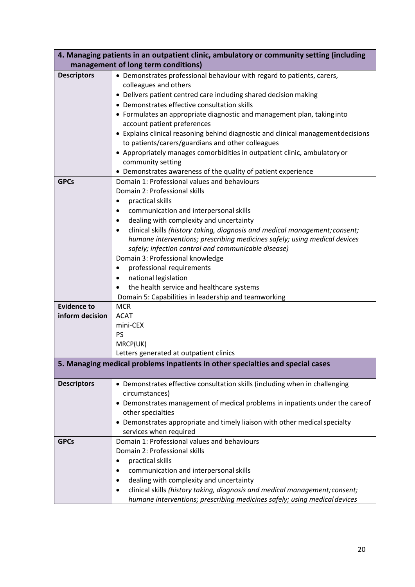|                    | 4. Managing patients in an outpatient clinic, ambulatory or community setting (including<br>management of long term conditions)  |
|--------------------|----------------------------------------------------------------------------------------------------------------------------------|
| <b>Descriptors</b> | • Demonstrates professional behaviour with regard to patients, carers,                                                           |
|                    | colleagues and others                                                                                                            |
|                    | • Delivers patient centred care including shared decision making                                                                 |
|                    | • Demonstrates effective consultation skills                                                                                     |
|                    | • Formulates an appropriate diagnostic and management plan, taking into                                                          |
|                    | account patient preferences                                                                                                      |
|                    | • Explains clinical reasoning behind diagnostic and clinical management decisions                                                |
|                    | to patients/carers/guardians and other colleagues                                                                                |
|                    | • Appropriately manages comorbidities in outpatient clinic, ambulatory or                                                        |
|                    | community setting                                                                                                                |
|                    | • Demonstrates awareness of the quality of patient experience                                                                    |
| <b>GPCs</b>        | Domain 1: Professional values and behaviours                                                                                     |
|                    | Domain 2: Professional skills                                                                                                    |
|                    | practical skills                                                                                                                 |
|                    | communication and interpersonal skills                                                                                           |
|                    | dealing with complexity and uncertainty                                                                                          |
|                    | clinical skills (history taking, diagnosis and medical management; consent;                                                      |
|                    | humane interventions; prescribing medicines safely; using medical devices<br>safely; infection control and communicable disease) |
|                    | Domain 3: Professional knowledge                                                                                                 |
|                    | professional requirements                                                                                                        |
|                    | national legislation                                                                                                             |
|                    | the health service and healthcare systems                                                                                        |
|                    | Domain 5: Capabilities in leadership and teamworking                                                                             |
| <b>Evidence to</b> | <b>MCR</b>                                                                                                                       |
| inform decision    | <b>ACAT</b>                                                                                                                      |
|                    | mini-CEX                                                                                                                         |
|                    | PS                                                                                                                               |
|                    | MRCP(UK)                                                                                                                         |
|                    | Letters generated at outpatient clinics                                                                                          |
|                    | 5. Managing medical problems inpatients in other specialties and special cases                                                   |
| <b>Descriptors</b> | • Demonstrates effective consultation skills (including when in challenging                                                      |
|                    | circumstances)                                                                                                                   |
|                    | • Demonstrates management of medical problems in inpatients under the care of                                                    |
|                    | other specialties                                                                                                                |
|                    | • Demonstrates appropriate and timely liaison with other medical specialty                                                       |
|                    | services when required                                                                                                           |
| <b>GPCs</b>        | Domain 1: Professional values and behaviours<br>Domain 2: Professional skills                                                    |
|                    | practical skills                                                                                                                 |
|                    | communication and interpersonal skills                                                                                           |
|                    | dealing with complexity and uncertainty                                                                                          |
|                    | clinical skills (history taking, diagnosis and medical management; consent;                                                      |
|                    | humane interventions; prescribing medicines safely; using medical devices                                                        |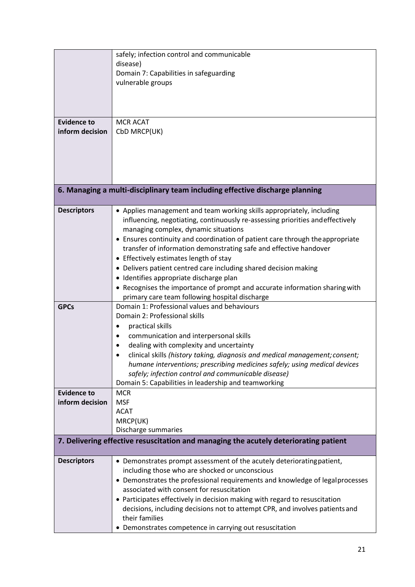|                    | safely; infection control and communicable                                           |
|--------------------|--------------------------------------------------------------------------------------|
|                    | disease)                                                                             |
|                    | Domain 7: Capabilities in safeguarding                                               |
|                    | vulnerable groups                                                                    |
|                    |                                                                                      |
|                    |                                                                                      |
| <b>Evidence to</b> | <b>MCR ACAT</b>                                                                      |
| inform decision    | CbD MRCP(UK)                                                                         |
|                    |                                                                                      |
|                    |                                                                                      |
|                    |                                                                                      |
|                    |                                                                                      |
|                    |                                                                                      |
|                    | 6. Managing a multi-disciplinary team including effective discharge planning         |
| <b>Descriptors</b> | • Applies management and team working skills appropriately, including                |
|                    | influencing, negotiating, continuously re-assessing priorities and effectively       |
|                    | managing complex, dynamic situations                                                 |
|                    | • Ensures continuity and coordination of patient care through the appropriate        |
|                    | transfer of information demonstrating safe and effective handover                    |
|                    | • Effectively estimates length of stay                                               |
|                    | • Delivers patient centred care including shared decision making                     |
|                    | · Identifies appropriate discharge plan                                              |
|                    | • Recognises the importance of prompt and accurate information sharing with          |
|                    | primary care team following hospital discharge                                       |
| <b>GPCs</b>        | Domain 1: Professional values and behaviours                                         |
|                    | Domain 2: Professional skills                                                        |
|                    | practical skills<br>$\bullet$                                                        |
|                    | communication and interpersonal skills<br>dealing with complexity and uncertainty    |
|                    | clinical skills (history taking, diagnosis and medical management; consent;          |
|                    | humane interventions; prescribing medicines safely; using medical devices            |
|                    | safely; infection control and communicable disease)                                  |
|                    | Domain 5: Capabilities in leadership and teamworking                                 |
| <b>Evidence to</b> | <b>MCR</b>                                                                           |
| inform decision    | <b>MSF</b>                                                                           |
|                    | <b>ACAT</b>                                                                          |
|                    | MRCP(UK)                                                                             |
|                    | Discharge summaries                                                                  |
|                    | 7. Delivering effective resuscitation and managing the acutely deteriorating patient |
| <b>Descriptors</b> | • Demonstrates prompt assessment of the acutely deteriorating patient,               |
|                    | including those who are shocked or unconscious                                       |
|                    | • Demonstrates the professional requirements and knowledge of legal processes        |
|                    | associated with consent for resuscitation                                            |
|                    | • Participates effectively in decision making with regard to resuscitation           |
|                    | decisions, including decisions not to attempt CPR, and involves patients and         |
|                    | their families                                                                       |
|                    | Demonstrates competence in carrying out resuscitation                                |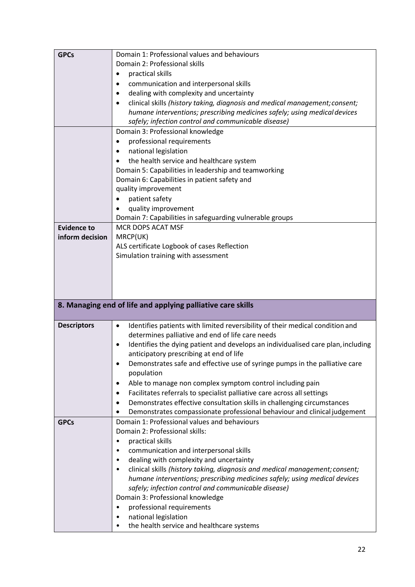| <b>GPCs</b>        | Domain 1: Professional values and behaviours                                                                                                      |  |  |  |  |
|--------------------|---------------------------------------------------------------------------------------------------------------------------------------------------|--|--|--|--|
|                    | Domain 2: Professional skills                                                                                                                     |  |  |  |  |
|                    | practical skills                                                                                                                                  |  |  |  |  |
|                    | communication and interpersonal skills                                                                                                            |  |  |  |  |
|                    | dealing with complexity and uncertainty                                                                                                           |  |  |  |  |
|                    | clinical skills (history taking, diagnosis and medical management; consent;<br>$\bullet$                                                          |  |  |  |  |
|                    | humane interventions; prescribing medicines safely; using medical devices                                                                         |  |  |  |  |
|                    | safely; infection control and communicable disease)                                                                                               |  |  |  |  |
|                    | Domain 3: Professional knowledge                                                                                                                  |  |  |  |  |
|                    | professional requirements<br>$\bullet$                                                                                                            |  |  |  |  |
|                    | national legislation<br>$\bullet$                                                                                                                 |  |  |  |  |
|                    | the health service and healthcare system                                                                                                          |  |  |  |  |
|                    | Domain 5: Capabilities in leadership and teamworking                                                                                              |  |  |  |  |
|                    | Domain 6: Capabilities in patient safety and                                                                                                      |  |  |  |  |
|                    | quality improvement                                                                                                                               |  |  |  |  |
|                    | patient safety                                                                                                                                    |  |  |  |  |
|                    | quality improvement                                                                                                                               |  |  |  |  |
|                    | Domain 7: Capabilities in safeguarding vulnerable groups                                                                                          |  |  |  |  |
| <b>Evidence to</b> | MCR DOPS ACAT MSF                                                                                                                                 |  |  |  |  |
| inform decision    | MRCP(UK)                                                                                                                                          |  |  |  |  |
|                    | ALS certificate Logbook of cases Reflection                                                                                                       |  |  |  |  |
|                    | Simulation training with assessment                                                                                                               |  |  |  |  |
|                    |                                                                                                                                                   |  |  |  |  |
|                    |                                                                                                                                                   |  |  |  |  |
|                    |                                                                                                                                                   |  |  |  |  |
|                    |                                                                                                                                                   |  |  |  |  |
|                    | 8. Managing end of life and applying palliative care skills                                                                                       |  |  |  |  |
|                    |                                                                                                                                                   |  |  |  |  |
| <b>Descriptors</b> | Identifies patients with limited reversibility of their medical condition and<br>$\bullet$                                                        |  |  |  |  |
|                    | determines palliative and end of life care needs                                                                                                  |  |  |  |  |
|                    | Identifies the dying patient and develops an individualised care plan, including<br>$\bullet$                                                     |  |  |  |  |
|                    | anticipatory prescribing at end of life                                                                                                           |  |  |  |  |
|                    | Demonstrates safe and effective use of syringe pumps in the palliative care<br>$\bullet$<br>population                                            |  |  |  |  |
|                    |                                                                                                                                                   |  |  |  |  |
|                    | Able to manage non complex symptom control including pain<br>$\bullet$<br>Facilitates referrals to specialist palliative care across all settings |  |  |  |  |
|                    | Demonstrates effective consultation skills in challenging circumstances<br>$\bullet$                                                              |  |  |  |  |
|                    | Demonstrates compassionate professional behaviour and clinical judgement                                                                          |  |  |  |  |
| <b>GPCs</b>        | Domain 1: Professional values and behaviours                                                                                                      |  |  |  |  |
|                    | Domain 2: Professional skills:                                                                                                                    |  |  |  |  |
|                    | practical skills<br>٠                                                                                                                             |  |  |  |  |
|                    | communication and interpersonal skills                                                                                                            |  |  |  |  |
|                    | dealing with complexity and uncertainty                                                                                                           |  |  |  |  |
|                    | clinical skills (history taking, diagnosis and medical management; consent;<br>$\bullet$                                                          |  |  |  |  |
|                    |                                                                                                                                                   |  |  |  |  |
|                    |                                                                                                                                                   |  |  |  |  |
|                    | humane interventions; prescribing medicines safely; using medical devices                                                                         |  |  |  |  |
|                    | safely; infection control and communicable disease)<br>Domain 3: Professional knowledge                                                           |  |  |  |  |
|                    | professional requirements<br>$\bullet$                                                                                                            |  |  |  |  |
|                    | national legislation                                                                                                                              |  |  |  |  |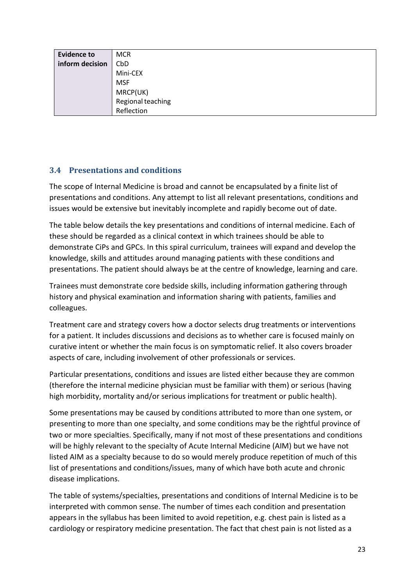| <b>Evidence to</b> | <b>MCR</b>        |
|--------------------|-------------------|
| inform decision    | <b>CbD</b>        |
|                    | Mini-CEX          |
|                    | <b>MSF</b>        |
|                    | MRCP(UK)          |
|                    | Regional teaching |
|                    | Reflection        |

### **3.4 Presentations and conditions**

The scope of Internal Medicine is broad and cannot be encapsulated by a finite list of presentations and conditions. Any attempt to list all relevant presentations, conditions and issues would be extensive but inevitably incomplete and rapidly become out of date.

The table below details the key presentations and conditions of internal medicine. Each of these should be regarded as a clinical context in which trainees should be able to demonstrate CiPs and GPCs. In this spiral curriculum, trainees will expand and develop the knowledge, skills and attitudes around managing patients with these conditions and presentations. The patient should always be at the centre of knowledge, learning and care.

Trainees must demonstrate core bedside skills, including information gathering through history and physical examination and information sharing with patients, families and colleagues.

Treatment care and strategy covers how a doctor selects drug treatments or interventions for a patient. It includes discussions and decisions as to whether care is focused mainly on curative intent or whether the main focus is on symptomatic relief. It also covers broader aspects of care, including involvement of other professionals or services.

Particular presentations, conditions and issues are listed either because they are common (therefore the internal medicine physician must be familiar with them) or serious (having high morbidity, mortality and/or serious implications for treatment or public health).

Some presentations may be caused by conditions attributed to more than one system, or presenting to more than one specialty, and some conditions may be the rightful province of two or more specialties. Specifically, many if not most of these presentations and conditions will be highly relevant to the specialty of Acute Internal Medicine (AIM) but we have not listed AIM as a specialty because to do so would merely produce repetition of much of this list of presentations and conditions/issues, many of which have both acute and chronic disease implications.

The table of systems/specialties, presentations and conditions of Internal Medicine is to be interpreted with common sense. The number of times each condition and presentation appears in the syllabus has been limited to avoid repetition, e.g. chest pain is listed as a cardiology or respiratory medicine presentation. The fact that chest pain is not listed as a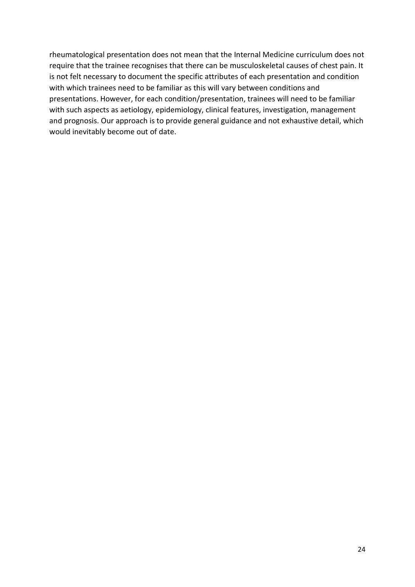rheumatological presentation does not mean that the Internal Medicine curriculum does not require that the trainee recognises that there can be musculoskeletal causes of chest pain. It is not felt necessary to document the specific attributes of each presentation and condition with which trainees need to be familiar as this will vary between conditions and presentations. However, for each condition/presentation, trainees will need to be familiar with such aspects as aetiology, epidemiology, clinical features, investigation, management and prognosis. Our approach is to provide general guidance and not exhaustive detail, which would inevitably become out of date.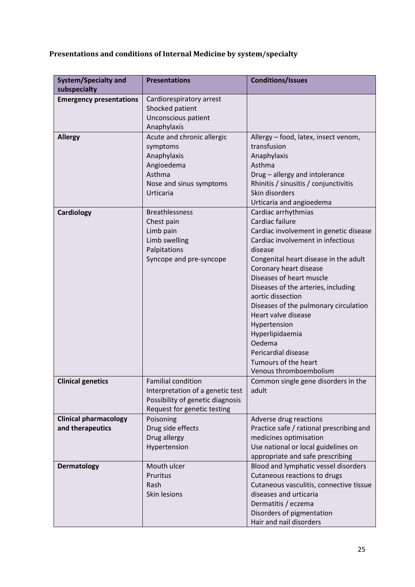| Presentations and conditions of Internal Medicine by system/specialty |  |  |  |  |
|-----------------------------------------------------------------------|--|--|--|--|
|                                                                       |  |  |  |  |

| <b>System/Specialty and</b><br>subspecialty      | <b>Presentations</b>                                                                                                             | <b>Conditions/Issues</b>                                                                                                                                                                                                                                                                                                                                                                                                                                                          |
|--------------------------------------------------|----------------------------------------------------------------------------------------------------------------------------------|-----------------------------------------------------------------------------------------------------------------------------------------------------------------------------------------------------------------------------------------------------------------------------------------------------------------------------------------------------------------------------------------------------------------------------------------------------------------------------------|
| <b>Emergency presentations</b>                   | Cardiorespiratory arrest<br>Shocked patient<br>Unconscious patient<br>Anaphylaxis                                                |                                                                                                                                                                                                                                                                                                                                                                                                                                                                                   |
| <b>Allergy</b>                                   | Acute and chronic allergic<br>symptoms<br>Anaphylaxis<br>Angioedema<br>Asthma<br>Nose and sinus symptoms<br>Urticaria            | Allergy - food, latex, insect venom,<br>transfusion<br>Anaphylaxis<br>Asthma<br>Drug - allergy and intolerance<br>Rhinitis / sinusitis / conjunctivitis<br>Skin disorders<br>Urticaria and angioedema                                                                                                                                                                                                                                                                             |
| Cardiology                                       | <b>Breathlessness</b><br>Chest pain<br>Limb pain<br>Limb swelling<br>Palpitations<br>Syncope and pre-syncope                     | Cardiac arrhythmias<br>Cardiac failure<br>Cardiac involvement in genetic disease<br>Cardiac involvement in infectious<br>disease<br>Congenital heart disease in the adult<br>Coronary heart disease<br>Diseases of heart muscle<br>Diseases of the arteries, including<br>aortic dissection<br>Diseases of the pulmonary circulation<br>Heart valve disease<br>Hypertension<br>Hyperlipidaemia<br>Oedema<br>Pericardial disease<br>Tumours of the heart<br>Venous thromboembolism |
| <b>Clinical genetics</b>                         | <b>Familial condition</b><br>Interpretation of a genetic test<br>Possibility of genetic diagnosis<br>Request for genetic testing | Common single gene disorders in the<br>adult                                                                                                                                                                                                                                                                                                                                                                                                                                      |
| <b>Clinical pharmacology</b><br>and therapeutics | Poisoning<br>Drug side effects<br>Drug allergy<br>Hypertension                                                                   | Adverse drug reactions<br>Practice safe / rational prescribing and<br>medicines optimisation<br>Use national or local guidelines on<br>appropriate and safe prescribing                                                                                                                                                                                                                                                                                                           |
| <b>Dermatology</b>                               | Mouth ulcer<br>Pruritus<br>Rash<br>Skin lesions                                                                                  | Blood and lymphatic vessel disorders<br>Cutaneous reactions to drugs<br>Cutaneous vasculitis, connective tissue<br>diseases and urticaria<br>Dermatitis / eczema<br>Disorders of pigmentation<br>Hair and nail disorders                                                                                                                                                                                                                                                          |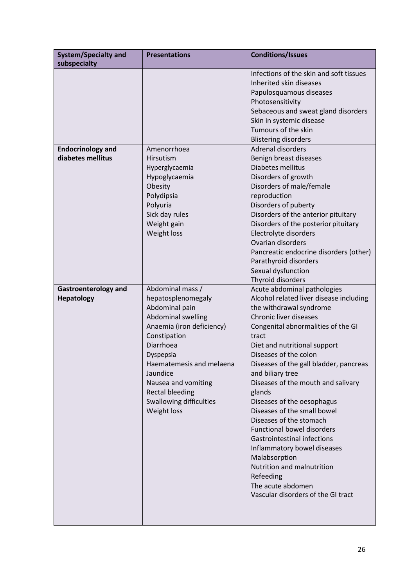| <b>System/Specialty and</b><br>subspecialty      | <b>Presentations</b>                                                                                                                                                                                                                                                                                   | <b>Conditions/Issues</b>                                                                                                                                                                                                                                                                                                                                                                                                                                                                                                                                                                                                                                                   |
|--------------------------------------------------|--------------------------------------------------------------------------------------------------------------------------------------------------------------------------------------------------------------------------------------------------------------------------------------------------------|----------------------------------------------------------------------------------------------------------------------------------------------------------------------------------------------------------------------------------------------------------------------------------------------------------------------------------------------------------------------------------------------------------------------------------------------------------------------------------------------------------------------------------------------------------------------------------------------------------------------------------------------------------------------------|
|                                                  |                                                                                                                                                                                                                                                                                                        | Infections of the skin and soft tissues<br>Inherited skin diseases<br>Papulosquamous diseases<br>Photosensitivity<br>Sebaceous and sweat gland disorders<br>Skin in systemic disease<br>Tumours of the skin<br><b>Blistering disorders</b>                                                                                                                                                                                                                                                                                                                                                                                                                                 |
| <b>Endocrinology and</b><br>diabetes mellitus    | Amenorrhoea<br><b>Hirsutism</b><br>Hyperglycaemia<br>Hypoglycaemia<br>Obesity<br>Polydipsia<br>Polyuria<br>Sick day rules<br>Weight gain<br>Weight loss                                                                                                                                                | <b>Adrenal disorders</b><br>Benign breast diseases<br>Diabetes mellitus<br>Disorders of growth<br>Disorders of male/female<br>reproduction<br>Disorders of puberty<br>Disorders of the anterior pituitary<br>Disorders of the posterior pituitary<br>Electrolyte disorders<br>Ovarian disorders<br>Pancreatic endocrine disorders (other)<br>Parathyroid disorders<br>Sexual dysfunction<br>Thyroid disorders                                                                                                                                                                                                                                                              |
| <b>Gastroenterology and</b><br><b>Hepatology</b> | Abdominal mass /<br>hepatosplenomegaly<br>Abdominal pain<br><b>Abdominal swelling</b><br>Anaemia (iron deficiency)<br>Constipation<br>Diarrhoea<br>Dyspepsia<br>Haematemesis and melaena<br>Jaundice<br>Nausea and vomiting<br><b>Rectal bleeding</b><br><b>Swallowing difficulties</b><br>Weight loss | Acute abdominal pathologies<br>Alcohol related liver disease including<br>the withdrawal syndrome<br>Chronic liver diseases<br>Congenital abnormalities of the GI<br>tract<br>Diet and nutritional support<br>Diseases of the colon<br>Diseases of the gall bladder, pancreas<br>and biliary tree<br>Diseases of the mouth and salivary<br>glands<br>Diseases of the oesophagus<br>Diseases of the small bowel<br>Diseases of the stomach<br><b>Functional bowel disorders</b><br><b>Gastrointestinal infections</b><br>Inflammatory bowel diseases<br>Malabsorption<br>Nutrition and malnutrition<br>Refeeding<br>The acute abdomen<br>Vascular disorders of the GI tract |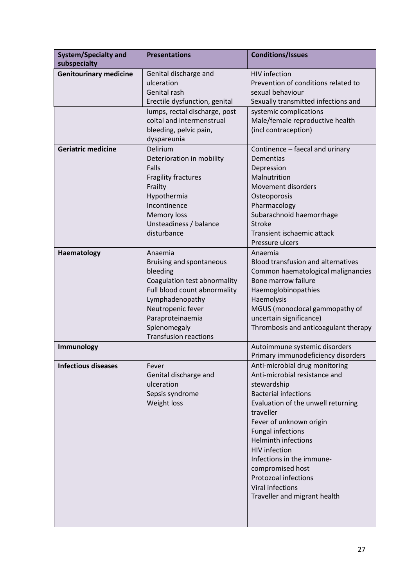| <b>System/Specialty and</b><br>subspecialty | <b>Presentations</b>                                                                                                                                                                                                        | <b>Conditions/Issues</b>                                                                                                                                                                                                                                                                                                                                                                                   |
|---------------------------------------------|-----------------------------------------------------------------------------------------------------------------------------------------------------------------------------------------------------------------------------|------------------------------------------------------------------------------------------------------------------------------------------------------------------------------------------------------------------------------------------------------------------------------------------------------------------------------------------------------------------------------------------------------------|
| <b>Genitourinary medicine</b>               | Genital discharge and<br>ulceration<br>Genital rash<br>Erectile dysfunction, genital                                                                                                                                        | <b>HIV</b> infection<br>Prevention of conditions related to<br>sexual behaviour<br>Sexually transmitted infections and                                                                                                                                                                                                                                                                                     |
|                                             | lumps, rectal discharge, post<br>coital and intermenstrual<br>bleeding, pelvic pain,<br>dyspareunia                                                                                                                         | systemic complications<br>Male/female reproductive health<br>(incl contraception)                                                                                                                                                                                                                                                                                                                          |
| <b>Geriatric medicine</b>                   | Delirium<br>Deterioration in mobility<br>Falls<br><b>Fragility fractures</b><br>Frailty<br>Hypothermia<br>Incontinence<br>Memory loss<br>Unsteadiness / balance<br>disturbance                                              | Continence - faecal and urinary<br>Dementias<br>Depression<br>Malnutrition<br><b>Movement disorders</b><br>Osteoporosis<br>Pharmacology<br>Subarachnoid haemorrhage<br><b>Stroke</b><br>Transient ischaemic attack<br>Pressure ulcers                                                                                                                                                                      |
| Haematology                                 | Anaemia<br>Bruising and spontaneous<br>bleeding<br>Coagulation test abnormality<br>Full blood count abnormality<br>Lymphadenopathy<br>Neutropenic fever<br>Paraproteinaemia<br>Splenomegaly<br><b>Transfusion reactions</b> | Anaemia<br><b>Blood transfusion and alternatives</b><br>Common haematological malignancies<br>Bone marrow failure<br>Haemoglobinopathies<br>Haemolysis<br>MGUS (monoclocal gammopathy of<br>uncertain significance)<br>Thrombosis and anticoagulant therapy                                                                                                                                                |
| Immunology                                  |                                                                                                                                                                                                                             | Autoimmune systemic disorders<br>Primary immunodeficiency disorders                                                                                                                                                                                                                                                                                                                                        |
| <b>Infectious diseases</b>                  | Fever<br>Genital discharge and<br>ulceration<br>Sepsis syndrome<br>Weight loss                                                                                                                                              | Anti-microbial drug monitoring<br>Anti-microbial resistance and<br>stewardship<br><b>Bacterial infections</b><br>Evaluation of the unwell returning<br>traveller<br>Fever of unknown origin<br><b>Fungal infections</b><br><b>Helminth infections</b><br><b>HIV</b> infection<br>Infections in the immune-<br>compromised host<br>Protozoal infections<br>Viral infections<br>Traveller and migrant health |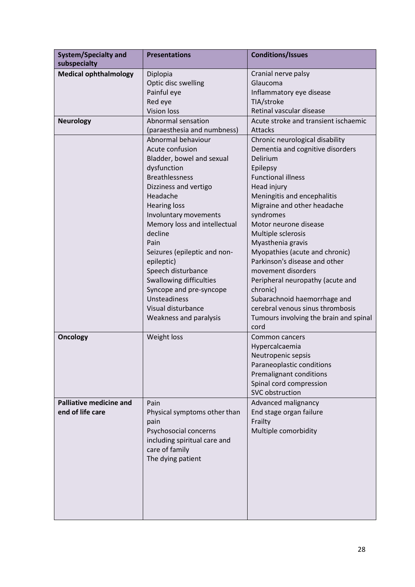| <b>System/Specialty and</b><br>subspecialty        | <b>Presentations</b>                                                                                                                                                                                                                                                                                                                                                                                                                                | <b>Conditions/Issues</b>                                                                                                                                                                                                                                                                                                                                                                                                                                                                                                                              |
|----------------------------------------------------|-----------------------------------------------------------------------------------------------------------------------------------------------------------------------------------------------------------------------------------------------------------------------------------------------------------------------------------------------------------------------------------------------------------------------------------------------------|-------------------------------------------------------------------------------------------------------------------------------------------------------------------------------------------------------------------------------------------------------------------------------------------------------------------------------------------------------------------------------------------------------------------------------------------------------------------------------------------------------------------------------------------------------|
| <b>Medical ophthalmology</b>                       | Diplopia<br>Optic disc swelling<br>Painful eye<br>Red eye<br><b>Vision loss</b>                                                                                                                                                                                                                                                                                                                                                                     | Cranial nerve palsy<br>Glaucoma<br>Inflammatory eye disease<br>TIA/stroke<br>Retinal vascular disease                                                                                                                                                                                                                                                                                                                                                                                                                                                 |
| <b>Neurology</b>                                   | Abnormal sensation<br>(paraesthesia and numbness)                                                                                                                                                                                                                                                                                                                                                                                                   | Acute stroke and transient ischaemic<br><b>Attacks</b>                                                                                                                                                                                                                                                                                                                                                                                                                                                                                                |
|                                                    | Abnormal behaviour<br>Acute confusion<br>Bladder, bowel and sexual<br>dysfunction<br><b>Breathlessness</b><br>Dizziness and vertigo<br>Headache<br><b>Hearing loss</b><br>Involuntary movements<br>Memory loss and intellectual<br>decline<br>Pain<br>Seizures (epileptic and non-<br>epileptic)<br>Speech disturbance<br><b>Swallowing difficulties</b><br>Syncope and pre-syncope<br>Unsteadiness<br>Visual disturbance<br>Weakness and paralysis | Chronic neurological disability<br>Dementia and cognitive disorders<br>Delirium<br>Epilepsy<br><b>Functional illness</b><br>Head injury<br>Meningitis and encephalitis<br>Migraine and other headache<br>syndromes<br>Motor neurone disease<br>Multiple sclerosis<br>Myasthenia gravis<br>Myopathies (acute and chronic)<br>Parkinson's disease and other<br>movement disorders<br>Peripheral neuropathy (acute and<br>chronic)<br>Subarachnoid haemorrhage and<br>cerebral venous sinus thrombosis<br>Tumours involving the brain and spinal<br>cord |
| <b>Oncology</b>                                    | Weight loss                                                                                                                                                                                                                                                                                                                                                                                                                                         | Common cancers<br>Hypercalcaemia<br>Neutropenic sepsis<br>Paraneoplastic conditions<br>Premalignant conditions<br>Spinal cord compression<br>SVC obstruction                                                                                                                                                                                                                                                                                                                                                                                          |
| <b>Palliative medicine and</b><br>end of life care | Pain<br>Physical symptoms other than<br>pain<br>Psychosocial concerns<br>including spiritual care and<br>care of family<br>The dying patient                                                                                                                                                                                                                                                                                                        | Advanced malignancy<br>End stage organ failure<br>Frailty<br>Multiple comorbidity                                                                                                                                                                                                                                                                                                                                                                                                                                                                     |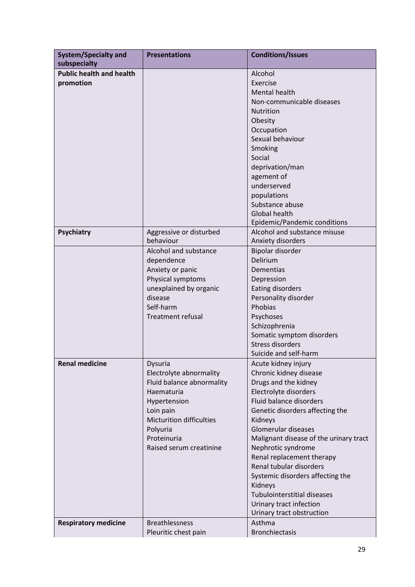| <b>System/Specialty and</b><br>subspecialty | <b>Presentations</b>            | <b>Conditions/Issues</b>               |
|---------------------------------------------|---------------------------------|----------------------------------------|
| <b>Public health and health</b>             |                                 | Alcohol                                |
| promotion                                   |                                 | Exercise                               |
|                                             |                                 | Mental health                          |
|                                             |                                 | Non-communicable diseases              |
|                                             |                                 | <b>Nutrition</b>                       |
|                                             |                                 |                                        |
|                                             |                                 | Obesity                                |
|                                             |                                 | Occupation                             |
|                                             |                                 | Sexual behaviour                       |
|                                             |                                 | Smoking                                |
|                                             |                                 | Social                                 |
|                                             |                                 | deprivation/man                        |
|                                             |                                 | agement of                             |
|                                             |                                 | underserved                            |
|                                             |                                 | populations                            |
|                                             |                                 | Substance abuse                        |
|                                             |                                 | Global health                          |
|                                             |                                 | Epidemic/Pandemic conditions           |
| <b>Psychiatry</b>                           | Aggressive or disturbed         | Alcohol and substance misuse           |
|                                             | behaviour                       | Anxiety disorders                      |
|                                             | Alcohol and substance           | Bipolar disorder                       |
|                                             | dependence                      | Delirium                               |
|                                             | Anxiety or panic                | Dementias                              |
|                                             | Physical symptoms               | Depression                             |
|                                             | unexplained by organic          | <b>Eating disorders</b>                |
|                                             | disease                         | Personality disorder                   |
|                                             | Self-harm                       | Phobias                                |
|                                             | <b>Treatment refusal</b>        | Psychoses                              |
|                                             |                                 | Schizophrenia                          |
|                                             |                                 | Somatic symptom disorders              |
|                                             |                                 | <b>Stress disorders</b>                |
|                                             |                                 | Suicide and self-harm                  |
| <b>Renal medicine</b>                       | Dysuria                         | Acute kidney injury                    |
|                                             | Electrolyte abnormality         | Chronic kidney disease                 |
|                                             | Fluid balance abnormality       | Drugs and the kidney                   |
|                                             | Haematuria                      | Electrolyte disorders                  |
|                                             | Hypertension                    | Fluid balance disorders                |
|                                             | Loin pain                       | Genetic disorders affecting the        |
|                                             | <b>Micturition difficulties</b> | Kidneys                                |
|                                             | Polyuria                        | Glomerular diseases                    |
|                                             | Proteinuria                     | Malignant disease of the urinary tract |
|                                             | Raised serum creatinine         | Nephrotic syndrome                     |
|                                             |                                 | Renal replacement therapy              |
|                                             |                                 | Renal tubular disorders                |
|                                             |                                 |                                        |
|                                             |                                 | Systemic disorders affecting the       |
|                                             |                                 | Kidneys                                |
|                                             |                                 | <b>Tubulointerstitial diseases</b>     |
|                                             |                                 | Urinary tract infection                |
|                                             |                                 | Urinary tract obstruction              |
| <b>Respiratory medicine</b>                 | <b>Breathlessness</b>           | Asthma                                 |
|                                             | Pleuritic chest pain            | <b>Bronchiectasis</b>                  |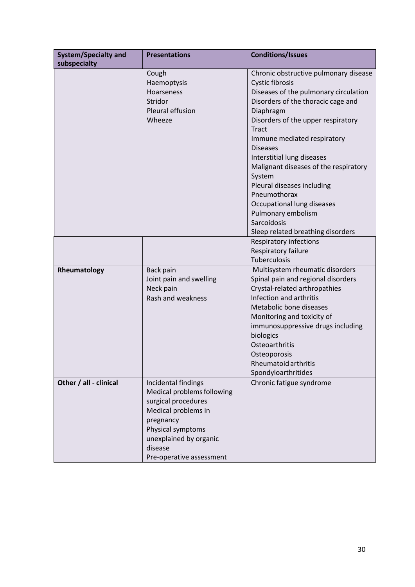| <b>System/Specialty and</b> | <b>Presentations</b>       | <b>Conditions/Issues</b>              |
|-----------------------------|----------------------------|---------------------------------------|
| subspecialty                |                            |                                       |
|                             | Cough                      | Chronic obstructive pulmonary disease |
|                             | Haemoptysis                | Cystic fibrosis                       |
|                             | Hoarseness                 | Diseases of the pulmonary circulation |
|                             | Stridor                    | Disorders of the thoracic cage and    |
|                             | Pleural effusion           | Diaphragm                             |
|                             | Wheeze                     | Disorders of the upper respiratory    |
|                             |                            | <b>Tract</b>                          |
|                             |                            | Immune mediated respiratory           |
|                             |                            | <b>Diseases</b>                       |
|                             |                            | Interstitial lung diseases            |
|                             |                            | Malignant diseases of the respiratory |
|                             |                            | System                                |
|                             |                            | Pleural diseases including            |
|                             |                            | Pneumothorax                          |
|                             |                            | Occupational lung diseases            |
|                             |                            | Pulmonary embolism                    |
|                             |                            | Sarcoidosis                           |
|                             |                            | Sleep related breathing disorders     |
|                             |                            | <b>Respiratory infections</b>         |
|                             |                            | Respiratory failure                   |
|                             |                            | Tuberculosis                          |
| Rheumatology                | Back pain                  | Multisystem rheumatic disorders       |
|                             | Joint pain and swelling    | Spinal pain and regional disorders    |
|                             | Neck pain                  | Crystal-related arthropathies         |
|                             | Rash and weakness          | Infection and arthritis               |
|                             |                            | Metabolic bone diseases               |
|                             |                            | Monitoring and toxicity of            |
|                             |                            | immunosuppressive drugs including     |
|                             |                            | biologics                             |
|                             |                            | Osteoarthritis                        |
|                             |                            |                                       |
|                             |                            | Osteoporosis<br>Rheumatoid arthritis  |
|                             |                            |                                       |
|                             |                            | Spondyloarthritides                   |
| Other / all - clinical      | Incidental findings        | Chronic fatigue syndrome              |
|                             | Medical problems following |                                       |
|                             | surgical procedures        |                                       |
|                             | Medical problems in        |                                       |
|                             | pregnancy                  |                                       |
|                             | Physical symptoms          |                                       |
|                             | unexplained by organic     |                                       |
|                             | disease                    |                                       |
|                             | Pre-operative assessment   |                                       |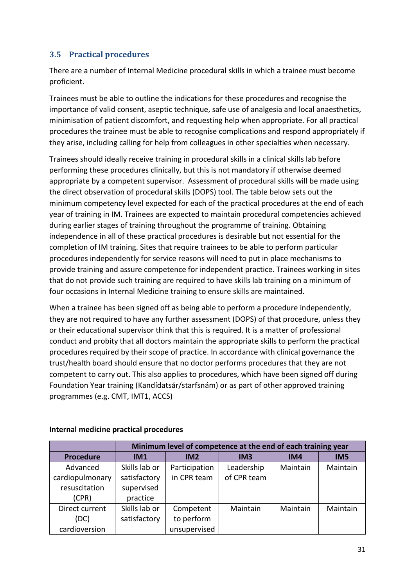### **3.5 Practical procedures**

There are a number of Internal Medicine procedural skills in which a trainee must become proficient.

Trainees must be able to outline the indications for these procedures and recognise the importance of valid consent, aseptic technique, safe use of analgesia and local anaesthetics, minimisation of patient discomfort, and requesting help when appropriate. For all practical procedures the trainee must be able to recognise complications and respond appropriately if they arise, including calling for help from colleagues in other specialties when necessary.

Trainees should ideally receive training in procedural skills in a clinical skills lab before performing these procedures clinically, but this is not mandatory if otherwise deemed appropriate by a competent supervisor. Assessment of procedural skills will be made using the direct observation of procedural skills (DOPS) tool. The table below sets out the minimum competency level expected for each of the practical procedures at the end of each year of training in IM. Trainees are expected to maintain procedural competencies achieved during earlier stages of training throughout the programme of training. Obtaining independence in all of these practical procedures is desirable but not essential for the completion of IM training. Sites that require trainees to be able to perform particular procedures independently for service reasons will need to put in place mechanisms to provide training and assure competence for independent practice. Trainees working in sites that do not provide such training are required to have skills lab training on a minimum of four occasions in Internal Medicine training to ensure skills are maintained.

When a trainee has been signed off as being able to perform a procedure independently, they are not required to have any further assessment (DOPS) of that procedure, unless they or their educational supervisor think that this is required. It is a matter of professional conduct and probity that all doctors maintain the appropriate skills to perform the practical procedures required by their scope of practice. In accordance with clinical governance the trust/health board should ensure that no doctor performs procedures that they are not competent to carry out. This also applies to procedures, which have been signed off during Foundation Year training (Kandídatsár/starfsnám) or as part of other approved training programmes (e.g. CMT, IMT1, ACCS)

|                  | Minimum level of competence at the end of each training year |               |                 |          |                 |
|------------------|--------------------------------------------------------------|---------------|-----------------|----------|-----------------|
| <b>Procedure</b> | IM1                                                          | IM2           | IM <sub>3</sub> | IM4      | IM <sub>5</sub> |
| Advanced         | Skills lab or                                                | Participation | Leadership      | Maintain | Maintain        |
| cardiopulmonary  | satisfactory                                                 | in CPR team   | of CPR team     |          |                 |
| resuscitation    | supervised                                                   |               |                 |          |                 |
| (CPR)            | practice                                                     |               |                 |          |                 |
| Direct current   | Skills lab or                                                | Competent     | Maintain        | Maintain | Maintain        |
| (DC)             | satisfactory                                                 | to perform    |                 |          |                 |
| cardioversion    |                                                              | unsupervised  |                 |          |                 |

### **Internal medicine practical procedures**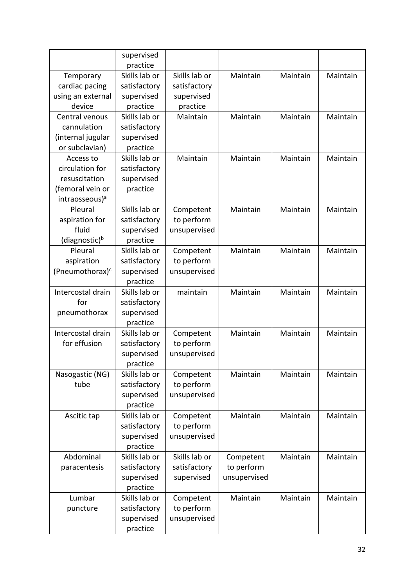|                             | supervised             |               |              |          |          |
|-----------------------------|------------------------|---------------|--------------|----------|----------|
|                             | practice               |               |              |          |          |
| Temporary                   | Skills lab or          | Skills lab or | Maintain     | Maintain | Maintain |
| cardiac pacing              | satisfactory           | satisfactory  |              |          |          |
| using an external           | supervised             | supervised    |              |          |          |
| device                      | practice               | practice      |              |          |          |
| Central venous              | Skills lab or          | Maintain      | Maintain     | Maintain | Maintain |
| cannulation                 | satisfactory           |               |              |          |          |
| (internal jugular           | supervised             |               |              |          |          |
| or subclavian)              | practice               |               |              |          |          |
| Access to                   | Skills lab or          | Maintain      | Maintain     | Maintain | Maintain |
| circulation for             | satisfactory           |               |              |          |          |
| resuscitation               | supervised             |               |              |          |          |
| (femoral vein or            | practice               |               |              |          |          |
| intraosseous) <sup>a</sup>  |                        |               |              |          |          |
| Pleural                     | Skills lab or          | Competent     | Maintain     | Maintain | Maintain |
| aspiration for              | satisfactory           | to perform    |              |          |          |
| fluid                       | supervised             | unsupervised  |              |          |          |
| (diagnostic) <sup>b</sup>   | practice               |               |              |          |          |
| Pleural                     | Skills lab or          | Competent     | Maintain     | Maintain | Maintain |
| aspiration                  | satisfactory           | to perform    |              |          |          |
| (Pneumothorax) <sup>c</sup> | supervised             | unsupervised  |              |          |          |
|                             | practice               |               |              |          |          |
| Intercostal drain           | Skills lab or          | maintain      | Maintain     | Maintain | Maintain |
| for                         | satisfactory           |               |              |          |          |
| pneumothorax                | supervised<br>practice |               |              |          |          |
| Intercostal drain           | Skills lab or          | Competent     | Maintain     | Maintain | Maintain |
| for effusion                | satisfactory           | to perform    |              |          |          |
|                             | supervised             | unsupervised  |              |          |          |
|                             | practice               |               |              |          |          |
| Nasogastic (NG)             | Skills lab or          | Competent     | Maintain     | Maintain | Maintain |
| tube                        | satisfactory           | to perform    |              |          |          |
|                             | supervised             | unsupervised  |              |          |          |
|                             | practice               |               |              |          |          |
| Ascitic tap                 | Skills lab or          | Competent     | Maintain     | Maintain | Maintain |
|                             | satisfactory           | to perform    |              |          |          |
|                             | supervised             | unsupervised  |              |          |          |
|                             | practice               |               |              |          |          |
| Abdominal                   | Skills lab or          | Skills lab or | Competent    | Maintain | Maintain |
| paracentesis                | satisfactory           | satisfactory  | to perform   |          |          |
|                             | supervised             | supervised    | unsupervised |          |          |
|                             | practice               |               |              |          |          |
| Lumbar                      | Skills lab or          | Competent     | Maintain     | Maintain | Maintain |
| puncture                    | satisfactory           | to perform    |              |          |          |
|                             | supervised             | unsupervised  |              |          |          |
|                             | practice               |               |              |          |          |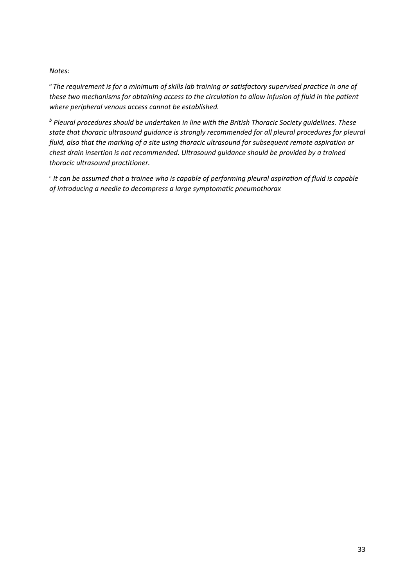#### *Notes:*

*<sup>a</sup>The requirement is for a minimum of skills lab training or satisfactory supervised practice in one of these two mechanisms for obtaining access to the circulation to allow infusion of fluid in the patient where peripheral venous access cannot be established.*

*<sup>b</sup> Pleural procedures should be undertaken in line with the British Thoracic Society guidelines. These state that thoracic ultrasound guidance is strongly recommended for all pleural procedures for pleural fluid, also that the marking of a site using thoracic ultrasound for subsequent remote aspiration or chest drain insertion is not recommended. Ultrasound guidance should be provided by a trained thoracic ultrasound practitioner.*

*c It can be assumed that a trainee who is capable of performing pleural aspiration of fluid is capable of introducing a needle to decompress a large symptomatic pneumothorax*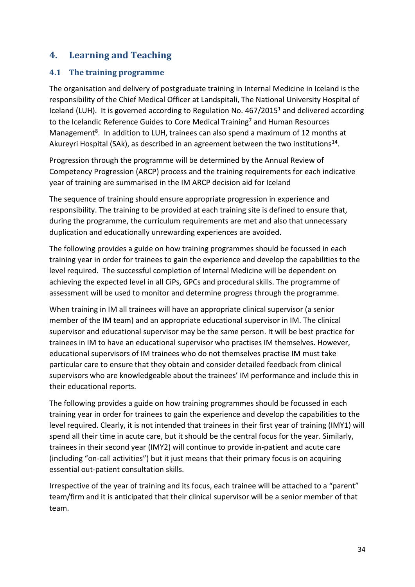### **4. Learning and Teaching**

### **4.1 The training programme**

The organisation and delivery of postgraduate training in Internal Medicine in Iceland is the responsibility of the Chief Medical Officer at Landspitali, The National University Hospital of Iceland (LUH). It is governed according to Regulation No. 467/2015<sup>1</sup> and delivered according to the Icelandic Reference Guides to Core Medical Training<sup>7</sup> and Human Resources Management<sup>8</sup>. In addition to LUH, trainees can also spend a maximum of 12 months at Akureyri Hospital (SAk), as described in an agreement between the two institutions<sup>14</sup>.

Progression through the programme will be determined by the Annual Review of Competency Progression (ARCP) process and the training requirements for each indicative year of training are summarised in the IM ARCP decision aid for Iceland

The sequence of training should ensure appropriate progression in experience and responsibility. The training to be provided at each training site is defined to ensure that, during the programme, the curriculum requirements are met and also that unnecessary duplication and educationally unrewarding experiences are avoided.

The following provides a guide on how training programmes should be focussed in each training year in order for trainees to gain the experience and develop the capabilities to the level required. The successful completion of Internal Medicine will be dependent on achieving the expected level in all CiPs, GPCs and procedural skills. The programme of assessment will be used to monitor and determine progress through the programme.

When training in IM all trainees will have an appropriate clinical supervisor (a senior member of the IM team) and an appropriate educational supervisor in IM. The clinical supervisor and educational supervisor may be the same person. It will be best practice for trainees in IM to have an educational supervisor who practises IM themselves. However, educational supervisors of IM trainees who do not themselves practise IM must take particular care to ensure that they obtain and consider detailed feedback from clinical supervisors who are knowledgeable about the trainees' IM performance and include this in their educational reports.

The following provides a guide on how training programmes should be focussed in each training year in order for trainees to gain the experience and develop the capabilities to the level required. Clearly, it is not intended that trainees in their first year of training (IMY1) will spend all their time in acute care, but it should be the central focus for the year. Similarly, trainees in their second year (IMY2) will continue to provide in-patient and acute care (including "on-call activities") but it just means that their primary focus is on acquiring essential out-patient consultation skills.

Irrespective of the year of training and its focus, each trainee will be attached to a "parent" team/firm and it is anticipated that their clinical supervisor will be a senior member of that team.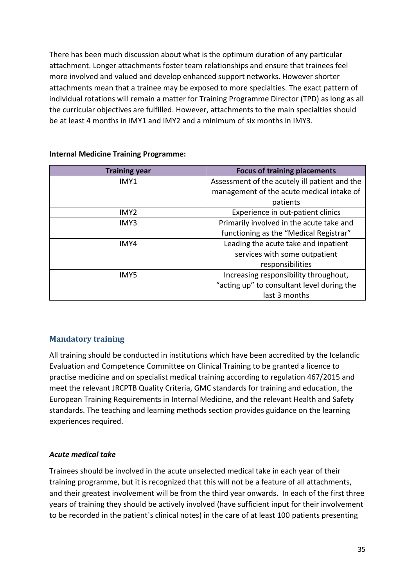There has been much discussion about what is the optimum duration of any particular attachment. Longer attachments foster team relationships and ensure that trainees feel more involved and valued and develop enhanced support networks. However shorter attachments mean that a trainee may be exposed to more specialties. The exact pattern of individual rotations will remain a matter for Training Programme Director (TPD) as long as all the curricular objectives are fulfilled. However, attachments to the main specialties should be at least 4 months in IMY1 and IMY2 and a minimum of six months in IMY3.

| <b>Training year</b> | <b>Focus of training placements</b>           |
|----------------------|-----------------------------------------------|
| IMY1                 | Assessment of the acutely ill patient and the |
|                      | management of the acute medical intake of     |
|                      | patients                                      |
| IMY <sub>2</sub>     | Experience in out-patient clinics             |
| IMY3                 | Primarily involved in the acute take and      |
|                      | functioning as the "Medical Registrar"        |
| IMY4                 | Leading the acute take and inpatient          |
|                      | services with some outpatient                 |
|                      | responsibilities                              |
| IMY <sub>5</sub>     | Increasing responsibility throughout,         |
|                      | "acting up" to consultant level during the    |
|                      | last 3 months                                 |

#### **Internal Medicine Training Programme:**

### **Mandatory training**

All training should be conducted in institutions which have been accredited by the Icelandic Evaluation and Competence Committee on Clinical Training to be granted a licence to practise medicine and on specialist medical training according to regulation 467/2015 and meet the relevant JRCPTB Quality Criteria, GMC standards for training and education, the European Training Requirements in Internal Medicine, and the relevant Health and Safety standards. The teaching and learning methods section provides guidance on the learning experiences required.

#### *Acute medical take*

Trainees should be involved in the acute unselected medical take in each year of their training programme, but it is recognized that this will not be a feature of all attachments, and their greatest involvement will be from the third year onwards. In each of the first three years of training they should be actively involved (have sufficient input for their involvement to be recorded in the patient´s clinical notes) in the care of at least 100 patients presenting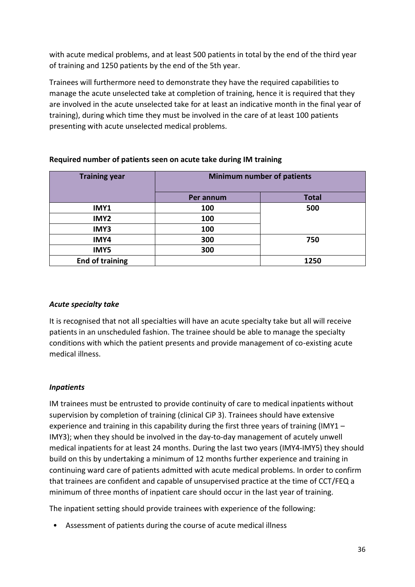with acute medical problems, and at least 500 patients in total by the end of the third year of training and 1250 patients by the end of the 5th year.

Trainees will furthermore need to demonstrate they have the required capabilities to manage the acute unselected take at completion of training, hence it is required that they are involved in the acute unselected take for at least an indicative month in the final year of training), during which time they must be involved in the care of at least 100 patients presenting with acute unselected medical problems.

| <b>Training year</b>   | <b>Minimum number of patients</b> |              |  |  |  |
|------------------------|-----------------------------------|--------------|--|--|--|
|                        | Per annum                         | <b>Total</b> |  |  |  |
| IMY1                   | 100                               | 500          |  |  |  |
| IMY2                   | 100                               |              |  |  |  |
| IMY3                   | 100                               |              |  |  |  |
| IMY4                   | 300                               | 750          |  |  |  |
| IMY5                   | 300                               |              |  |  |  |
| <b>End of training</b> |                                   | 1250         |  |  |  |

### **Required number of patients seen on acute take during IM training**

### *Acute specialty take*

It is recognised that not all specialties will have an acute specialty take but all will receive patients in an unscheduled fashion. The trainee should be able to manage the specialty conditions with which the patient presents and provide management of co-existing acute medical illness.

### *Inpatients*

IM trainees must be entrusted to provide continuity of care to medical inpatients without supervision by completion of training (clinical CiP 3). Trainees should have extensive experience and training in this capability during the first three years of training (IMY1 -IMY3); when they should be involved in the day-to-day management of acutely unwell medical inpatients for at least 24 months. During the last two years (IMY4-IMY5) they should build on this by undertaking a minimum of 12 months further experience and training in continuing ward care of patients admitted with acute medical problems. In order to confirm that trainees are confident and capable of unsupervised practice at the time of CCT/FEQ a minimum of three months of inpatient care should occur in the last year of training.

The inpatient setting should provide trainees with experience of the following:

• Assessment of patients during the course of acute medical illness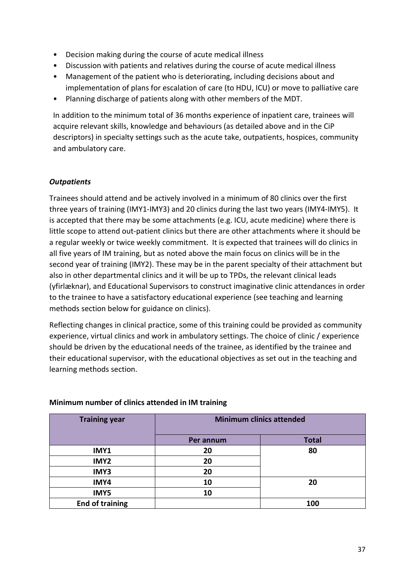- Decision making during the course of acute medical illness
- Discussion with patients and relatives during the course of acute medical illness
- Management of the patient who is deteriorating, including decisions about and implementation of plans for escalation of care (to HDU, ICU) or move to palliative care
- Planning discharge of patients along with other members of the MDT.

In addition to the minimum total of 36 months experience of inpatient care, trainees will acquire relevant skills, knowledge and behaviours (as detailed above and in the CiP descriptors) in specialty settings such as the acute take, outpatients, hospices, community and ambulatory care.

### *Outpatients*

Trainees should attend and be actively involved in a minimum of 80 clinics over the first three years of training (IMY1-IMY3) and 20 clinics during the last two years (IMY4-IMY5). It is accepted that there may be some attachments (e.g. ICU, acute medicine) where there is little scope to attend out-patient clinics but there are other attachments where it should be a regular weekly or twice weekly commitment. It is expected that trainees will do clinics in all five years of IM training, but as noted above the main focus on clinics will be in the second year of training (IMY2). These may be in the parent specialty of their attachment but also in other departmental clinics and it will be up to TPDs, the relevant clinical leads (yfirlæknar), and Educational Supervisors to construct imaginative clinic attendances in order to the trainee to have a satisfactory educational experience (see teaching and learning methods section below for guidance on clinics).

Reflecting changes in clinical practice, some of this training could be provided as community experience, virtual clinics and work in ambulatory settings. The choice of clinic / experience should be driven by the educational needs of the trainee, as identified by the trainee and their educational supervisor, with the educational objectives as set out in the teaching and learning methods section.

| <b>Training year</b>   | <b>Minimum clinics attended</b> |              |  |  |  |
|------------------------|---------------------------------|--------------|--|--|--|
|                        | Per annum                       | <b>Total</b> |  |  |  |
| IMY1                   | 20                              | 80           |  |  |  |
| IMY2                   | 20                              |              |  |  |  |
| IMY3                   | 20                              |              |  |  |  |
| IMY4                   | 10                              | 20           |  |  |  |
| IMY5                   | 10                              |              |  |  |  |
| <b>End of training</b> |                                 | 100          |  |  |  |

### **Minimum number of clinics attended in IM training**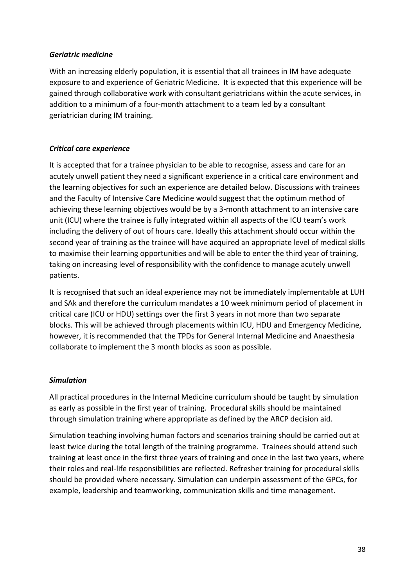#### *Geriatric medicine*

With an increasing elderly population, it is essential that all trainees in IM have adequate exposure to and experience of Geriatric Medicine. It is expected that this experience will be gained through collaborative work with consultant geriatricians within the acute services, in addition to a minimum of a four-month attachment to a team led by a consultant geriatrician during IM training.

### *Critical care experience*

It is accepted that for a trainee physician to be able to recognise, assess and care for an acutely unwell patient they need a significant experience in a critical care environment and the learning objectives for such an experience are detailed below. Discussions with trainees and the Faculty of Intensive Care Medicine would suggest that the optimum method of achieving these learning objectives would be by a 3-month attachment to an intensive care unit (ICU) where the trainee is fully integrated within all aspects of the ICU team's work including the delivery of out of hours care. Ideally this attachment should occur within the second year of training as the trainee will have acquired an appropriate level of medical skills to maximise their learning opportunities and will be able to enter the third year of training, taking on increasing level of responsibility with the confidence to manage acutely unwell patients.

It is recognised that such an ideal experience may not be immediately implementable at LUH and SAk and therefore the curriculum mandates a 10 week minimum period of placement in critical care (ICU or HDU) settings over the first 3 years in not more than two separate blocks. This will be achieved through placements within ICU, HDU and Emergency Medicine, however, it is recommended that the TPDs for General Internal Medicine and Anaesthesia collaborate to implement the 3 month blocks as soon as possible.

### *Simulation*

All practical procedures in the Internal Medicine curriculum should be taught by simulation as early as possible in the first year of training. Procedural skills should be maintained through simulation training where appropriate as defined by the ARCP decision aid.

Simulation teaching involving human factors and scenarios training should be carried out at least twice during the total length of the training programme. Trainees should attend such training at least once in the first three years of training and once in the last two years, where their roles and real-life responsibilities are reflected. Refresher training for procedural skills should be provided where necessary. Simulation can underpin assessment of the GPCs, for example, leadership and teamworking, communication skills and time management.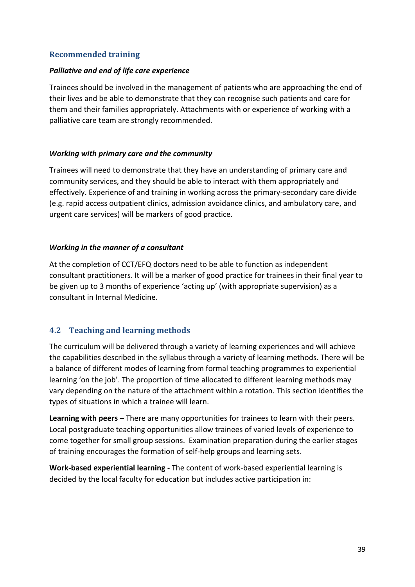### **Recommended training**

#### *Palliative and end of life care experience*

Trainees should be involved in the management of patients who are approaching the end of their lives and be able to demonstrate that they can recognise such patients and care for them and their families appropriately. Attachments with or experience of working with a palliative care team are strongly recommended.

#### *Working with primary care and the community*

Trainees will need to demonstrate that they have an understanding of primary care and community services, and they should be able to interact with them appropriately and effectively. Experience of and training in working across the primary-secondary care divide (e.g. rapid access outpatient clinics, admission avoidance clinics, and ambulatory care, and urgent care services) will be markers of good practice.

#### *Working in the manner of a consultant*

At the completion of CCT/EFQ doctors need to be able to function as independent consultant practitioners. It will be a marker of good practice for trainees in their final year to be given up to 3 months of experience 'acting up' (with appropriate supervision) as a consultant in Internal Medicine.

### **4.2 Teaching and learning methods**

The curriculum will be delivered through a variety of learning experiences and will achieve the capabilities described in the syllabus through a variety of learning methods. There will be a balance of different modes of learning from formal teaching programmes to experiential learning 'on the job'. The proportion of time allocated to different learning methods may vary depending on the nature of the attachment within a rotation. This section identifies the types of situations in which a trainee will learn.

**Learning with peers –** There are many opportunities for trainees to learn with their peers. Local postgraduate teaching opportunities allow trainees of varied levels of experience to come together for small group sessions. Examination preparation during the earlier stages of training encourages the formation of self-help groups and learning sets.

**Work-based experiential learning -** The content of work-based experiential learning is decided by the local faculty for education but includes active participation in: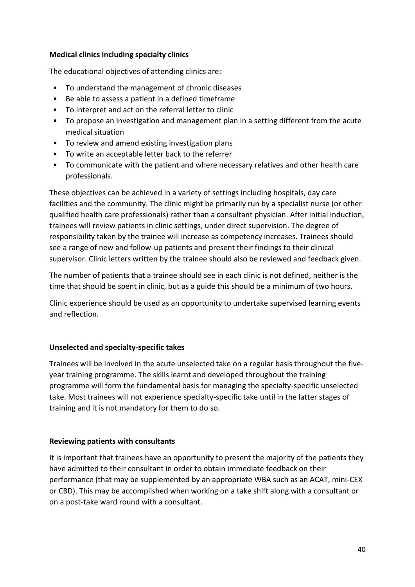#### **Medical clinics including specialty clinics**

The educational objectives of attending clinics are:

- To understand the management of chronic diseases
- Be able to assess a patient in a defined timeframe
- To interpret and act on the referral letter to clinic
- To propose an investigation and management plan in a setting different from the acute medical situation
- To review and amend existing investigation plans
- To write an acceptable letter back to the referrer
- To communicate with the patient and where necessary relatives and other health care professionals.

These objectives can be achieved in a variety of settings including hospitals, day care facilities and the community. The clinic might be primarily run by a specialist nurse (or other qualified health care professionals) rather than a consultant physician. After initial induction, trainees will review patients in clinic settings, under direct supervision. The degree of responsibility taken by the trainee will increase as competency increases. Trainees should see a range of new and follow-up patients and present their findings to their clinical supervisor. Clinic letters written by the trainee should also be reviewed and feedback given.

The number of patients that a trainee should see in each clinic is not defined, neither is the time that should be spent in clinic, but as a guide this should be a minimum of two hours.

Clinic experience should be used as an opportunity to undertake supervised learning events and reflection.

### **Unselected and specialty-specific takes**

Trainees will be involved in the acute unselected take on a regular basis throughout the fiveyear training programme. The skills learnt and developed throughout the training programme will form the fundamental basis for managing the specialty-specific unselected take. Most trainees will not experience specialty-specific take until in the latter stages of training and it is not mandatory for them to do so.

### **Reviewing patients with consultants**

It is important that trainees have an opportunity to present the majority of the patients they have admitted to their consultant in order to obtain immediate feedback on their performance (that may be supplemented by an appropriate WBA such as an ACAT, mini-CEX or CBD). This may be accomplished when working on a take shift along with a consultant or on a post-take ward round with a consultant.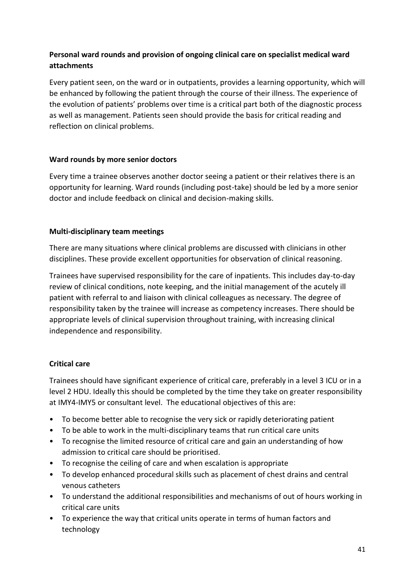### **Personal ward rounds and provision of ongoing clinical care on specialist medical ward attachments**

Every patient seen, on the ward or in outpatients, provides a learning opportunity, which will be enhanced by following the patient through the course of their illness. The experience of the evolution of patients' problems over time is a critical part both of the diagnostic process as well as management. Patients seen should provide the basis for critical reading and reflection on clinical problems.

### **Ward rounds by more senior doctors**

Every time a trainee observes another doctor seeing a patient or their relatives there is an opportunity for learning. Ward rounds (including post-take) should be led by a more senior doctor and include feedback on clinical and decision-making skills.

### **Multi-disciplinary team meetings**

There are many situations where clinical problems are discussed with clinicians in other disciplines. These provide excellent opportunities for observation of clinical reasoning.

Trainees have supervised responsibility for the care of inpatients. This includes day-to-day review of clinical conditions, note keeping, and the initial management of the acutely ill patient with referral to and liaison with clinical colleagues as necessary. The degree of responsibility taken by the trainee will increase as competency increases. There should be appropriate levels of clinical supervision throughout training, with increasing clinical independence and responsibility.

### **Critical care**

Trainees should have significant experience of critical care, preferably in a level 3 ICU or in a level 2 HDU. Ideally this should be completed by the time they take on greater responsibility at IMY4-IMY5 or consultant level. The educational objectives of this are:

- To become better able to recognise the very sick or rapidly deteriorating patient
- To be able to work in the multi-disciplinary teams that run critical care units
- To recognise the limited resource of critical care and gain an understanding of how admission to critical care should be prioritised.
- To recognise the ceiling of care and when escalation is appropriate
- To develop enhanced procedural skills such as placement of chest drains and central venous catheters
- To understand the additional responsibilities and mechanisms of out of hours working in critical care units
- To experience the way that critical units operate in terms of human factors and technology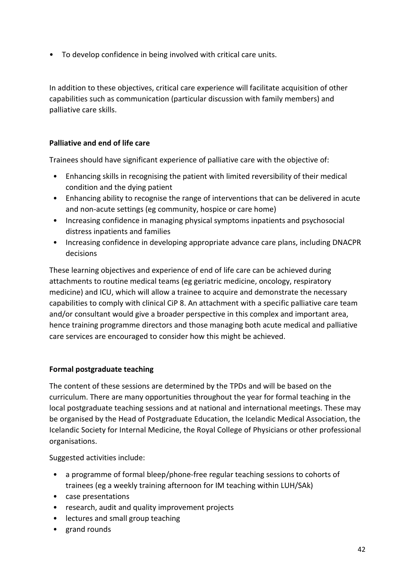• To develop confidence in being involved with critical care units.

In addition to these objectives, critical care experience will facilitate acquisition of other capabilities such as communication (particular discussion with family members) and palliative care skills.

### **Palliative and end of life care**

Trainees should have significant experience of palliative care with the objective of:

- Enhancing skills in recognising the patient with limited reversibility of their medical condition and the dying patient
- Enhancing ability to recognise the range of interventions that can be delivered in acute and non-acute settings (eg community, hospice or care home)
- Increasing confidence in managing physical symptoms inpatients and psychosocial distress inpatients and families
- Increasing confidence in developing appropriate advance care plans, including DNACPR decisions

These learning objectives and experience of end of life care can be achieved during attachments to routine medical teams (eg geriatric medicine, oncology, respiratory medicine) and ICU, which will allow a trainee to acquire and demonstrate the necessary capabilities to comply with clinical CiP 8. An attachment with a specific palliative care team and/or consultant would give a broader perspective in this complex and important area, hence training programme directors and those managing both acute medical and palliative care services are encouraged to consider how this might be achieved.

### **Formal postgraduate teaching**

The content of these sessions are determined by the TPDs and will be based on the curriculum. There are many opportunities throughout the year for formal teaching in the local postgraduate teaching sessions and at national and international meetings. These may be organised by the Head of Postgraduate Education, the Icelandic Medical Association, the Icelandic Society for Internal Medicine, the Royal College of Physicians or other professional organisations.

Suggested activities include:

- a programme of formal bleep/phone-free regular teaching sessions to cohorts of trainees (eg a weekly training afternoon for IM teaching within LUH/SAk)
- case presentations
- research, audit and quality improvement projects
- lectures and small group teaching
- grand rounds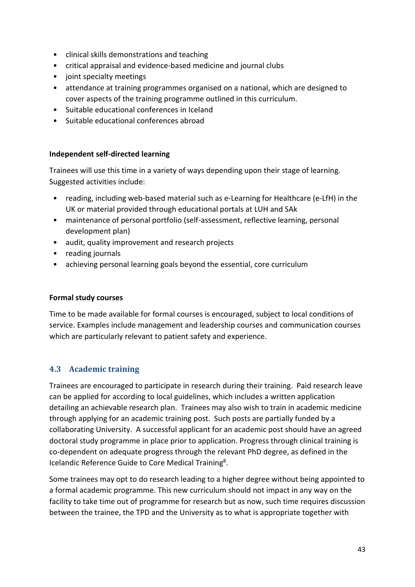- clinical skills demonstrations and teaching
- critical appraisal and evidence-based medicine and journal clubs
- joint specialty meetings
- attendance at training programmes organised on a national, which are designed to cover aspects of the training programme outlined in this curriculum.
- Suitable educational conferences in Iceland
- Suitable educational conferences abroad

### **Independent self-directed learning**

Trainees will use this time in a variety of ways depending upon their stage of learning. Suggested activities include:

- reading, including web-based material such as e-Learning for Healthcare (e-LfH) in the UK or material provided through educational portals at LUH and SAk
- maintenance of personal portfolio (self-assessment, reflective learning, personal development plan)
- audit, quality improvement and research projects
- reading journals
- achieving personal learning goals beyond the essential, core curriculum

### **Formal study courses**

Time to be made available for formal courses is encouraged, subject to local conditions of service. Examples include management and leadership courses and communication courses which are particularly relevant to patient safety and experience.

### **4.3 Academic training**

Trainees are encouraged to participate in research during their training. Paid research leave can be applied for according to local guidelines, which includes a written application detailing an achievable research plan. Trainees may also wish to train in academic medicine through applying for an academic training post. Such posts are partially funded by a collaborating University. A successful applicant for an academic post should have an agreed doctoral study programme in place prior to application. Progress through clinical training is co-dependent on adequate progress through the relevant PhD degree, as defined in the Icelandic Reference Guide to Core Medical Training<sup>8</sup>.

Some trainees may opt to do research leading to a higher degree without being appointed to a formal academic programme. This new curriculum should not impact in any way on the facility to take time out of programme for research but as now, such time requires discussion between the trainee, the TPD and the University as to what is appropriate together with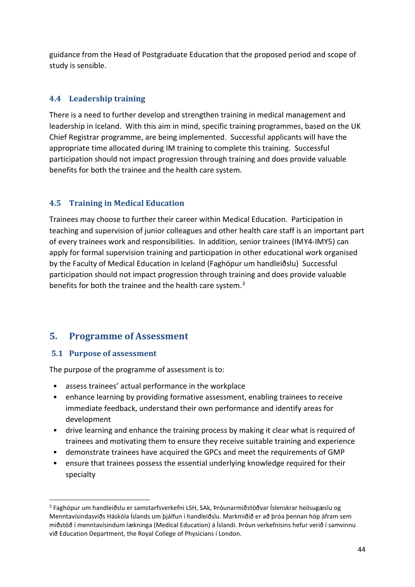guidance from the Head of Postgraduate Education that the proposed period and scope of study is sensible.

### **4.4 Leadership training**

There is a need to further develop and strengthen training in medical management and leadership in Iceland. With this aim in mind, specific training programmes, based on the UK Chief Registrar programme, are being implemented. Successful applicants will have the appropriate time allocated during IM training to complete this training. Successful participation should not impact progression through training and does provide valuable benefits for both the trainee and the health care system.

### **4.5 Training in Medical Education**

Trainees may choose to further their career within Medical Education. Participation in teaching and supervision of junior colleagues and other health care staff is an important part of every trainees work and responsibilities. In addition, senior trainees (IMY4-IMY5) can apply for formal supervision training and participation in other educational work organised by the Faculty of Medical Education in Iceland (Faghópur um handleiðslu) Successful participation should not impact progression through training and does provide valuable benefits for both the trainee and the health care system.<sup>3</sup>

### **5. Programme of Assessment**

### **5.1 Purpose of assessment**

The purpose of the programme of assessment is to:

- assess trainees' actual performance in the workplace
- enhance learning by providing formative assessment, enabling trainees to receive immediate feedback, understand their own performance and identify areas for development
- drive learning and enhance the training process by making it clear what is required of trainees and motivating them to ensure they receive suitable training and experience
- demonstrate trainees have acquired the GPCs and meet the requirements of GMP
- ensure that trainees possess the essential underlying knowledge required for their specialty

<sup>3</sup> Faghópur um handleiðslu er samstarfsverkefni LSH, SAk, Þróunarmiðstöðvar Íslenskrar heilsugæslu og Menntavísindasviðs Háskóla Íslands um þjálfun í handleiðslu. Markmiðið er að þróa þennan hóp áfram sem miðstöð í menntavísindum lækninga (Medical Education) á Íslandi. Þróun verkefnisins hefur verið í samvinnu við Education Department, the Royal College of Physicians í London.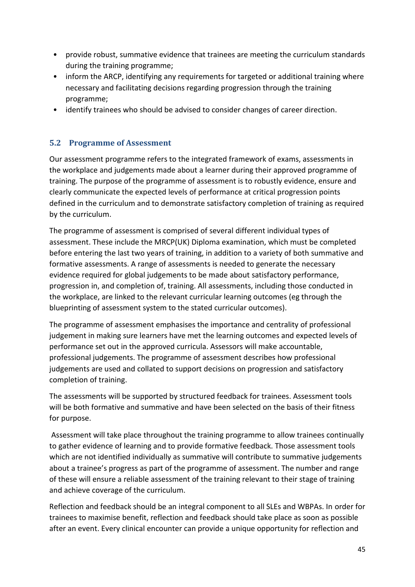- provide robust, summative evidence that trainees are meeting the curriculum standards during the training programme;
- inform the ARCP, identifying any requirements for targeted or additional training where necessary and facilitating decisions regarding progression through the training programme;
- identify trainees who should be advised to consider changes of career direction.

### **5.2 Programme of Assessment**

Our assessment programme refers to the integrated framework of exams, assessments in the workplace and judgements made about a learner during their approved programme of training. The purpose of the programme of assessment is to robustly evidence, ensure and clearly communicate the expected levels of performance at critical progression points defined in the curriculum and to demonstrate satisfactory completion of training as required by the curriculum.

The programme of assessment is comprised of several different individual types of assessment. These include the MRCP(UK) Diploma examination, which must be completed before entering the last two years of training, in addition to a variety of both summative and formative assessments. A range of assessments is needed to generate the necessary evidence required for global judgements to be made about satisfactory performance, progression in, and completion of, training. All assessments, including those conducted in the workplace, are linked to the relevant curricular learning outcomes (eg through the blueprinting of assessment system to the stated curricular outcomes).

The programme of assessment emphasises the importance and centrality of professional judgement in making sure learners have met the learning outcomes and expected levels of performance set out in the approved curricula. Assessors will make accountable, professional judgements. The programme of assessment describes how professional judgements are used and collated to support decisions on progression and satisfactory completion of training.

The assessments will be supported by structured feedback for trainees. Assessment tools will be both formative and summative and have been selected on the basis of their fitness for purpose.

Assessment will take place throughout the training programme to allow trainees continually to gather evidence of learning and to provide formative feedback. Those assessment tools which are not identified individually as summative will contribute to summative judgements about a trainee's progress as part of the programme of assessment. The number and range of these will ensure a reliable assessment of the training relevant to their stage of training and achieve coverage of the curriculum.

Reflection and feedback should be an integral component to all SLEs and WBPAs. In order for trainees to maximise benefit, reflection and feedback should take place as soon as possible after an event. Every clinical encounter can provide a unique opportunity for reflection and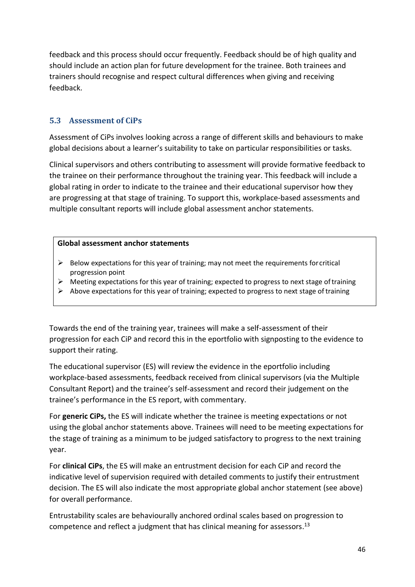feedback and this process should occur frequently. Feedback should be of high quality and should include an action plan for future development for the trainee. Both trainees and trainers should recognise and respect cultural differences when giving and receiving feedback.

### **5.3 Assessment of CiPs**

Assessment of CiPs involves looking across a range of different skills and behaviours to make global decisions about a learner's suitability to take on particular responsibilities or tasks.

Clinical supervisors and others contributing to assessment will provide formative feedback to the trainee on their performance throughout the training year. This feedback will include a global rating in order to indicate to the trainee and their educational supervisor how they are progressing at that stage of training. To support this, workplace-based assessments and multiple consultant reports will include global assessment anchor statements.

### **Global assessment anchor statements**

- $\triangleright$  Below expectations for this year of training; may not meet the requirements for critical progression point
- $\triangleright$  Meeting expectations for this year of training; expected to progress to next stage of training
- $\triangleright$  Above expectations for this year of training; expected to progress to next stage of training

Towards the end of the training year, trainees will make a self-assessment of their progression for each CiP and record this in the eportfolio with signposting to the evidence to support their rating.

The educational supervisor (ES) will review the evidence in the eportfolio including workplace-based assessments, feedback received from clinical supervisors (via the Multiple Consultant Report) and the trainee's self-assessment and record their judgement on the trainee's performance in the ES report, with commentary.

For **generic CiPs,** the ES will indicate whether the trainee is meeting expectations or not using the global anchor statements above. Trainees will need to be meeting expectations for the stage of training as a minimum to be judged satisfactory to progress to the next training year.

For **clinical CiPs**, the ES will make an entrustment decision for each CiP and record the indicative level of supervision required with detailed comments to justify their entrustment decision. The ES will also indicate the most appropriate global anchor statement (see above) for overall performance.

Entrustability scales are behaviourally anchored ordinal scales based on progression to competence and reflect a judgment that has clinical meaning for assessors.<sup>13</sup>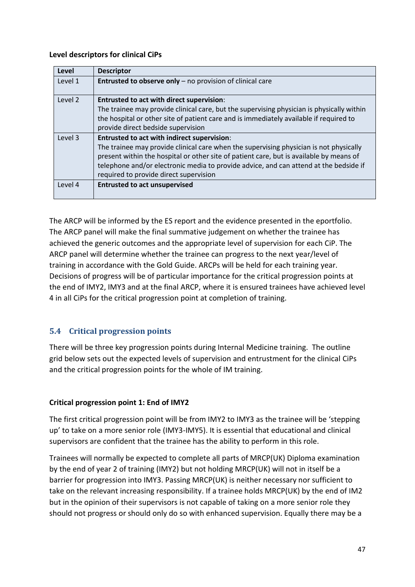**Level descriptors for clinical CiPs**

| Level   | <b>Descriptor</b>                                                                                                                                                                                                                                                                                                                                                          |
|---------|----------------------------------------------------------------------------------------------------------------------------------------------------------------------------------------------------------------------------------------------------------------------------------------------------------------------------------------------------------------------------|
| Level 1 | <b>Entrusted to observe only</b> – no provision of clinical care                                                                                                                                                                                                                                                                                                           |
| Level 2 | <b>Entrusted to act with direct supervision:</b><br>The trainee may provide clinical care, but the supervising physician is physically within<br>the hospital or other site of patient care and is immediately available if required to<br>provide direct bedside supervision                                                                                              |
| Level 3 | <b>Entrusted to act with indirect supervision:</b><br>The trainee may provide clinical care when the supervising physician is not physically<br>present within the hospital or other site of patient care, but is available by means of<br>telephone and/or electronic media to provide advice, and can attend at the bedside if<br>required to provide direct supervision |
| Level 4 | <b>Entrusted to act unsupervised</b>                                                                                                                                                                                                                                                                                                                                       |

The ARCP will be informed by the ES report and the evidence presented in the eportfolio. The ARCP panel will make the final summative judgement on whether the trainee has achieved the generic outcomes and the appropriate level of supervision for each CiP. The ARCP panel will determine whether the trainee can progress to the next year/level of training in accordance with the Gold Guide. ARCPs will be held for each training year. Decisions of progress will be of particular importance for the critical progression points at the end of IMY2, IMY3 and at the final ARCP, where it is ensured trainees have achieved level 4 in all CiPs for the critical progression point at completion of training.

### **5.4 Critical progression points**

There will be three key progression points during Internal Medicine training. The outline grid below sets out the expected levels of supervision and entrustment for the clinical CiPs and the critical progression points for the whole of IM training.

### **Critical progression point 1: End of IMY2**

The first critical progression point will be from IMY2 to IMY3 as the trainee will be 'stepping up' to take on a more senior role (IMY3-IMY5). It is essential that educational and clinical supervisors are confident that the trainee has the ability to perform in this role.

Trainees will normally be expected to complete all parts of MRCP(UK) Diploma examination by the end of year 2 of training (IMY2) but not holding MRCP(UK) will not in itself be a barrier for progression into IMY3. Passing MRCP(UK) is neither necessary nor sufficient to take on the relevant increasing responsibility. If a trainee holds MRCP(UK) by the end of IM2 but in the opinion of their supervisors is not capable of taking on a more senior role they should not progress or should only do so with enhanced supervision. Equally there may be a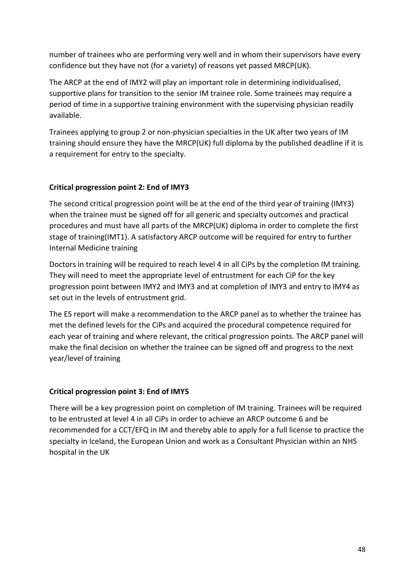number of trainees who are performing very well and in whom their supervisors have every confidence but they have not (for a variety) of reasons yet passed MRCP(UK).

The ARCP at the end of IMY2 will play an important role in determining individualised, supportive plans for transition to the senior IM trainee role. Some trainees may require a period of time in a supportive training environment with the supervising physician readily available.

Trainees applying to group 2 or non-physician specialties in the UK after two years of IM training should ensure they have the MRCP(UK) full diploma by the published deadline if it is a requirement for entry to the specialty.

### **Critical progression point 2: End of IMY3**

The second critical progression point will be at the end of the third year of training (IMY3) when the trainee must be signed off for all generic and specialty outcomes and practical procedures and must have all parts of the MRCP(UK) diploma in order to complete the first stage of training(IMT1). A satisfactory ARCP outcome will be required for entry to further Internal Medicine training

Doctors in training will be required to reach level 4 in all CiPs by the completion IM training. They will need to meet the appropriate level of entrustment for each CiP for the key progression point between IMY2 and IMY3 and at completion of IMY3 and entry to IMY4 as set out in the levels of entrustment grid.

The ES report will make a recommendation to the ARCP panel as to whether the trainee has met the defined levels for the CiPs and acquired the procedural competence required for each year of training and where relevant, the critical progression points. The ARCP panel will make the final decision on whether the trainee can be signed off and progress to the next year/level of training

### **Critical progression point 3: End of IMY5**

There will be a key progression point on completion of IM training. Trainees will be required to be entrusted at level 4 in all CiPs in order to achieve an ARCP outcome 6 and be recommended for a CCT/EFQ in IM and thereby able to apply for a full license to practice the specialty in Iceland, the European Union and work as a Consultant Physician within an NHS hospital in the UK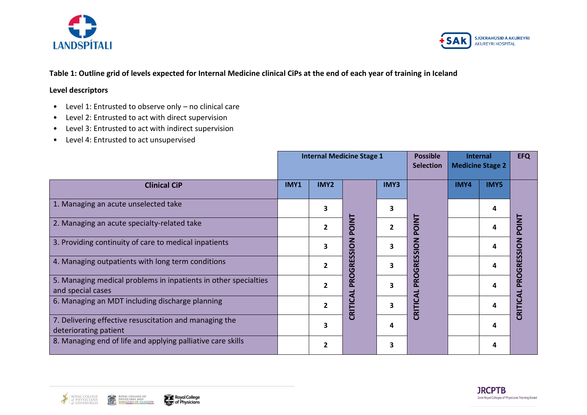



**Table 1: Outline grid of levels expected for Internal Medicine clinical CiPs at the end of each year of training in Iceland**

#### **Level descriptors**

- Level 1: Entrusted to observe only no clinical care
- Level 2: Entrusted to act with direct supervision
- Level 3: Entrusted to act with indirect supervision
- Level 4: Entrusted to act unsupervised

|                                                                                      | <b>Internal Medicine Stage 1</b> |                |               |                | <b>Possible</b><br><b>Internal</b><br><b>Selection</b><br><b>Medicine Stage 2</b> |      |             | <b>EFQ</b>   |
|--------------------------------------------------------------------------------------|----------------------------------|----------------|---------------|----------------|-----------------------------------------------------------------------------------|------|-------------|--------------|
| <b>Clinical CiP</b>                                                                  | IMY1                             | IMY2           |               | IMY3           |                                                                                   | IMY4 | <b>IMY5</b> |              |
| 1. Managing an acute unselected take                                                 |                                  | 3              |               | 3              |                                                                                   |      | 4           |              |
| 2. Managing an acute specialty-related take                                          |                                  | 2              | <b>POINT</b>  | $\overline{2}$ | <b>POINT</b>                                                                      |      | 4           | <b>POINT</b> |
| 3. Providing continuity of care to medical inpatients                                |                                  | 3              | GRESSION      | 3              |                                                                                   |      | 4           |              |
| 4. Managing outpatients with long term conditions                                    |                                  | $\overline{2}$ |               | 3              | PROGRESSION                                                                       |      | 4           | PROGRESSION  |
| 5. Managing medical problems in inpatients in other specialties<br>and special cases |                                  | $\overline{2}$ | O<br>혼        | 3              |                                                                                   |      | 4           |              |
| 6. Managing an MDT including discharge planning                                      |                                  | $\mathbf{z}$   | <b>CRITIC</b> | 3              | CRITICA                                                                           |      | 4           | CRITICAL     |
| 7. Delivering effective resuscitation and managing the<br>deteriorating patient      |                                  | 3              |               | 4              |                                                                                   |      | 4           |              |
| 8. Managing end of life and applying palliative care skills                          |                                  |                |               | 3              |                                                                                   |      | 4           |              |



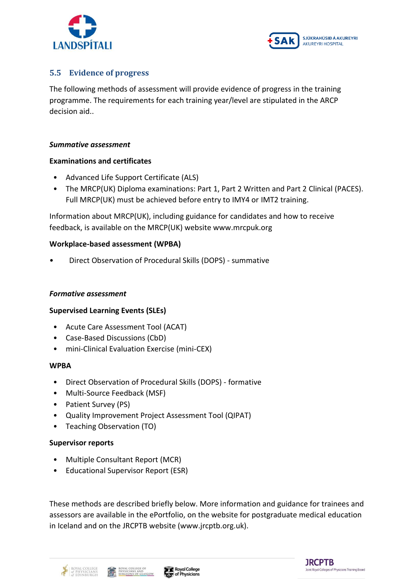



### **5.5 Evidence of progress**

The following methods of assessment will provide evidence of progress in the training programme. The requirements for each training year/level are stipulated in the ARCP decision aid..

#### *Summative assessment*

#### **Examinations and certificates**

- Advanced Life Support Certificate (ALS)
- The MRCP(UK) Diploma examinations: Part 1, Part 2 Written and Part 2 Clinical (PACES). Full MRCP(UK) must be achieved before entry to IMY4 or IMT2 training.

Information about MRCP(UK), including guidance for candidates and how to receive feedback, is available on the MRCP(UK) website www.mrcpuk.org

#### **Workplace-based assessment (WPBA)**

• Direct Observation of Procedural Skills (DOPS) - summative

#### *Formative assessment*

#### **Supervised Learning Events (SLEs)**

- Acute Care Assessment Tool (ACAT)
- Case-Based Discussions (CbD)
- mini-Clinical Evaluation Exercise (mini-CEX)

#### **WPBA**

- Direct Observation of Procedural Skills (DOPS) formative
- Multi-Source Feedback (MSF)
- Patient Survey (PS)
- Quality Improvement Project Assessment Tool (QIPAT)
- Teaching Observation (TO)

#### **Supervisor reports**

- Multiple Consultant Report (MCR)
- Educational Supervisor Report (ESR)

These methods are described briefly below. More information and guidance for trainees and assessors are available in the ePortfolio, on the website for postgraduate medical education in Iceland and on the JRCPTB website (www.jrcptb.org.uk).





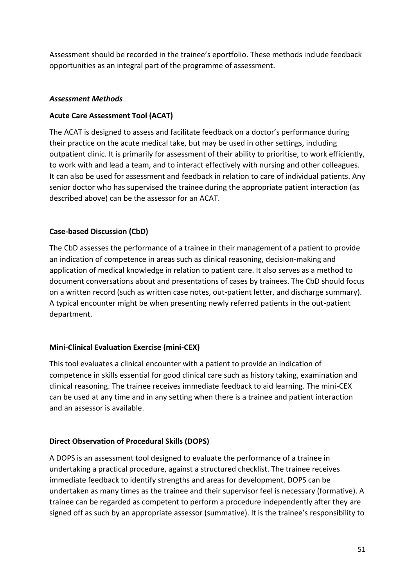Assessment should be recorded in the trainee's eportfolio. These methods include feedback opportunities as an integral part of the programme of assessment.

### *Assessment Methods*

### **Acute Care Assessment Tool (ACAT)**

The ACAT is designed to assess and facilitate feedback on a doctor's performance during their practice on the acute medical take, but may be used in other settings, including outpatient clinic. It is primarily for assessment of their ability to prioritise, to work efficiently, to work with and lead a team, and to interact effectively with nursing and other colleagues. It can also be used for assessment and feedback in relation to care of individual patients. Any senior doctor who has supervised the trainee during the appropriate patient interaction (as described above) can be the assessor for an ACAT.

### **Case-based Discussion (CbD)**

The CbD assesses the performance of a trainee in their management of a patient to provide an indication of competence in areas such as clinical reasoning, decision-making and application of medical knowledge in relation to patient care. It also serves as a method to document conversations about and presentations of cases by trainees. The CbD should focus on a written record (such as written case notes, out-patient letter, and discharge summary). A typical encounter might be when presenting newly referred patients in the out-patient department.

### **Mini-Clinical Evaluation Exercise (mini-CEX)**

This tool evaluates a clinical encounter with a patient to provide an indication of competence in skills essential for good clinical care such as history taking, examination and clinical reasoning. The trainee receives immediate feedback to aid learning. The mini-CEX can be used at any time and in any setting when there is a trainee and patient interaction and an assessor is available.

### **Direct Observation of Procedural Skills (DOPS)**

A DOPS is an assessment tool designed to evaluate the performance of a trainee in undertaking a practical procedure, against a structured checklist. The trainee receives immediate feedback to identify strengths and areas for development. DOPS can be undertaken as many times as the trainee and their supervisor feel is necessary (formative). A trainee can be regarded as competent to perform a procedure independently after they are signed off as such by an appropriate assessor (summative). It is the trainee's responsibility to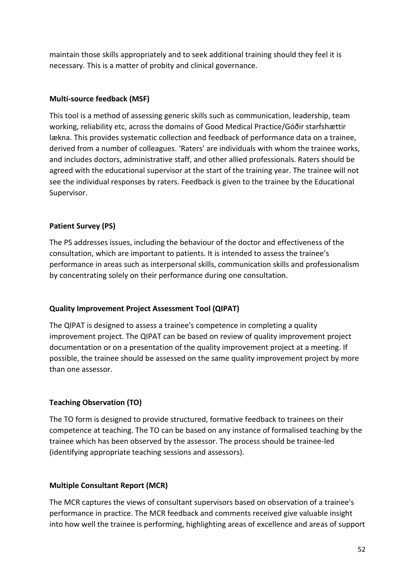maintain those skills appropriately and to seek additional training should they feel it is necessary. This is a matter of probity and clinical governance.

### **Multi-source feedback (MSF)**

This tool is a method of assessing generic skills such as communication, leadership, team working, reliability etc, across the domains of Good Medical Practice/Góðir starfshættir lækna. This provides systematic collection and feedback of performance data on a trainee, derived from a number of colleagues. 'Raters' are individuals with whom the trainee works, and includes doctors, administrative staff, and other allied professionals. Raters should be agreed with the educational supervisor at the start of the training year. The trainee will not see the individual responses by raters. Feedback is given to the trainee by the Educational Supervisor.

### **Patient Survey (PS)**

The PS addresses issues, including the behaviour of the doctor and effectiveness of the consultation, which are important to patients. It is intended to assess the trainee's performance in areas such as interpersonal skills, communication skills and professionalism by concentrating solely on their performance during one consultation.

### **Quality Improvement Project Assessment Tool (QIPAT)**

The QIPAT is designed to assess a trainee's competence in completing a quality improvement project. The QIPAT can be based on review of quality improvement project documentation or on a presentation of the quality improvement project at a meeting. If possible, the trainee should be assessed on the same quality improvement project by more than one assessor.

### **Teaching Observation (TO)**

The TO form is designed to provide structured, formative feedback to trainees on their competence at teaching. The TO can be based on any instance of formalised teaching by the trainee which has been observed by the assessor. The process should be trainee-led (identifying appropriate teaching sessions and assessors).

### **Multiple Consultant Report (MCR)**

The MCR captures the views of consultant supervisors based on observation of a trainee's performance in practice. The MCR feedback and comments received give valuable insight into how well the trainee is performing, highlighting areas of excellence and areas of support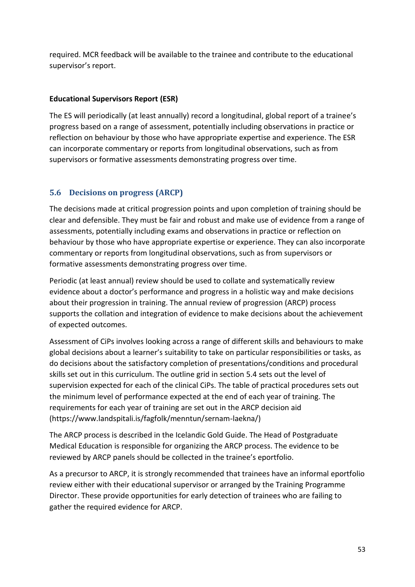required. MCR feedback will be available to the trainee and contribute to the educational supervisor's report.

### **Educational Supervisors Report (ESR)**

The ES will periodically (at least annually) record a longitudinal, global report of a trainee's progress based on a range of assessment, potentially including observations in practice or reflection on behaviour by those who have appropriate expertise and experience. The ESR can incorporate commentary or reports from longitudinal observations, such as from supervisors or formative assessments demonstrating progress over time.

### **5.6 Decisions on progress (ARCP)**

The decisions made at critical progression points and upon completion of training should be clear and defensible. They must be fair and robust and make use of evidence from a range of assessments, potentially including exams and observations in practice or reflection on behaviour by those who have appropriate expertise or experience. They can also incorporate commentary or reports from longitudinal observations, such as from supervisors or formative assessments demonstrating progress over time.

Periodic (at least annual) review should be used to collate and systematically review evidence about a doctor's performance and progress in a holistic way and make decisions about their progression in training. The annual review of progression (ARCP) process supports the collation and integration of evidence to make decisions about the achievement of expected outcomes.

Assessment of CiPs involves looking across a range of different skills and behaviours to make global decisions about a learner's suitability to take on particular responsibilities or tasks, as do decisions about the satisfactory completion of presentations/conditions and procedural skills set out in this curriculum. The outline grid in section 5.4 sets out the level of supervision expected for each of the clinical CiPs. The table of practical procedures sets out the minimum level of performance expected at the end of each year of training. The requirements for each year of training are set out in the ARCP decision aid (https://www.landspitali.is/fagfolk/menntun/sernam-laekna/)

The ARCP process is described in the Icelandic Gold Guide. The Head of Postgraduate Medical Education is responsible for organizing the ARCP process. The evidence to be reviewed by ARCP panels should be collected in the trainee's eportfolio.

As a precursor to ARCP, it is strongly recommended that trainees have an informal eportfolio review either with their educational supervisor or arranged by the Training Programme Director. These provide opportunities for early detection of trainees who are failing to gather the required evidence for ARCP.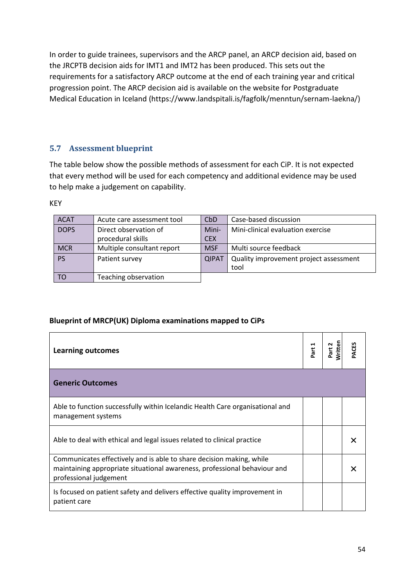In order to guide trainees, supervisors and the ARCP panel, an ARCP decision aid, based on the JRCPTB decision aids for IMT1 and IMT2 has been produced. This sets out the requirements for a satisfactory ARCP outcome at the end of each training year and critical progression point. The ARCP decision aid is available on the website for Postgraduate Medical Education in Iceland (https://www.landspitali.is/fagfolk/menntun/sernam-laekna/)

### **5.7 Assessment blueprint**

The table below show the possible methods of assessment for each CiP. It is not expected that every method will be used for each competency and additional evidence may be used to help make a judgement on capability.

KEY

| <b>ACAT</b> | Acute care assessment tool                 | CbD                 | Case-based discussion                          |
|-------------|--------------------------------------------|---------------------|------------------------------------------------|
| <b>DOPS</b> | Direct observation of<br>procedural skills | Mini-<br><b>CEX</b> | Mini-clinical evaluation exercise              |
| <b>MCR</b>  | Multiple consultant report                 | <b>MSF</b>          | Multi source feedback                          |
| <b>PS</b>   | Patient survey                             | <b>QIPAT</b>        | Quality improvement project assessment<br>tool |
| TO          | Teaching observation                       |                     |                                                |

### **Blueprint of MRCP(UK) Diploma examinations mapped to CiPs**

| Learning outcomes                                                                                                                                                           | Part | <b>Written</b><br>Part 2 | PACES |
|-----------------------------------------------------------------------------------------------------------------------------------------------------------------------------|------|--------------------------|-------|
| <b>Generic Outcomes</b>                                                                                                                                                     |      |                          |       |
| Able to function successfully within Icelandic Health Care organisational and<br>management systems                                                                         |      |                          |       |
| Able to deal with ethical and legal issues related to clinical practice                                                                                                     |      |                          | x     |
| Communicates effectively and is able to share decision making, while<br>maintaining appropriate situational awareness, professional behaviour and<br>professional judgement |      |                          |       |
| Is focused on patient safety and delivers effective quality improvement in<br>patient care                                                                                  |      |                          |       |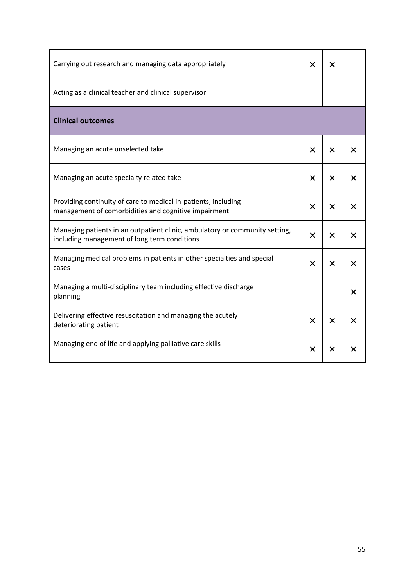| Carrying out research and managing data appropriately                                                                       | $\times$ | X        |          |
|-----------------------------------------------------------------------------------------------------------------------------|----------|----------|----------|
| Acting as a clinical teacher and clinical supervisor                                                                        |          |          |          |
| <b>Clinical outcomes</b>                                                                                                    |          |          |          |
| Managing an acute unselected take                                                                                           | $\times$ | $\times$ | $\times$ |
| Managing an acute specialty related take                                                                                    | $\times$ | $\times$ | X        |
| Providing continuity of care to medical in-patients, including<br>management of comorbidities and cognitive impairment      | $\times$ | X        | x        |
| Managing patients in an outpatient clinic, ambulatory or community setting,<br>including management of long term conditions | $\times$ | x        | $\times$ |
| Managing medical problems in patients in other specialties and special<br>cases                                             | $\times$ | x        | X        |
| Managing a multi-disciplinary team including effective discharge<br>planning                                                |          |          | x        |
| Delivering effective resuscitation and managing the acutely<br>deteriorating patient                                        | X        | $\times$ | X        |
| Managing end of life and applying palliative care skills                                                                    | X        | X        | X        |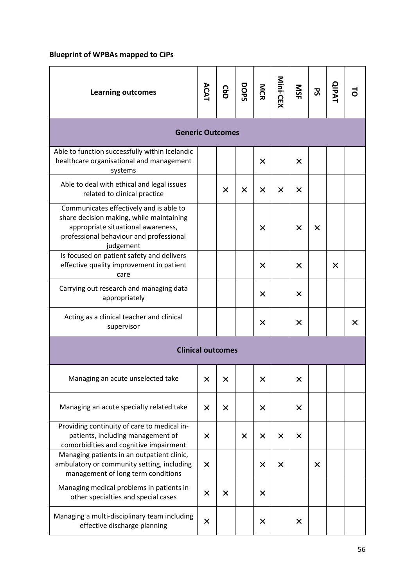### **Blueprint of WPBAs mapped to CiPs**

| <b>Learning outcomes</b>                                                                                                                                                          | ACAT     | CbD | DOPS     | <b>NCR</b>     | <b>Mini-CEX</b> | SPS      | 59 | <b>QIPAT</b> |   |
|-----------------------------------------------------------------------------------------------------------------------------------------------------------------------------------|----------|-----|----------|----------------|-----------------|----------|----|--------------|---|
| <b>Generic Outcomes</b>                                                                                                                                                           |          |     |          |                |                 |          |    |              |   |
| Able to function successfully within Icelandic<br>healthcare organisational and management<br>systems                                                                             |          |     |          | $\times$       |                 | $\times$ |    |              |   |
| Able to deal with ethical and legal issues<br>related to clinical practice                                                                                                        |          | X   | $\times$ | $\times$       | ×               | $\times$ |    |              |   |
| Communicates effectively and is able to<br>share decision making, while maintaining<br>appropriate situational awareness,<br>professional behaviour and professional<br>judgement |          |     |          | X              |                 | x        | x  |              |   |
| Is focused on patient safety and delivers<br>effective quality improvement in patient<br>care                                                                                     |          |     |          | $\times$       |                 | $\times$ |    | x            |   |
| Carrying out research and managing data<br>appropriately                                                                                                                          |          |     |          | X              |                 | x        |    |              |   |
| Acting as a clinical teacher and clinical<br>supervisor                                                                                                                           |          |     |          | X              |                 | X        |    |              | X |
| <b>Clinical outcomes</b>                                                                                                                                                          |          |     |          |                |                 |          |    |              |   |
| Managing an acute unselected take                                                                                                                                                 | $\times$ | X   |          | ×              |                 | X        |    |              |   |
| Managing an acute specialty related take                                                                                                                                          | $\times$ | X   |          | $\times$       |                 | X        |    |              |   |
| Providing continuity of care to medical in-<br>patients, including management of<br>comorbidities and cognitive impairment                                                        | X        |     | X        | $\pmb{\times}$ | X               | X        |    |              |   |
| Managing patients in an outpatient clinic,<br>ambulatory or community setting, including<br>management of long term conditions                                                    | $\times$ |     |          | $\pmb{\times}$ | $\times$        |          | X  |              |   |
| Managing medical problems in patients in<br>other specialties and special cases                                                                                                   | X        | X   |          | X              |                 |          |    |              |   |
| Managing a multi-disciplinary team including<br>effective discharge planning                                                                                                      | $\times$ |     |          | ×              |                 | $\times$ |    |              |   |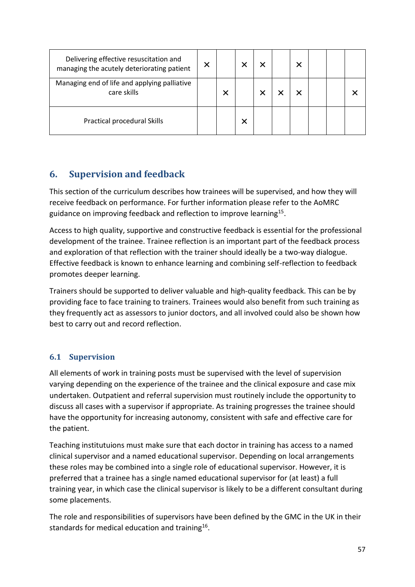| Delivering effective resuscitation and<br>managing the acutely deteriorating patient |  |   |  |  |  |
|--------------------------------------------------------------------------------------|--|---|--|--|--|
| Managing end of life and applying palliative<br>care skills                          |  |   |  |  |  |
| <b>Practical procedural Skills</b>                                                   |  | X |  |  |  |

### **6. Supervision and feedback**

This section of the curriculum describes how trainees will be supervised, and how they will receive feedback on performance. For further information please refer to the AoMRC guidance on improving feedback and reflection to improve learning<sup>15</sup>.

Access to high quality, supportive and constructive feedback is essential for the professional development of the trainee. Trainee reflection is an important part of the feedback process and exploration of that reflection with the trainer should ideally be a two-way dialogue. Effective feedback is known to enhance learning and combining self-reflection to feedback promotes deeper learning.

Trainers should be supported to deliver valuable and high-quality feedback. This can be by providing face to face training to trainers. Trainees would also benefit from such training as they frequently act as assessors to junior doctors, and all involved could also be shown how best to carry out and record reflection.

### **6.1 Supervision**

All elements of work in training posts must be supervised with the level of supervision varying depending on the experience of the trainee and the clinical exposure and case mix undertaken. Outpatient and referral supervision must routinely include the opportunity to discuss all cases with a supervisor if appropriate. As training progresses the trainee should have the opportunity for increasing autonomy, consistent with safe and effective care for the patient.

Teaching institutuions must make sure that each doctor in training has access to a named clinical supervisor and a named educational supervisor. Depending on local arrangements these roles may be combined into a single role of educational supervisor. However, it is preferred that a trainee has a single named educational supervisor for (at least) a full training year, in which case the clinical supervisor is likely to be a different consultant during some placements.

The role and responsibilities of supervisors have been defined by the GMC in the UK in their standards for medical education and training<sup>16</sup>.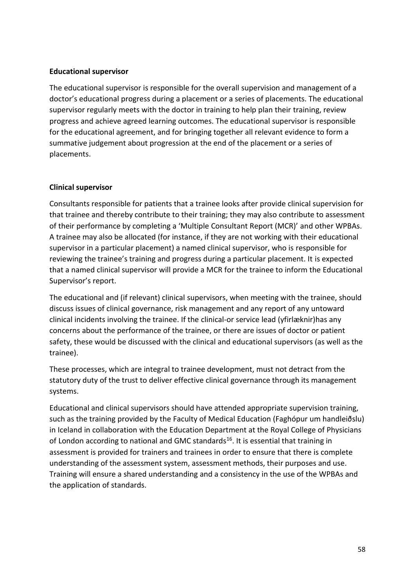#### **Educational supervisor**

The educational supervisor is responsible for the overall supervision and management of a doctor's educational progress during a placement or a series of placements. The educational supervisor regularly meets with the doctor in training to help plan their training, review progress and achieve agreed learning outcomes. The educational supervisor is responsible for the educational agreement, and for bringing together all relevant evidence to form a summative judgement about progression at the end of the placement or a series of placements.

#### **Clinical supervisor**

Consultants responsible for patients that a trainee looks after provide clinical supervision for that trainee and thereby contribute to their training; they may also contribute to assessment of their performance by completing a 'Multiple Consultant Report (MCR)' and other WPBAs. A trainee may also be allocated (for instance, if they are not working with their educational supervisor in a particular placement) a named clinical supervisor, who is responsible for reviewing the trainee's training and progress during a particular placement. It is expected that a named clinical supervisor will provide a MCR for the trainee to inform the Educational Supervisor's report.

The educational and (if relevant) clinical supervisors, when meeting with the trainee, should discuss issues of clinical governance, risk management and any report of any untoward clinical incidents involving the trainee. If the clinical-or service lead (yfirlæknir)has any concerns about the performance of the trainee, or there are issues of doctor or patient safety, these would be discussed with the clinical and educational supervisors (as well as the trainee).

These processes, which are integral to trainee development, must not detract from the statutory duty of the trust to deliver effective clinical governance through its management systems.

Educational and clinical supervisors should have attended appropriate supervision training, such as the training provided by the Faculty of Medical Education (Faghópur um handleiðslu) in Iceland in collaboration with the Education Department at the Royal College of Physicians of London according to national and GMC standards<sup>16</sup>. It is essential that training in assessment is provided for trainers and trainees in order to ensure that there is complete understanding of the assessment system, assessment methods, their purposes and use. Training will ensure a shared understanding and a consistency in the use of the WPBAs and the application of standards.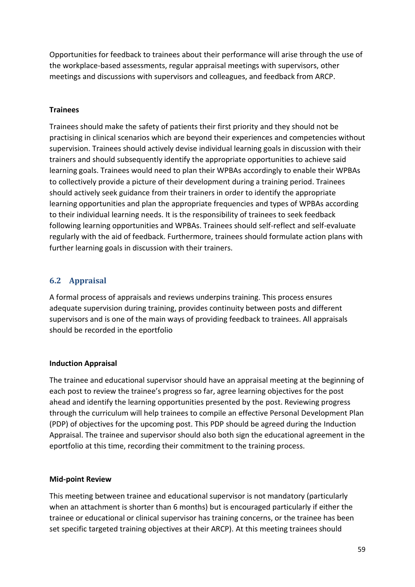Opportunities for feedback to trainees about their performance will arise through the use of the workplace-based assessments, regular appraisal meetings with supervisors, other meetings and discussions with supervisors and colleagues, and feedback from ARCP.

### **Trainees**

Trainees should make the safety of patients their first priority and they should not be practising in clinical scenarios which are beyond their experiences and competencies without supervision. Trainees should actively devise individual learning goals in discussion with their trainers and should subsequently identify the appropriate opportunities to achieve said learning goals. Trainees would need to plan their WPBAs accordingly to enable their WPBAs to collectively provide a picture of their development during a training period. Trainees should actively seek guidance from their trainers in order to identify the appropriate learning opportunities and plan the appropriate frequencies and types of WPBAs according to their individual learning needs. It is the responsibility of trainees to seek feedback following learning opportunities and WPBAs. Trainees should self-reflect and self-evaluate regularly with the aid of feedback. Furthermore, trainees should formulate action plans with further learning goals in discussion with their trainers.

### **6.2 Appraisal**

A formal process of appraisals and reviews underpins training. This process ensures adequate supervision during training, provides continuity between posts and different supervisors and is one of the main ways of providing feedback to trainees. All appraisals should be recorded in the eportfolio

### **Induction Appraisal**

The trainee and educational supervisor should have an appraisal meeting at the beginning of each post to review the trainee's progress so far, agree learning objectives for the post ahead and identify the learning opportunities presented by the post. Reviewing progress through the curriculum will help trainees to compile an effective Personal Development Plan (PDP) of objectives for the upcoming post. This PDP should be agreed during the Induction Appraisal. The trainee and supervisor should also both sign the educational agreement in the eportfolio at this time, recording their commitment to the training process.

### **Mid-point Review**

This meeting between trainee and educational supervisor is not mandatory (particularly when an attachment is shorter than 6 months) but is encouraged particularly if either the trainee or educational or clinical supervisor has training concerns, or the trainee has been set specific targeted training objectives at their ARCP). At this meeting trainees should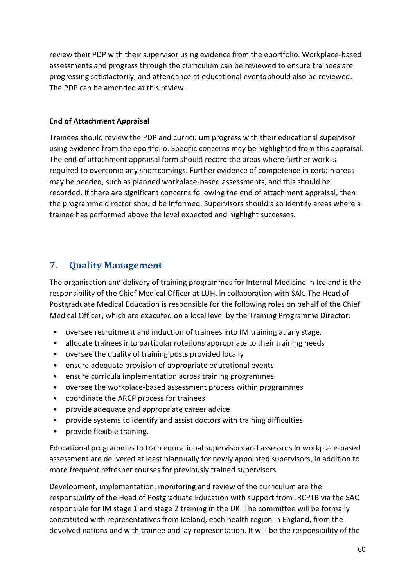review their PDP with their supervisor using evidence from the eportfolio. Workplace-based assessments and progress through the curriculum can be reviewed to ensure trainees are progressing satisfactorily, and attendance at educational events should also be reviewed. The PDP can be amended at this review.

### **End of Attachment Appraisal**

Trainees should review the PDP and curriculum progress with their educational supervisor using evidence from the eportfolio. Specific concerns may be highlighted from this appraisal. The end of attachment appraisal form should record the areas where further work is required to overcome any shortcomings. Further evidence of competence in certain areas may be needed, such as planned workplace-based assessments, and this should be recorded. If there are significant concerns following the end of attachment appraisal, then the programme director should be informed. Supervisors should also identify areas where a trainee has performed above the level expected and highlight successes.

### **7. Quality Management**

The organisation and delivery of training programmes for Internal Medicine in Iceland is the responsibility of the Chief Medical Officer at LUH, in collaboration with SAk. The Head of Postgraduate Medical Education is responsible for the following roles on behalf of the Chief Medical Officer, which are executed on a local level by the Training Programme Director:

- oversee recruitment and induction of trainees into IM training at any stage.
- allocate trainees into particular rotations appropriate to their training needs
- oversee the quality of training posts provided locally
- ensure adequate provision of appropriate educational events
- ensure curricula implementation across training programmes
- oversee the workplace-based assessment process within programmes
- coordinate the ARCP process for trainees
- provide adequate and appropriate career advice
- provide systems to identify and assist doctors with training difficulties
- provide flexible training.

Educational programmes to train educational supervisors and assessors in workplace-based assessment are delivered at least biannually for newly appointed supervisors, in addition to more frequent refresher courses for previously trained supervisors.

Development, implementation, monitoring and review of the curriculum are the responsibility of the Head of Postgraduate Education with support from JRCPTB via the SAC responsible for IM stage 1 and stage 2 training in the UK. The committee will be formally constituted with representatives from Iceland, each health region in England, from the devolved nations and with trainee and lay representation. It will be the responsibility of the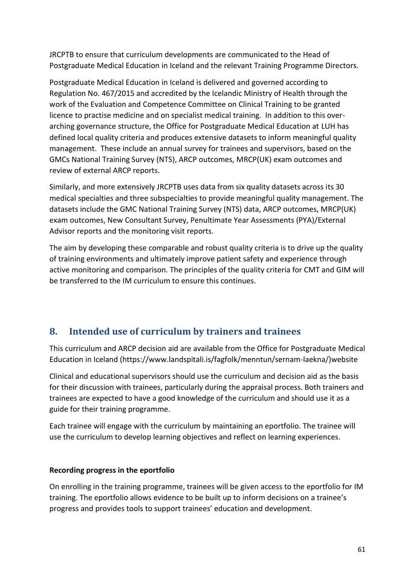JRCPTB to ensure that curriculum developments are communicated to the Head of Postgraduate Medical Education in Iceland and the relevant Training Programme Directors.

Postgraduate Medical Education in Iceland is delivered and governed according to Regulation No. 467/2015 and accredited by the Icelandic Ministry of Health through the work of the Evaluation and Competence Committee on Clinical Training to be granted licence to practise medicine and on specialist medical training. In addition to this overarching governance structure, the Office for Postgraduate Medical Education at LUH has defined local quality criteria and produces extensive datasets to inform meaningful quality management. These include an annual survey for trainees and supervisors, based on the GMCs National Training Survey (NTS), ARCP outcomes, MRCP(UK) exam outcomes and review of external ARCP reports.

Similarly, and more extensively JRCPTB uses data from six quality datasets across its 30 medical specialties and three subspecialties to provide meaningful quality management. The datasets include the GMC National Training Survey (NTS) data, ARCP outcomes, MRCP(UK) exam outcomes, New Consultant Survey, Penultimate Year Assessments (PYA)/External Advisor reports and the monitoring visit reports.

The aim by developing these comparable and robust quality criteria is to drive up the quality of training environments and ultimately improve patient safety and experience through active monitoring and comparison. The principles of the quality criteria for CMT and GIM will be transferred to the IM curriculum to ensure this continues.

### **8. Intended use of curriculum by trainers and trainees**

This curriculum and ARCP decision aid are available from the Office for Postgraduate Medical Education in Iceland (https://www.landspitali.is/fagfolk/menntun/sernam-laekna/)website

Clinical and educational supervisors should use the curriculum and decision aid as the basis for their discussion with trainees, particularly during the appraisal process. Both trainers and trainees are expected to have a good knowledge of the curriculum and should use it as a guide for their training programme.

Each trainee will engage with the curriculum by maintaining an eportfolio. The trainee will use the curriculum to develop learning objectives and reflect on learning experiences.

### **Recording progress in the eportfolio**

On enrolling in the training programme, trainees will be given access to the eportfolio for IM training. The eportfolio allows evidence to be built up to inform decisions on a trainee's progress and provides tools to support trainees' education and development.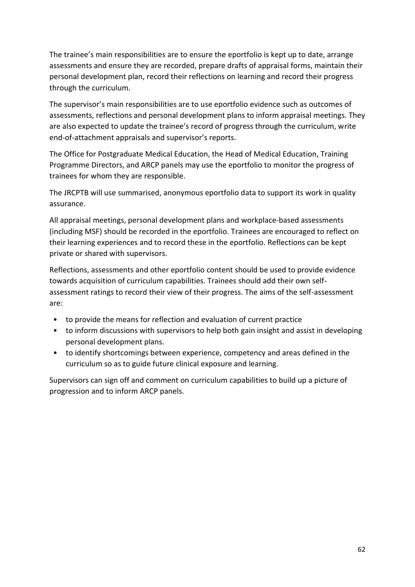The trainee's main responsibilities are to ensure the eportfolio is kept up to date, arrange assessments and ensure they are recorded, prepare drafts of appraisal forms, maintain their personal development plan, record their reflections on learning and record their progress through the curriculum.

The supervisor's main responsibilities are to use eportfolio evidence such as outcomes of assessments, reflections and personal development plans to inform appraisal meetings. They are also expected to update the trainee's record of progress through the curriculum, write end-of-attachment appraisals and supervisor's reports.

The Office for Postgraduate Medical Education, the Head of Medical Education, Training Programme Directors, and ARCP panels may use the eportfolio to monitor the progress of trainees for whom they are responsible.

The JRCPTB will use summarised, anonymous eportfolio data to support its work in quality assurance.

All appraisal meetings, personal development plans and workplace-based assessments (including MSF) should be recorded in the eportfolio. Trainees are encouraged to reflect on their learning experiences and to record these in the eportfolio. Reflections can be kept private or shared with supervisors.

Reflections, assessments and other eportfolio content should be used to provide evidence towards acquisition of curriculum capabilities. Trainees should add their own selfassessment ratings to record their view of their progress. The aims of the self-assessment are:

- to provide the means for reflection and evaluation of current practice
- to inform discussions with supervisors to help both gain insight and assist in developing personal development plans.
- to identify shortcomings between experience, competency and areas defined in the curriculum so as to guide future clinical exposure and learning.

Supervisors can sign off and comment on curriculum capabilities to build up a picture of progression and to inform ARCP panels.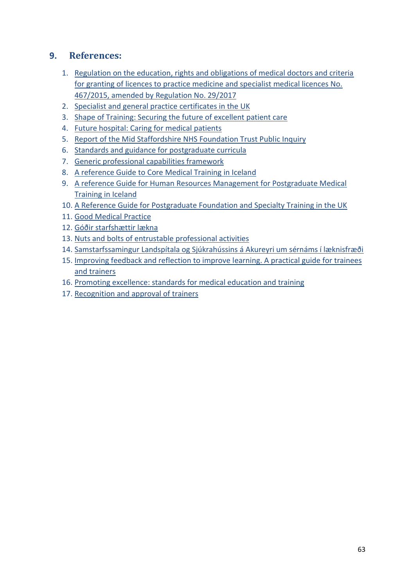### **9. References:**

- 1. [Regulation on the education, rights and obligations of medical doctors and criteria](https://www.government.is/media/velferdarraduneyti-media/media/Reglugerdir-enska/Regulation_467-2015.pdf)  [for granting of licences to practice medicine and specialist medical licences No.](https://www.government.is/media/velferdarraduneyti-media/media/Reglugerdir-enska/Regulation_467-2015.pdf)  [467/2015, amended by Regulation No. 29/2017](https://www.government.is/media/velferdarraduneyti-media/media/Reglugerdir-enska/Regulation_467-2015.pdf)
- 2. [Specialist and general practice certificates in the UK](https://www.gmc-uk.org/registration-and-licensing/managing-your-registration/certificates/specialist-and-general-practice-certificates)
- 3. [Shape of Training: Securing the future of excellent patient care](https://www.gmc-uk.org/education/standards-guidance-and-curricula/guidance/shape-of-training-review)
- 4. [Future hospital: Caring for medical patients](https://www.rcplondon.ac.uk/projects/outputs/future-hospital-commission)
- 5. [Report of the Mid Staffordshire NHS Foundation Trust Public Inquiry](https://webarchive.nationalarchives.gov.uk/20150407084231/http:/www.midstaffspublicinquiry.com/report)
- 6. [Standards and guidance for postgraduate curricula](https://www.gmc-uk.org/education/standards-guidance-and-curricula/standards-and-outcomes/excellence-by-design)
- 7. [Generic professional capabilities framework](https://www.gmc-uk.org/education/standards-guidance-and-curricula/standards-and-outcomes/generic-professional-capabilities-framework)
- 8. [A reference Guide to Core Medical Training](https://www.landspitali.is/library/Sameiginlegar-skrar/Gagnasafn/Visindi-og-menntun/Menntun/Framhaldsnam-i-alm.-lyflaekningum/Um-framhaldsnamid/Gold%20Guide%20-%20Iceland.pdf) in Iceland
- 9. [A reference Guide for Human Resources Management for Postgraduate Medical](https://www.landspitali.is/library/Sameiginlegar-skrar/Gagnasafn/Visindi-og-menntun/Menntun/Framhaldsnam-laekna-a-LSH/Handbok-fyrir-sernamslaekna_21.02.2020-1.pdf)  [Training in Iceland](https://www.landspitali.is/library/Sameiginlegar-skrar/Gagnasafn/Visindi-og-menntun/Menntun/Framhaldsnam-laekna-a-LSH/Handbok-fyrir-sernamslaekna_21.02.2020-1.pdf)
- 10. [A Reference Guide for Postgraduate Foundation and Specialty Training in the UK](https://www.copmed.org.uk/images/docs/gold_guide_8th_edition/Gold_Guide_8th_Edition_March_2020.pdf)
- 11. [Good Medical Practice](https://www.gmc-uk.org/ethical-guidance/ethical-guidance-for-doctors/good-medical-practice)
- 12. [Góðir starfshættir lækna](https://www.landlaeknir.is/servlet/file/store93/item32436/Godir_starfshaettir_laekna_31.5.2017.pdf)
- 13. [Nuts and bolts of entrustable professional activities](https://www.ncbi.nlm.nih.gov/pmc/articles/PMC3613304/)
- 14. [Samstarfssamingur Landspítala og Sjúkrahússins á Akureyri um sérnáms í læknisfræði](file://///lsh.is/GOGN/Sameign/Framhaldmenntunarráð/SAK/Samstarfssamningur%20undirskr%202019%20LSH%20SAK.pdf)
- 15. [Improving feedback and reflection to improve learning. A practical guide for trainees](https://www.aomrc.org.uk/reports-guidance/improving-feedback-reflection-improve-learning-practical-guide-trainees-trainers/)  [and trainers](https://www.aomrc.org.uk/reports-guidance/improving-feedback-reflection-improve-learning-practical-guide-trainees-trainers/)
- 16. [Promoting excellence: standards for medical education and training](https://www.gmc-uk.org/education/standards-guidance-and-curricula/standards-and-outcomes/promoting-excellence)
- 17. [Recognition and approval of trainers](https://www.gmc-uk.org/education/how-we-quality-assure/postgraduate-bodies)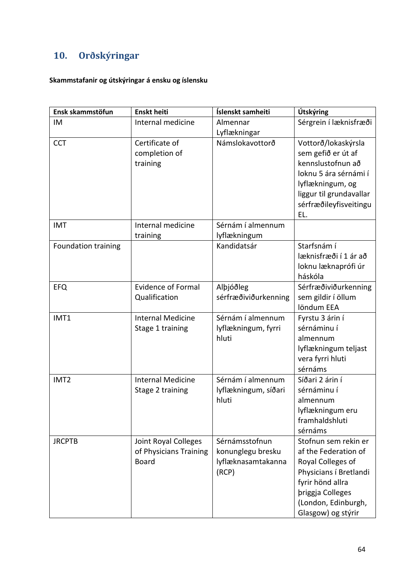# **10. Orðskýringar**

### **Skammstafanir og útskýringar á ensku og íslensku**

| Ensk skammstöfun           | <b>Enskt heiti</b>        | Íslenskt samheiti    | Útskýring               |
|----------------------------|---------------------------|----------------------|-------------------------|
| IM                         | Internal medicine         | Almennar             | Sérgrein í læknisfræði  |
|                            |                           | Lyflækningar         |                         |
| <b>CCT</b>                 | Certificate of            | Námslokavottorð      | Vottorð/lokaskýrsla     |
|                            | completion of             |                      | sem gefið er út af      |
|                            | training                  |                      | kennslustofnun að       |
|                            |                           |                      | loknu 5 ára sérnámi í   |
|                            |                           |                      | lyflækningum, og        |
|                            |                           |                      | liggur til grundavallar |
|                            |                           |                      | sérfræðileyfisveitingu  |
|                            |                           |                      | EL.                     |
| <b>IMT</b>                 | Internal medicine         | Sérnám í almennum    |                         |
|                            | training                  | lyflækningum         |                         |
| <b>Foundation training</b> |                           | Kandidatsár          | Starfsnám í             |
|                            |                           |                      | læknisfræði í 1 ár að   |
|                            |                           |                      | loknu læknaprófi úr     |
|                            |                           |                      | háskóla                 |
| <b>EFQ</b>                 | <b>Evidence of Formal</b> | Alþjóðleg            | Sérfræðiviðurkenning    |
|                            | Qualification             | sérfræðiviðurkenning | sem gildir í öllum      |
|                            |                           |                      | löndum EEA              |
| IMT1                       | <b>Internal Medicine</b>  | Sérnám í almennum    | Fyrstu 3 árin í         |
|                            | Stage 1 training          | lyflækningum, fyrri  | sérnáminu í             |
|                            |                           | hluti                | almennum                |
|                            |                           |                      | lyflækningum teljast    |
|                            |                           |                      | vera fyrri hluti        |
|                            |                           |                      | sérnáms                 |
| IMT <sub>2</sub>           | <b>Internal Medicine</b>  | Sérnám í almennum    | Síðari 2 árin í         |
|                            | Stage 2 training          | lyflækningum, síðari | sérnáminu í             |
|                            |                           | hluti                | almennum                |
|                            |                           |                      | lyflækningum eru        |
|                            |                           |                      | framhaldshluti          |
|                            |                           |                      | sérnáms                 |
| <b>JRCPTB</b>              | Joint Royal Colleges      | Sérnámsstofnun       | Stofnun sem rekin er    |
|                            | of Physicians Training    | konunglegu bresku    | af the Federation of    |
|                            | <b>Board</b>              | lyflæknasamtakanna   | Royal Colleges of       |
|                            |                           | (RCP)                | Physicians í Bretlandi  |
|                            |                           |                      | fyrir hönd allra        |
|                            |                           |                      | briggja Colleges        |
|                            |                           |                      | (London, Edinburgh,     |
|                            |                           |                      | Glasgow) og stýrir      |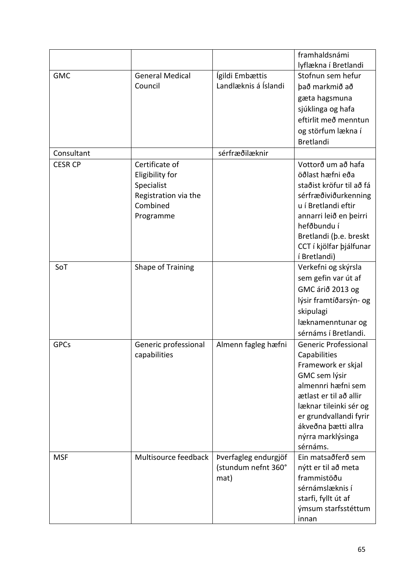|                |                        |                      | framhaldsnámi                             |
|----------------|------------------------|----------------------|-------------------------------------------|
| <b>GMC</b>     | <b>General Medical</b> | Ígildi Embættis      | lyflækna í Bretlandi<br>Stofnun sem hefur |
|                | Council                | Landlæknis á Íslandi | það markmið að                            |
|                |                        |                      | gæta hagsmuna                             |
|                |                        |                      | sjúklinga og hafa                         |
|                |                        |                      | eftirlit með menntun                      |
|                |                        |                      | og störfum lækna í                        |
|                |                        |                      | <b>Bretlandi</b>                          |
| Consultant     |                        | sérfræðilæknir       |                                           |
| <b>CESR CP</b> | Certificate of         |                      | Vottorð um að hafa                        |
|                | Eligibility for        |                      | öðlast hæfni eða                          |
|                | Specialist             |                      | staðist kröfur til að fá                  |
|                | Registration via the   |                      | sérfræðiviðurkenning                      |
|                | Combined               |                      | u í Bretlandi eftir                       |
|                | Programme              |                      | annarri leið en beirri                    |
|                |                        |                      | hefðbundu í                               |
|                |                        |                      | Bretlandi (b.e. breskt                    |
|                |                        |                      | CCT í kjölfar þjálfunar<br>í Bretlandi)   |
| SoT            | Shape of Training      |                      | Verkefni og skýrsla                       |
|                |                        |                      | sem gefin var út af                       |
|                |                        |                      | GMC árið 2013 og                          |
|                |                        |                      | lýsir framtíðarsýn- og                    |
|                |                        |                      | skipulagi                                 |
|                |                        |                      | læknamenntunar og                         |
|                |                        |                      | sérnáms í Bretlandi.                      |
| <b>GPCs</b>    | Generic professional   | Almenn fagleg hæfni  | <b>Generic Professional</b>               |
|                | capabilities           |                      | Capabilities                              |
|                |                        |                      | Framework er skjal                        |
|                |                        |                      | GMC sem lýsir                             |
|                |                        |                      | almennri hæfni sem                        |
|                |                        |                      | ætlast er til að allir                    |
|                |                        |                      | læknar tileinki sér og                    |
|                |                        |                      | er grundvallandi fyrir                    |
|                |                        |                      | ákveðna þætti allra                       |
|                |                        |                      | nýrra marklýsinga<br>sérnáms.             |
| <b>MSF</b>     | Multisource feedback   | Þverfagleg endurgjöf | Ein matsaðferð sem                        |
|                |                        | (stundum nefnt 360°  | nýtt er til að meta                       |
|                |                        | mat)                 | frammistöðu                               |
|                |                        |                      | sérnámslæknis í                           |
|                |                        |                      | starfi, fyllt út af                       |
|                |                        |                      | ýmsum starfsstéttum                       |
|                |                        |                      | innan                                     |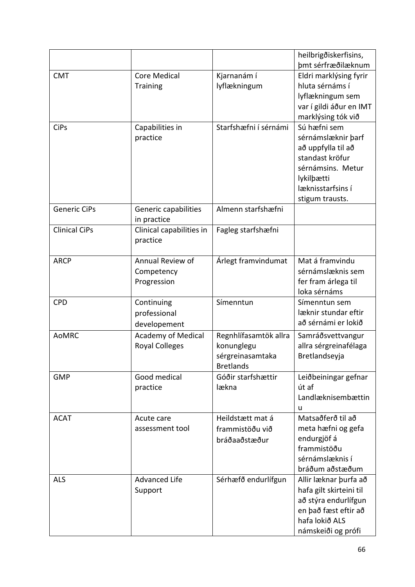|                      |                           |                                     | heilbrigðiskerfisins,                      |
|----------------------|---------------------------|-------------------------------------|--------------------------------------------|
|                      |                           |                                     | þmt sérfræðilæknum                         |
| <b>CMT</b>           | <b>Core Medical</b>       | Kjarnanám í                         | Eldri marklýsing fyrir                     |
|                      | <b>Training</b>           | lyflækningum                        | hluta sérnáms í                            |
|                      |                           |                                     | lyflækningum sem                           |
|                      |                           |                                     | var í gildi áður en IMT                    |
|                      |                           |                                     | marklýsing tók við                         |
| <b>CiPs</b>          | Capabilities in           | Starfshæfni í sérnámi               | Sú hæfni sem                               |
|                      | practice                  |                                     | sérnámslæknir þarf                         |
|                      |                           |                                     | að uppfylla til að                         |
|                      |                           |                                     | standast kröfur                            |
|                      |                           |                                     | sérnámsins. Metur                          |
|                      |                           |                                     | lykilbætti                                 |
|                      |                           |                                     | læknisstarfsins í                          |
|                      |                           |                                     | stigum trausts.                            |
| <b>Generic CiPs</b>  | Generic capabilities      | Almenn starfshæfni                  |                                            |
|                      | in practice               |                                     |                                            |
| <b>Clinical CiPs</b> | Clinical capabilities in  | Fagleg starfshæfni                  |                                            |
|                      | practice                  |                                     |                                            |
| <b>ARCP</b>          | Annual Review of          | Árlegt framvindumat                 | Mat á framvindu                            |
|                      | Competency                |                                     | sérnámslæknis sem                          |
|                      | Progression               |                                     | fer fram árlega til                        |
|                      |                           |                                     | loka sérnáms                               |
| <b>CPD</b>           | Continuing                | Símenntun                           | Símenntun sem                              |
|                      | professional              |                                     | læknir stundar eftir                       |
|                      | developement              |                                     | að sérnámi er lokið                        |
| <b>AoMRC</b>         | <b>Academy of Medical</b> |                                     |                                            |
|                      | <b>Royal Colleges</b>     | Regnhlífasamtök allra<br>konunglegu | Samráðsvettvangur<br>allra sérgreinafélaga |
|                      |                           | sérgreinasamtaka                    | Bretlandseyja                              |
|                      |                           | <b>Bretlands</b>                    |                                            |
| <b>GMP</b>           | Good medical              | Góðir starfshættir                  | Leiðbeiningar gefnar                       |
|                      | practice                  | lækna                               | út af                                      |
|                      |                           |                                     | Landlæknisembættin                         |
|                      |                           |                                     | u                                          |
| <b>ACAT</b>          | Acute care                | Heildstætt mat á                    | Matsaðferð til að                          |
|                      | assessment tool           | frammistöðu við                     | meta hæfni og gefa                         |
|                      |                           | bráðaaðstæður                       | endurgjöf á                                |
|                      |                           |                                     | frammistöðu                                |
|                      |                           |                                     | sérnámslæknis í                            |
|                      |                           |                                     | bráðum aðstæðum                            |
| <b>ALS</b>           | <b>Advanced Life</b>      | Sérhæfð endurlífgun                 | Allir læknar þurfa að                      |
|                      | Support                   |                                     | hafa gilt skirteini til                    |
|                      |                           |                                     | að stýra endurlífgun                       |
|                      |                           |                                     | en það fæst eftir að                       |
|                      |                           |                                     | hafa lokið ALS                             |
|                      |                           |                                     | námskeiði og prófi                         |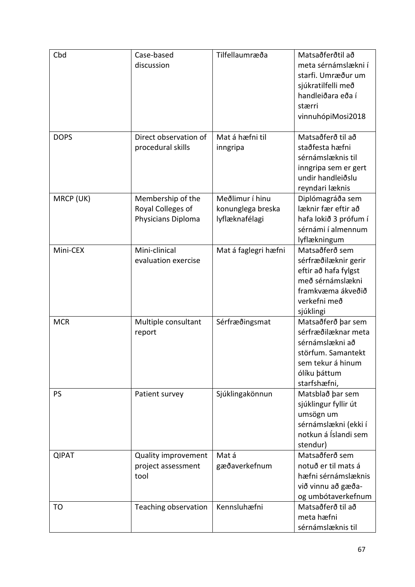| Cbd          | Case-based<br>discussion                                     | Tilfellaumræða                                         | Matsaðferðtil að<br>meta sérnámslækni í<br>starfi. Umræður um<br>sjúkratilfelli með<br>handleiðara eða í<br>stærri<br>vinnuhópiMosi2018 |
|--------------|--------------------------------------------------------------|--------------------------------------------------------|-----------------------------------------------------------------------------------------------------------------------------------------|
| <b>DOPS</b>  | Direct observation of<br>procedural skills                   | Mat á hæfni til<br>inngripa                            | Matsaðferð til að<br>staðfesta hæfni<br>sérnámslæknis til<br>inngripa sem er gert<br>undir handleiðslu<br>reyndari læknis               |
| MRCP (UK)    | Membership of the<br>Royal Colleges of<br>Physicians Diploma | Meðlimur í hinu<br>konunglega breska<br>lyflæknafélagi | Diplómagráða sem<br>læknir fær eftir að<br>hafa lokið 3 prófum í<br>sérnámi í almennum<br>lyflækningum                                  |
| Mini-CEX     | Mini-clinical<br>evaluation exercise                         | Mat á faglegri hæfni                                   | Matsaðferð sem<br>sérfræðilæknir gerir<br>eftir að hafa fylgst<br>með sérnámslækni<br>framkvæma ákveðið<br>verkefni með<br>sjúklingi    |
| <b>MCR</b>   | Multiple consultant<br>report                                | Sérfræðingsmat                                         | Matsaðferð þar sem<br>sérfræðilæknar meta<br>sérnámslækni að<br>störfum. Samantekt<br>sem tekur á hinum<br>ólíku þáttum<br>starfshæfni, |
| <b>PS</b>    | Patient survey                                               | Sjúklingakönnun                                        | Matsblað þar sem<br>sjúklingur fyllir út<br>umsögn um<br>sérnámslækni (ekki í<br>notkun á Íslandi sem<br>stendur)                       |
| <b>QIPAT</b> | Quality improvement<br>project assessment<br>tool            | Mat á<br>gæðaverkefnum                                 | Matsaðferð sem<br>notuð er til mats á<br>hæfni sérnámslæknis<br>við vinnu að gæða-<br>og umbótaverkefnum                                |
| TO           | Teaching observation                                         | Kennsluhæfni                                           | Matsaðferð til að<br>meta hæfni<br>sérnámslæknis til                                                                                    |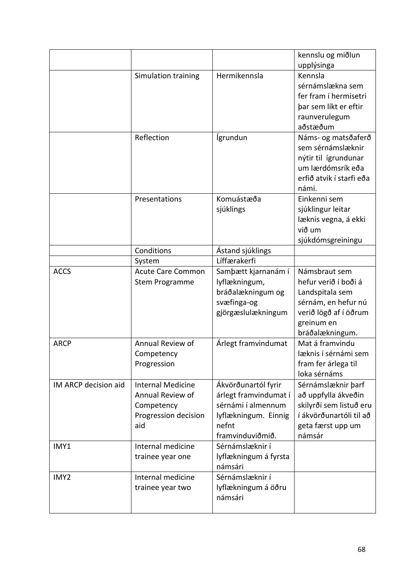|                      |                                                                                           |                                                                                                                         | kennslu og miðlun<br>upplýsinga                                                                                                           |
|----------------------|-------------------------------------------------------------------------------------------|-------------------------------------------------------------------------------------------------------------------------|-------------------------------------------------------------------------------------------------------------------------------------------|
|                      | Simulation training                                                                       | Hermikennsla                                                                                                            | Kennsla<br>sérnámslækna sem<br>fer fram í hermisetri<br>þar sem líkt er eftir<br>raunverulegum<br>aðstæðum                                |
|                      | Reflection                                                                                | Ígrundun                                                                                                                | Náms- og matsðaferð<br>sem sérnámslæknir<br>nýtir til ígrundunar<br>um lærdómsrík eða<br>erfið atvik í starfi eða<br>námi.                |
|                      | Presentations                                                                             | Komuástæða<br>sjúklings                                                                                                 | Einkenni sem<br>sjúklingur leitar<br>læknis vegna, á ekki<br>við um<br>sjúkdómsgreiningu                                                  |
|                      | Conditions                                                                                | Ástand sjúklings                                                                                                        |                                                                                                                                           |
|                      | System                                                                                    | Líffærakerfi                                                                                                            |                                                                                                                                           |
| <b>ACCS</b>          | <b>Acute Care Common</b><br>Stem Programme                                                | Sambætt kjarnanám í<br>lyflækningum,<br>bráðalækningum og<br>svæfinga-og<br>gjörgæslulækningum                          | Námsbraut sem<br>hefur verið í boði á<br>Landspitala sem<br>sérnám, en hefur nú<br>verið lögð af í öðrum<br>greinum en<br>bráðalækningum. |
| <b>ARCP</b>          | Annual Review of<br>Competency<br>Progression                                             | Árlegt framvindumat                                                                                                     | Mat á framvindu<br>læknis í sérnámi sem<br>fram fer árlega til<br>loka sérnáms                                                            |
| IM ARCP decision aid | <b>Internal Medicine</b><br>Annual Review of<br>Competency<br>Progression decision<br>aid | Ákvörðunartól fyrir<br>árlegt framvindumat í<br>sérnámi í almennum<br>lyflækningum. Einnig<br>nefnt<br>framvinduviðmið. | Sérnámslæknir þarf<br>að uppfylla ákveðin<br>skilyrði sem listuð eru<br>í ákvörðunartóli til að<br>geta færst upp um<br>námsár            |
| IMY1                 | Internal medicine<br>trainee year one                                                     | Sérnámslæknir í<br>lyflækningum á fyrsta<br>námsári                                                                     |                                                                                                                                           |
| IMY2                 | Internal medicine<br>trainee year two                                                     | Sérnámslæknir í<br>lyflækningum á öðru<br>námsári                                                                       |                                                                                                                                           |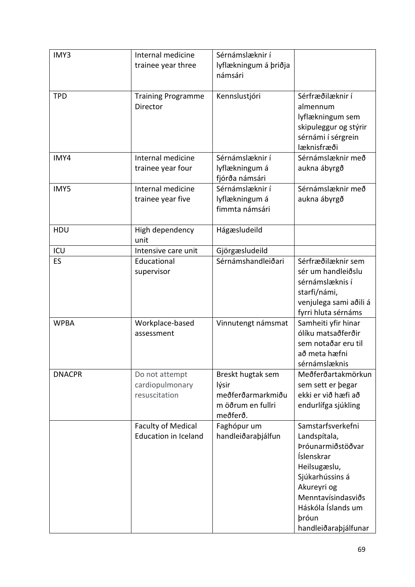| IMY3          | Internal medicine           | Sérnámslæknir í       |                        |
|---------------|-----------------------------|-----------------------|------------------------|
|               | trainee year three          | lyflækningum á þriðja |                        |
|               |                             | námsári               |                        |
|               |                             |                       |                        |
| <b>TPD</b>    | <b>Training Programme</b>   | Kennslustjóri         | Sérfræðilæknir í       |
|               | Director                    |                       | almennum               |
|               |                             |                       | lyflækningum sem       |
|               |                             |                       | skipuleggur og stýrir  |
|               |                             |                       | sérnámi í sérgrein     |
|               |                             |                       | læknisfræði            |
| IMY4          | Internal medicine           | Sérnámslæknir í       | Sérnámslæknir með      |
|               | trainee year four           | lyflækningum á        | aukna ábyrgð           |
|               |                             | fjórða námsári        |                        |
| IMY5          | Internal medicine           | Sérnámslæknir í       | Sérnámslæknir með      |
|               | trainee year five           | lyflækningum á        | aukna ábyrgð           |
|               |                             | fimmta námsári        |                        |
| HDU           | High dependency             | Hágæsludeild          |                        |
|               | unit                        |                       |                        |
| ICU           | Intensive care unit         | Gjörgæsludeild        |                        |
| ES            | Educational                 | Sérnámshandleiðari    | Sérfræðilæknir sem     |
|               | supervisor                  |                       | sér um handleiðslu     |
|               |                             |                       | sérnámslæknis í        |
|               |                             |                       | starfi/námi,           |
|               |                             |                       | venjulega sami aðili á |
|               |                             |                       | fyrri hluta sérnáms    |
| <b>WPBA</b>   | Workplace-based             | Vinnutengt námsmat    | Samheiti yfir hinar    |
|               | assessment                  |                       | ólíku matsaðferðir     |
|               |                             |                       | sem notaðar eru til    |
|               |                             |                       | að meta hæfni          |
|               |                             |                       | sérnámslæknis          |
| <b>DNACPR</b> | Do not attempt              | Breskt hugtak sem     | Meðferðartakmörkun     |
|               | cardiopulmonary             | lýsir                 | sem sett er begar      |
|               | resuscitation               | meðferðarmarkmiðu     | ekki er við hæfi að    |
|               |                             | m öðrum en fullri     | endurlífga sjúkling    |
|               |                             | meðferð.              |                        |
|               | <b>Faculty of Medical</b>   | Faghópur um           | Samstarfsverkefni      |
|               | <b>Education in Iceland</b> | handleiðaraþjálfun    | Landspítala,           |
|               |                             |                       | Þróunarmiðstöðvar      |
|               |                             |                       | Íslenskrar             |
|               |                             |                       | Heilsugæslu,           |
|               |                             |                       | Sjúkarhússins á        |
|               |                             |                       | Akureyri og            |
|               |                             |                       | Menntavísindasviðs     |
|               |                             |                       | Háskóla Íslands um     |
|               |                             |                       | próun                  |
|               |                             |                       | handleiðaraþjálfunar   |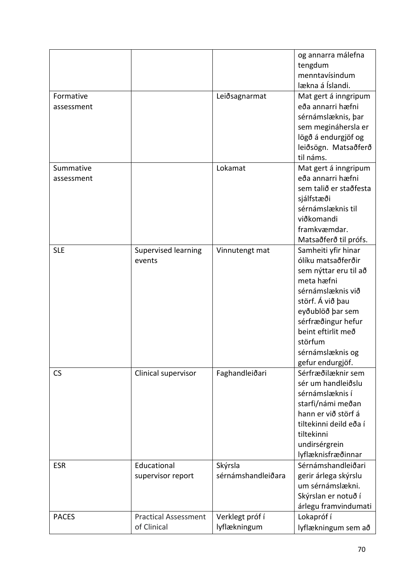|              |                             |                    | og annarra málefna     |
|--------------|-----------------------------|--------------------|------------------------|
|              |                             |                    | tengdum                |
|              |                             |                    | menntavísindum         |
|              |                             |                    | lækna á Íslandi.       |
| Formative    |                             | Leiðsagnarmat      | Mat gert á inngripum   |
| assessment   |                             |                    | eða annarri hæfni      |
|              |                             |                    | sérnámslæknis, þar     |
|              |                             |                    | sem megináhersla er    |
|              |                             |                    | lögð á endurgjöf og    |
|              |                             |                    | leiðsögn. Matsaðferð   |
|              |                             |                    | til náms.              |
| Summative    |                             | Lokamat            | Mat gert á inngripum   |
| assessment   |                             |                    | eða annarri hæfni      |
|              |                             |                    | sem talið er staðfesta |
|              |                             |                    | sjálfstæði             |
|              |                             |                    | sérnámslæknis til      |
|              |                             |                    | viðkomandi             |
|              |                             |                    | framkvæmdar.           |
|              |                             |                    | Matsaðferð til prófs.  |
| <b>SLE</b>   | Supervised learning         | Vinnutengt mat     | Samheiti yfir hinar    |
|              | events                      |                    | ólíku matsaðferðir     |
|              |                             |                    | sem nýttar eru til að  |
|              |                             |                    | meta hæfni             |
|              |                             |                    | sérnámslæknis við      |
|              |                             |                    | störf. Á við þau       |
|              |                             |                    | eyðublöð þar sem       |
|              |                             |                    | sérfræðingur hefur     |
|              |                             |                    | beint eftirlit með     |
|              |                             |                    | störfum                |
|              |                             |                    | sérnámslæknis og       |
|              |                             |                    | gefur endurgjöf.       |
| CS           | Clinical supervisor         | Faghandleiðari     | Sérfræðilæknir sem     |
|              |                             |                    | sér um handleiðslu     |
|              |                             |                    | sérnámslæknis í        |
|              |                             |                    | starfi/námi meðan      |
|              |                             |                    | hann er við störf á    |
|              |                             |                    | tiltekinni deild eða í |
|              |                             |                    | tiltekinni             |
|              |                             |                    | undirsérgrein          |
|              |                             |                    | lyflæknisfræðinnar     |
| <b>ESR</b>   | Educational                 | Skýrsla            | Sérnámshandleiðari     |
|              | supervisor report           | sérnámshandleiðara | gerir árlega skýrslu   |
|              |                             |                    | um sérnámslækni.       |
|              |                             |                    | Skýrslan er notuð í    |
|              |                             |                    | árlegu framvindumati   |
| <b>PACES</b> | <b>Practical Assessment</b> | Verklegt próf í    | Lokapróf í             |
|              | of Clinical                 | lyflækningum       | lyflækningum sem að    |